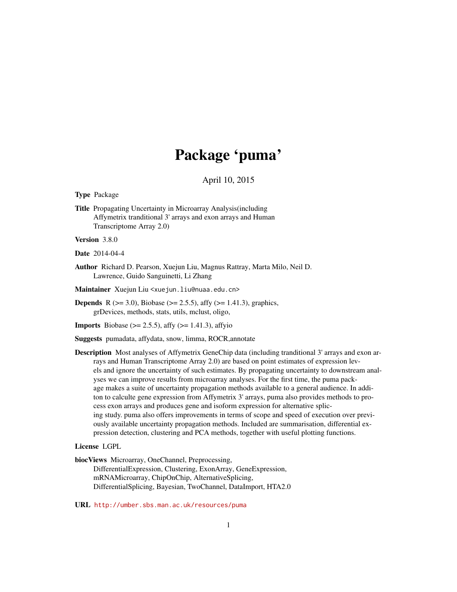# Package 'puma'

# April 10, 2015

<span id="page-0-0"></span>Type Package

Title Propagating Uncertainty in Microarray Analysis(including Affymetrix tranditional 3' arrays and exon arrays and Human Transcriptome Array 2.0)

Version 3.8.0

Date 2014-04-4

Author Richard D. Pearson, Xuejun Liu, Magnus Rattray, Marta Milo, Neil D. Lawrence, Guido Sanguinetti, Li Zhang

Maintainer Xuejun Liu <xuejun.liu@nuaa.edu.cn>

**Depends** R ( $>= 3.0$ ), Biobase ( $>= 2.5.5$ ), affy ( $>= 1.41.3$ ), graphics, grDevices, methods, stats, utils, mclust, oligo,

**Imports** Biobase ( $> = 2.5.5$ ), affy ( $> = 1.41.3$ ), affyio

Suggests pumadata, affydata, snow, limma, ROCR,annotate

Description Most analyses of Affymetrix GeneChip data (including tranditional 3' arrays and exon arrays and Human Transcriptome Array 2.0) are based on point estimates of expression levels and ignore the uncertainty of such estimates. By propagating uncertainty to downstream analyses we can improve results from microarray analyses. For the first time, the puma package makes a suite of uncertainty propagation methods available to a general audience. In additon to calculte gene expression from Affymetrix 3' arrays, puma also provides methods to process exon arrays and produces gene and isoform expression for alternative splicing study. puma also offers improvements in terms of scope and speed of execution over previously available uncertainty propagation methods. Included are summarisation, differential expression detection, clustering and PCA methods, together with useful plotting functions.

# License LGPL

biocViews Microarray, OneChannel, Preprocessing, DifferentialExpression, Clustering, ExonArray, GeneExpression, mRNAMicroarray, ChipOnChip, AlternativeSplicing, DifferentialSplicing, Bayesian, TwoChannel, DataImport, HTA2.0

URL <http://umber.sbs.man.ac.uk/resources/puma>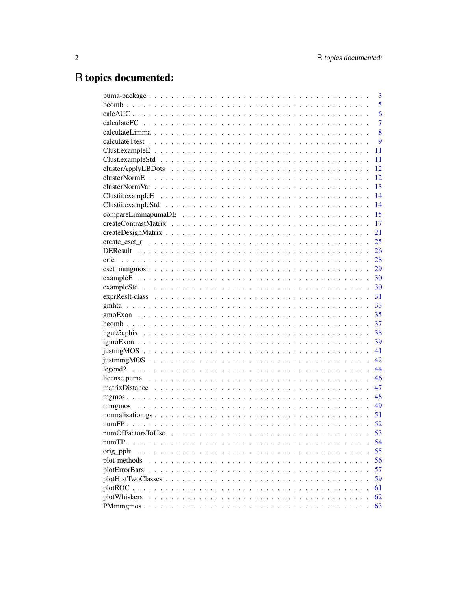# R topics documented:

|                       | 3              |
|-----------------------|----------------|
|                       | 5              |
|                       | 6              |
|                       | $\overline{7}$ |
|                       | 8              |
|                       | 9              |
|                       | 11             |
|                       | 11             |
|                       | 12             |
|                       | 12             |
|                       | 13             |
|                       | 14             |
|                       | 14             |
|                       | 15             |
|                       | 17             |
|                       | 21             |
|                       | 25             |
|                       | 26             |
| erfc                  | 28             |
|                       | 29             |
|                       |                |
|                       | 30             |
|                       | 31             |
|                       | 33             |
|                       | 35             |
|                       | 37             |
|                       | 38             |
|                       | 39             |
|                       | 41             |
|                       | 42             |
|                       | 44             |
|                       | 46             |
|                       | 47             |
|                       |                |
|                       |                |
|                       | 51             |
|                       | 52             |
| numOfFactorsToUse     | 53             |
|                       | 54             |
| orig_pplr<br>$\cdots$ | 55             |
| plot-methods          | 56             |
| plotErrorBars         | 57             |
|                       | 59             |
|                       | 61             |
| plotWhiskers          | 62             |
|                       | 63             |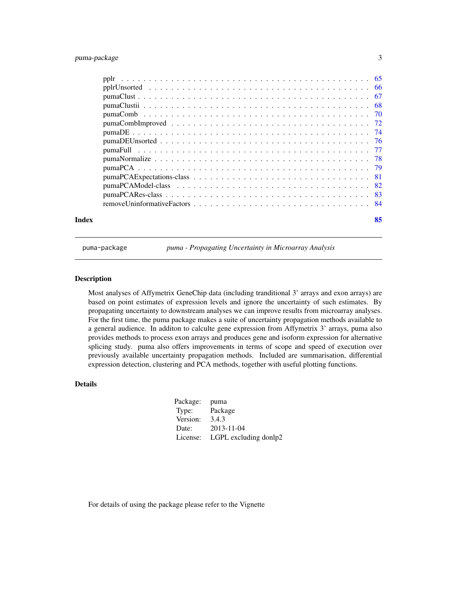# <span id="page-2-0"></span>puma-package 3

| Index | 85 |
|-------|----|

<span id="page-2-1"></span>

puma-package *puma - Propagating Uncertainty in Microarray Analysis*

# Description

Most analyses of Affymetrix GeneChip data (including tranditional 3' arrays and exon arrays) are based on point estimates of expression levels and ignore the uncertainty of such estimates. By propagating uncertainty to downstream analyses we can improve results from microarray analyses. For the first time, the puma package makes a suite of uncertainty propagation methods available to a general audience. In additon to calculte gene expression from Affymetrix 3' arrays, puma also provides methods to process exon arrays and produces gene and isoform expression for alternative splicing study. puma also offers improvements in terms of scope and speed of execution over previously available uncertainty propagation methods. Included are summarisation, differential expression detection, clustering and PCA methods, together with useful plotting functions.

# Details

| Package: | puma                  |
|----------|-----------------------|
| Type:    | Package               |
| Version: | 3.4.3                 |
| Date:    | 2013-11-04            |
| License: | LGPL excluding donlp2 |

For details of using the package please refer to the Vignette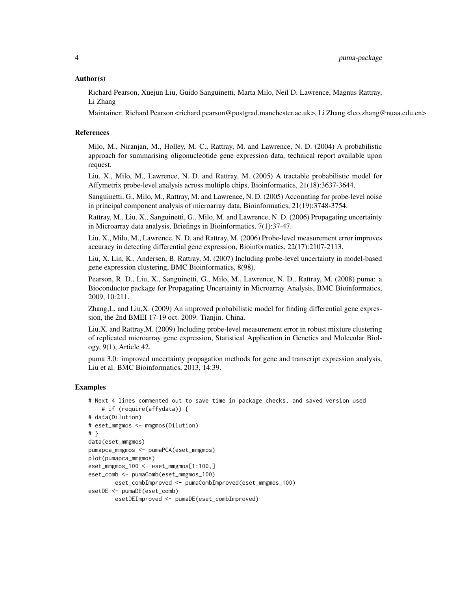# Author(s)

Richard Pearson, Xuejun Liu, Guido Sanguinetti, Marta Milo, Neil D. Lawrence, Magnus Rattray, Li Zhang

Maintainer: Richard Pearson <richard.pearson@postgrad.manchester.ac.uk>, Li Zhang <leo.zhang@nuaa.edu.cn>

# References

Milo, M., Niranjan, M., Holley, M. C., Rattray, M. and Lawrence, N. D. (2004) A probabilistic approach for summarising oligonucleotide gene expression data, technical report available upon request.

Liu, X., Milo, M., Lawrence, N. D. and Rattray, M. (2005) A tractable probabilistic model for Affymetrix probe-level analysis across multiple chips, Bioinformatics, 21(18):3637-3644.

Sanguinetti, G., Milo, M., Rattray, M. and Lawrence, N. D. (2005) Accounting for probe-level noise in principal component analysis of microarray data, Bioinformatics, 21(19):3748-3754.

Rattray, M., Liu, X., Sanguinetti, G., Milo, M. and Lawrence, N. D. (2006) Propagating uncertainty in Microarray data analysis, Briefings in Bioinformatics, 7(1):37-47.

Liu, X., Milo, M., Lawrence, N. D. and Rattray, M. (2006) Probe-level measurement error improves accuracy in detecting differential gene expression, Bioinformatics, 22(17):2107-2113.

Liu, X. Lin, K., Andersen, B. Rattray, M. (2007) Including probe-level uncertainty in model-based gene expression clustering, BMC Bioinformatics, 8(98).

Pearson, R. D., Liu, X., Sanguinetti, G., Milo, M., Lawrence, N. D., Rattray, M. (2008) puma: a Bioconductor package for Propagating Uncertainty in Microarray Analysis, BMC Bioinformatics, 2009, 10:211.

Zhang,L. and Liu,X. (2009) An improved probabilistic model for finding differential gene expression, the 2nd BMEI 17-19 oct. 2009. Tianjin. China.

Liu,X. and Rattray,M. (2009) Including probe-level measurement error in robust mixture clustering of replicated microarray gene expression, Statistical Application in Genetics and Molecular Biology, 9(1), Article 42.

puma 3.0: improved uncertainty propagation methods for gene and transcript expression analysis, Liu et al. BMC Bioinformatics, 2013, 14:39.

#### Examples

```
# Next 4 lines commented out to save time in package checks, and saved version used
    # if (require(affydata)) {
# data(Dilution)
# eset_mmgmos <- mmgmos(Dilution)
# }
data(eset_mmgmos)
pumapca_mmgmos <- pumaPCA(eset_mmgmos)
plot(pumapca_mmgmos)
eset_mmgmos_100 <- eset_mmgmos[1:100,]
eset_comb <- pumaComb(eset_mmgmos_100)
       eset_combImproved <- pumaCombImproved(eset_mmgmos_100)
esetDE <- pumaDE(eset_comb)
       esetDEImproved <- pumaDE(eset_combImproved)
```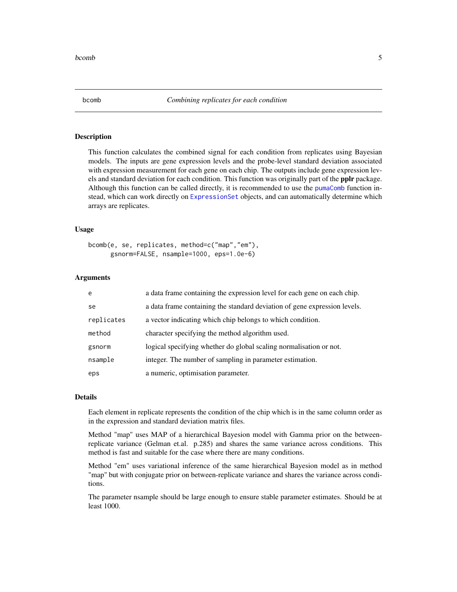#### **Description**

This function calculates the combined signal for each condition from replicates using Bayesian models. The inputs are gene expression levels and the probe-level standard deviation associated with expression measurement for each gene on each chip. The outputs include gene expression levels and standard deviation for each condition. This function was originally part of the **pplr** package. Although this function can be called directly, it is recommended to use the [pumaComb](#page-69-1) function instead, which can work directly on [ExpressionSet](#page-0-0) objects, and can automatically determine which arrays are replicates.

#### Usage

```
bcomb(e, se, replicates, method=c("map","em"),
     gsnorm=FALSE, nsample=1000, eps=1.0e-6)
```
#### Arguments

| e          | a data frame containing the expression level for each gene on each chip.  |
|------------|---------------------------------------------------------------------------|
| se         | a data frame containing the standard deviation of gene expression levels. |
| replicates | a vector indicating which chip belongs to which condition.                |
| method     | character specifying the method algorithm used.                           |
| gsnorm     | logical specifying whether do global scaling normalisation or not.        |
| nsample    | integer. The number of sampling in parameter estimation.                  |
| eps        | a numeric, optimisation parameter.                                        |

#### Details

Each element in replicate represents the condition of the chip which is in the same column order as in the expression and standard deviation matrix files.

Method "map" uses MAP of a hierarchical Bayesion model with Gamma prior on the betweenreplicate variance (Gelman et.al. p.285) and shares the same variance across conditions. This method is fast and suitable for the case where there are many conditions.

Method "em" uses variational inference of the same hierarchical Bayesion model as in method "map" but with conjugate prior on between-replicate variance and shares the variance across conditions.

The parameter nsample should be large enough to ensure stable parameter estimates. Should be at least 1000.

<span id="page-4-1"></span><span id="page-4-0"></span>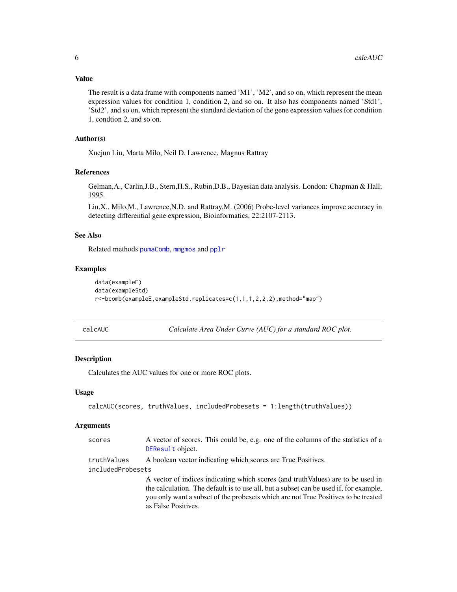# <span id="page-5-0"></span>Value

The result is a data frame with components named 'M1', 'M2', and so on, which represent the mean expression values for condition 1, condition 2, and so on. It also has components named 'Std1', 'Std2', and so on, which represent the standard deviation of the gene expression values for condition 1, condtion 2, and so on.

# Author(s)

Xuejun Liu, Marta Milo, Neil D. Lawrence, Magnus Rattray

# References

Gelman,A., Carlin,J.B., Stern,H.S., Rubin,D.B., Bayesian data analysis. London: Chapman & Hall; 1995.

Liu,X., Milo,M., Lawrence,N.D. and Rattray,M. (2006) Probe-level variances improve accuracy in detecting differential gene expression, Bioinformatics, 22:2107-2113.

# See Also

Related methods [pumaComb](#page-69-1), [mmgmos](#page-48-1) and [pplr](#page-64-1)

#### Examples

```
data(exampleE)
data(exampleStd)
r<-bcomb(exampleE,exampleStd,replicates=c(1,1,1,2,2,2),method="map")
```
calcAUC *Calculate Area Under Curve (AUC) for a standard ROC plot.*

#### **Description**

Calculates the AUC values for one or more ROC plots.

#### Usage

```
calcAUC(scores, truthValues, includedProbesets = 1:length(truthValues))
```
#### Arguments

| scores            | A vector of scores. This could be, e.g. one of the columns of the statistics of a<br>DEResult object. |
|-------------------|-------------------------------------------------------------------------------------------------------|
| truthValues       | A boolean vector indicating which scores are True Positives.                                          |
| includedProbesets |                                                                                                       |
|                   | A vector of indices indicating which scores (and truth Values) are to be used in                      |
|                   | the calculation. The default is to use all, but a subset can be used if, for example,                 |
|                   | you only want a subset of the probesets which are not True Positives to be treated                    |
|                   | as False Positives.                                                                                   |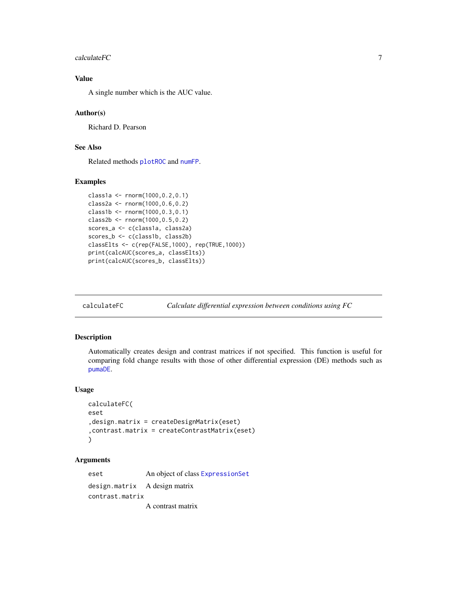#### <span id="page-6-0"></span> $\alpha$ calculateFC  $\alpha$  7

# Value

A single number which is the AUC value.

# Author(s)

Richard D. Pearson

# See Also

Related methods [plotROC](#page-60-1) and [numFP](#page-51-1).

# Examples

```
class1a <- rnorm(1000,0.2,0.1)
class2a <- rnorm(1000,0.6,0.2)
class1b <- rnorm(1000,0.3,0.1)
class2b <- rnorm(1000,0.5,0.2)
scores_a <- c(class1a, class2a)
scores_b <- c(class1b, class2b)
classElts <- c(rep(FALSE,1000), rep(TRUE,1000))
print(calcAUC(scores_a, classElts))
print(calcAUC(scores_b, classElts))
```
<span id="page-6-1"></span>calculateFC *Calculate differential expression between conditions using FC*

# Description

Automatically creates design and contrast matrices if not specified. This function is useful for comparing fold change results with those of other differential expression (DE) methods such as [pumaDE](#page-73-1).

# Usage

```
calculateFC(
eset
,design.matrix = createDesignMatrix(eset)
,contrast.matrix = createContrastMatrix(eset)
\lambda
```
# Arguments

eset An object of class [ExpressionSet](#page-0-0) design.matrix A design matrix contrast.matrix A contrast matrix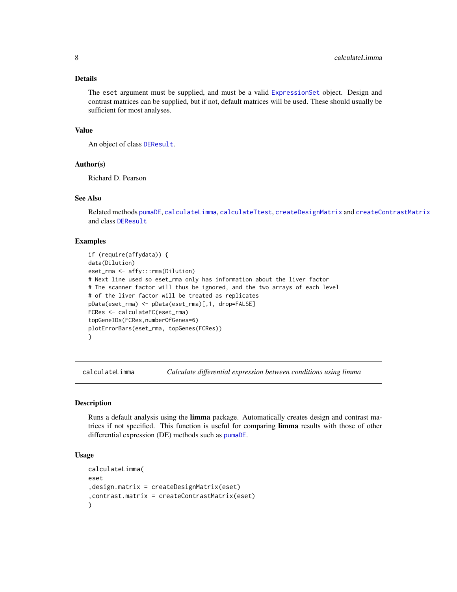# <span id="page-7-0"></span>Details

The eset argument must be supplied, and must be a valid [ExpressionSet](#page-0-0) object. Design and contrast matrices can be supplied, but if not, default matrices will be used. These should usually be sufficient for most analyses.

# Value

An object of class [DEResult](#page-25-1).

# Author(s)

Richard D. Pearson

# See Also

Related methods [pumaDE](#page-73-1), [calculateLimma](#page-7-1), [calculateTtest](#page-8-1), [createDesignMatrix](#page-20-1) and [createContrastMatrix](#page-16-1) and class [DEResult](#page-25-1)

#### Examples

```
if (require(affydata)) {
data(Dilution)
eset_rma <- affy:::rma(Dilution)
# Next line used so eset_rma only has information about the liver factor
# The scanner factor will thus be ignored, and the two arrays of each level
# of the liver factor will be treated as replicates
pData(eset_rma) <- pData(eset_rma)[,1, drop=FALSE]
FCRes <- calculateFC(eset_rma)
topGeneIDs(FCRes,numberOfGenes=6)
plotErrorBars(eset_rma, topGenes(FCRes))
}
```
<span id="page-7-1"></span>calculateLimma *Calculate differential expression between conditions using limma*

# Description

Runs a default analysis using the **limma** package. Automatically creates design and contrast matrices if not specified. This function is useful for comparing limma results with those of other differential expression (DE) methods such as [pumaDE](#page-73-1).

#### Usage

```
calculateLimma(
eset
,design.matrix = createDesignMatrix(eset)
,contrast.matrix = createContrastMatrix(eset)
)
```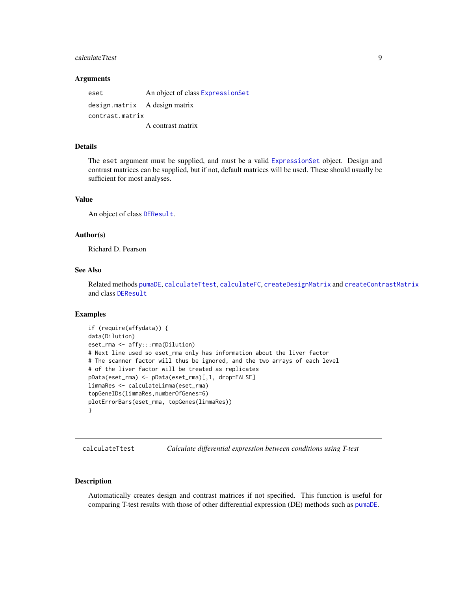# <span id="page-8-0"></span>calculateTtest 9

#### Arguments

eset An object of class [ExpressionSet](#page-0-0) design.matrix A design matrix contrast.matrix A contrast matrix

# Details

The eset argument must be supplied, and must be a valid [ExpressionSet](#page-0-0) object. Design and contrast matrices can be supplied, but if not, default matrices will be used. These should usually be sufficient for most analyses.

#### Value

An object of class [DEResult](#page-25-1).

#### Author(s)

Richard D. Pearson

# See Also

Related methods [pumaDE](#page-73-1), [calculateTtest](#page-8-1), [calculateFC](#page-6-1), [createDesignMatrix](#page-20-1) and [createContrastMatrix](#page-16-1) and class [DEResult](#page-25-1)

# Examples

```
if (require(affydata)) {
data(Dilution)
eset_rma <- affy:::rma(Dilution)
# Next line used so eset_rma only has information about the liver factor
# The scanner factor will thus be ignored, and the two arrays of each level
# of the liver factor will be treated as replicates
pData(eset_rma) <- pData(eset_rma)[,1, drop=FALSE]
limmaRes <- calculateLimma(eset_rma)
topGeneIDs(limmaRes,numberOfGenes=6)
plotErrorBars(eset_rma, topGenes(limmaRes))
}
```
<span id="page-8-1"></span>calculateTtest *Calculate differential expression between conditions using T-test*

#### Description

Automatically creates design and contrast matrices if not specified. This function is useful for comparing T-test results with those of other differential expression (DE) methods such as [pumaDE](#page-73-1).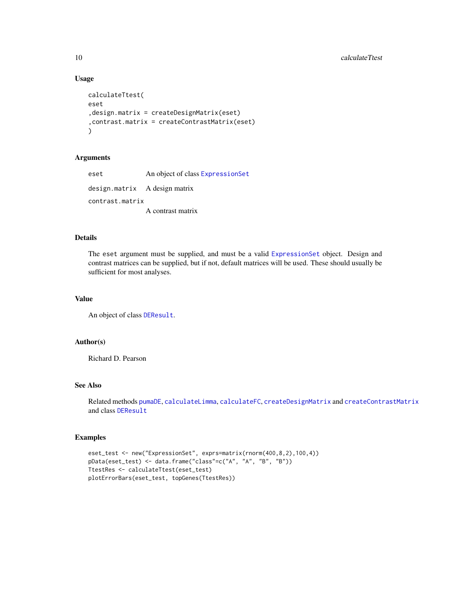10 calculateTtest

#### Usage

```
calculateTtest(
eset
,design.matrix = createDesignMatrix(eset)
,contrast.matrix = createContrastMatrix(eset)
\lambda
```
# Arguments

eset An object of class [ExpressionSet](#page-0-0) design.matrix A design matrix contrast.matrix A contrast matrix

# Details

The eset argument must be supplied, and must be a valid [ExpressionSet](#page-0-0) object. Design and contrast matrices can be supplied, but if not, default matrices will be used. These should usually be sufficient for most analyses.

# Value

An object of class [DEResult](#page-25-1).

# Author(s)

Richard D. Pearson

# See Also

Related methods [pumaDE](#page-73-1), [calculateLimma](#page-7-1), [calculateFC](#page-6-1), [createDesignMatrix](#page-20-1) and [createContrastMatrix](#page-16-1) and class [DEResult](#page-25-1)

# Examples

```
eset_test <- new("ExpressionSet", exprs=matrix(rnorm(400,8,2),100,4))
pData(eset_test) <- data.frame("class"=c("A", "A", "B", "B"))
TtestRes <- calculateTtest(eset_test)
plotErrorBars(eset_test, topGenes(TtestRes))
```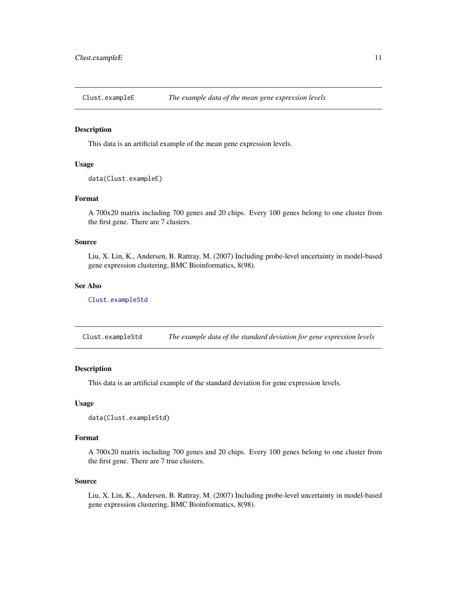<span id="page-10-2"></span><span id="page-10-0"></span>

# Description

This data is an artificial example of the mean gene expression levels.

# Usage

```
data(Clust.exampleE)
```
#### Format

A 700x20 matrix including 700 genes and 20 chips. Every 100 genes belong to one cluster from the first gene. There are 7 clusters.

# Source

Liu, X. Lin, K., Andersen, B. Rattray, M. (2007) Including probe-level uncertainty in model-based gene expression clustering, BMC Bioinformatics, 8(98).

#### See Also

[Clust.exampleStd](#page-10-1)

<span id="page-10-1"></span>Clust.exampleStd *The example data of the standard deviation for gene expression levels*

#### Description

This data is an artificial example of the standard deviation for gene expression levels.

# Usage

```
data(Clust.exampleStd)
```
#### Format

A 700x20 matrix including 700 genes and 20 chips. Every 100 genes belong to one cluster from the first gene. There are 7 true clusters.

#### Source

Liu, X. Lin, K., Andersen, B. Rattray, M. (2007) Including probe-level uncertainty in model-based gene expression clustering, BMC Bioinformatics, 8(98).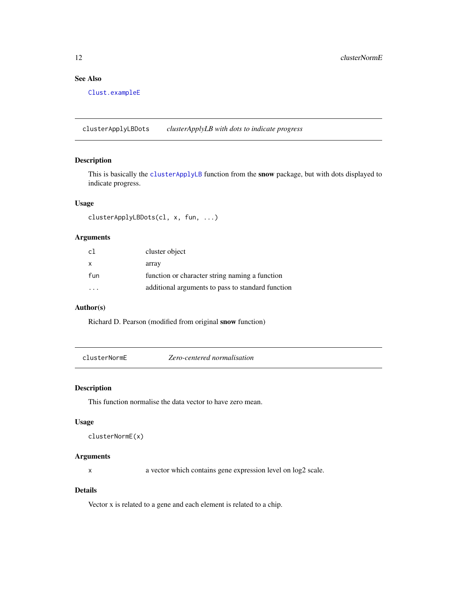# See Also

[Clust.exampleE](#page-10-2)

clusterApplyLBDots *clusterApplyLB with dots to indicate progress*

# Description

This is basically the [clusterApplyLB](#page-0-0) function from the snow package, but with dots displayed to indicate progress.

#### Usage

clusterApplyLBDots(cl, x, fun, ...)

# Arguments

| c <sub>1</sub> | cluster object                                    |
|----------------|---------------------------------------------------|
| X              | array                                             |
| fun            | function or character string naming a function    |
|                | additional arguments to pass to standard function |

# Author(s)

Richard D. Pearson (modified from original snow function)

clusterNormE *Zero-centered normalisation*

# Description

This function normalise the data vector to have zero mean.

#### Usage

```
clusterNormE(x)
```
# Arguments

x a vector which contains gene expression level on log2 scale.

# Details

Vector x is related to a gene and each element is related to a chip.

<span id="page-11-0"></span>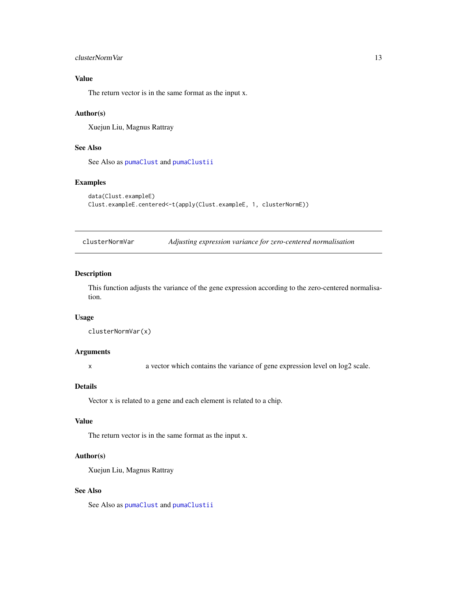# <span id="page-12-0"></span>clusterNormVar 13

# Value

The return vector is in the same format as the input x.

# Author(s)

Xuejun Liu, Magnus Rattray

# See Also

See Also as [pumaClust](#page-66-1) and [pumaClustii](#page-67-1)

# Examples

```
data(Clust.exampleE)
Clust.exampleE.centered<-t(apply(Clust.exampleE, 1, clusterNormE))
```
clusterNormVar *Adjusting expression variance for zero-centered normalisation*

# Description

This function adjusts the variance of the gene expression according to the zero-centered normalisation.

#### Usage

```
clusterNormVar(x)
```
# Arguments

x a vector which contains the variance of gene expression level on log2 scale.

# Details

Vector x is related to a gene and each element is related to a chip.

#### Value

The return vector is in the same format as the input x.

# Author(s)

Xuejun Liu, Magnus Rattray

# See Also

See Also as [pumaClust](#page-66-1) and [pumaClustii](#page-67-1)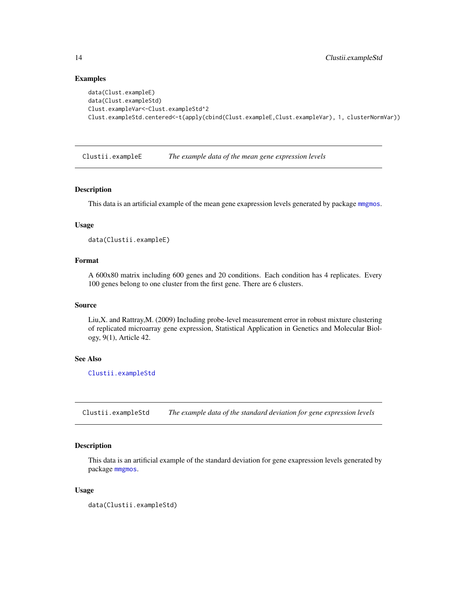# Examples

```
data(Clust.exampleE)
data(Clust.exampleStd)
Clust.exampleVar<-Clust.exampleStd^2
Clust.exampleStd.centered<-t(apply(cbind(Clust.exampleE,Clust.exampleVar), 1, clusterNormVar))
```
<span id="page-13-2"></span>Clustii.exampleE *The example data of the mean gene expression levels*

#### Description

This data is an artificial example of the mean gene exapression levels generated by package [mmgmos](#page-48-1).

# Usage

```
data(Clustii.exampleE)
```
# Format

A 600x80 matrix including 600 genes and 20 conditions. Each condition has 4 replicates. Every 100 genes belong to one cluster from the first gene. There are 6 clusters.

#### Source

Liu,X. and Rattray,M. (2009) Including probe-level measurement error in robust mixture clustering of replicated microarray gene expression, Statistical Application in Genetics and Molecular Biology, 9(1), Article 42.

# See Also

[Clustii.exampleStd](#page-13-1)

<span id="page-13-1"></span>Clustii.exampleStd *The example data of the standard deviation for gene expression levels*

# Description

This data is an artificial example of the standard deviation for gene exapression levels generated by package [mmgmos](#page-48-1).

#### Usage

data(Clustii.exampleStd)

<span id="page-13-0"></span>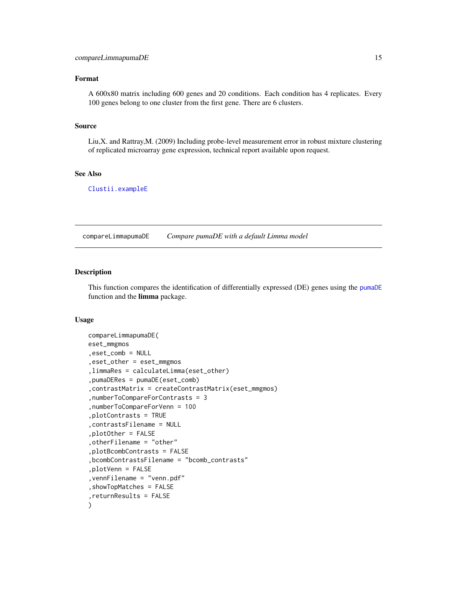# <span id="page-14-0"></span>Format

A 600x80 matrix including 600 genes and 20 conditions. Each condition has 4 replicates. Every 100 genes belong to one cluster from the first gene. There are 6 clusters.

#### Source

Liu,X. and Rattray,M. (2009) Including probe-level measurement error in robust mixture clustering of replicated microarray gene expression, technical report available upon request.

#### See Also

[Clustii.exampleE](#page-13-2)

compareLimmapumaDE *Compare pumaDE with a default Limma model*

#### **Description**

This function compares the identification of differentially expressed (DE) genes using the [pumaDE](#page-73-1) function and the limma package.

# Usage

```
compareLimmapumaDE(
eset_mmgmos
,eset_comb = NULL
,eset_other = eset_mmgmos
,limmaRes = calculateLimma(eset_other)
,pumaDERes = pumaDE(eset_comb)
,contrastMatrix = createContrastMatrix(eset_mmgmos)
,numberToCompareForContrasts = 3
,numberToCompareForVenn = 100
,plotContrasts = TRUE
,contrastsFilename = NULL
,plotOther = FALSE
,otherFilename = "other"
,plotBcombContrasts = FALSE
,bcombContrastsFilename = "bcomb_contrasts"
,plotVenn = FALSE
,vennFilename = "venn.pdf"
,showTopMatches = FALSE
,returnResults = FALSE
)
```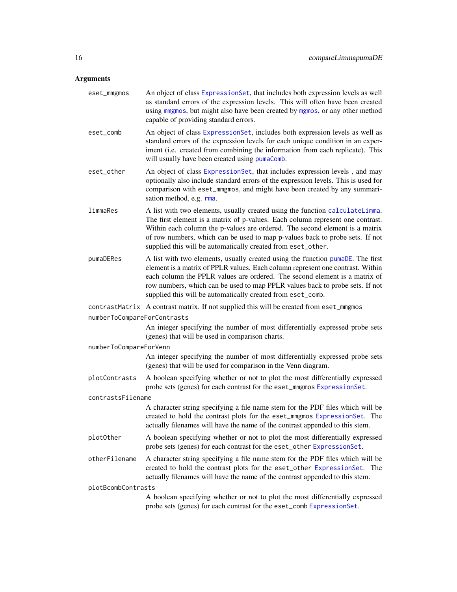# Arguments

| eset_mmgmos                 | An object of class ExpressionSet, that includes both expression levels as well<br>as standard errors of the expression levels. This will often have been created<br>using mingmos, but might also have been created by mgmos, or any other method<br>capable of providing standard errors.                                                                                                    |  |
|-----------------------------|-----------------------------------------------------------------------------------------------------------------------------------------------------------------------------------------------------------------------------------------------------------------------------------------------------------------------------------------------------------------------------------------------|--|
| eset_comb                   | An object of class ExpressionSet, includes both expression levels as well as<br>standard errors of the expression levels for each unique condition in an exper-<br>iment (i.e. created from combining the information from each replicate). This<br>will usually have been created using pumaComb.                                                                                            |  |
| eset_other                  | An object of class ExpressionSet, that includes expression levels, and may<br>optionally also include standard errors of the expression levels. This is used for<br>comparison with eset_mmgmos, and might have been created by any summari-<br>sation method, e.g. rma.                                                                                                                      |  |
| limmaRes                    | A list with two elements, usually created using the function calculateLimma.<br>The first element is a matrix of p-values. Each column represent one contrast.<br>Within each column the p-values are ordered. The second element is a matrix<br>of row numbers, which can be used to map p-values back to probe sets. If not<br>supplied this will be automatically created from eset_other. |  |
| pumaDERes                   | A list with two elements, usually created using the function pumaDE. The first<br>element is a matrix of PPLR values. Each column represent one contrast. Within<br>each column the PPLR values are ordered. The second element is a matrix of<br>row numbers, which can be used to map PPLR values back to probe sets. If not<br>supplied this will be automatically created from eset_comb. |  |
|                             | contrastMatrix A contrast matrix. If not supplied this will be created from eset_mmgmos                                                                                                                                                                                                                                                                                                       |  |
| numberToCompareForContrasts |                                                                                                                                                                                                                                                                                                                                                                                               |  |
|                             | An integer specifying the number of most differentially expressed probe sets<br>(genes) that will be used in comparison charts.                                                                                                                                                                                                                                                               |  |
| numberToCompareForVenn      |                                                                                                                                                                                                                                                                                                                                                                                               |  |
|                             | An integer specifying the number of most differentially expressed probe sets<br>(genes) that will be used for comparison in the Venn diagram.                                                                                                                                                                                                                                                 |  |
| plotContrasts               | A boolean specifying whether or not to plot the most differentially expressed<br>probe sets (genes) for each contrast for the eset_mmgmos ExpressionSet.                                                                                                                                                                                                                                      |  |
| contrastsFilename           |                                                                                                                                                                                                                                                                                                                                                                                               |  |
|                             | A character string specifying a file name stem for the PDF files which will be<br>created to hold the contrast plots for the eset_mmgmos ExpressionSet. The<br>actually filenames will have the name of the contrast appended to this stem.                                                                                                                                                   |  |
| plotOther                   | A boolean specifying whether or not to plot the most differentially expressed<br>probe sets (genes) for each contrast for the eset_other ExpressionSet.                                                                                                                                                                                                                                       |  |
| otherFilename               | A character string specifying a file name stem for the PDF files which will be<br>created to hold the contrast plots for the eset_other ExpressionSet. The<br>actually filenames will have the name of the contrast appended to this stem.                                                                                                                                                    |  |
| plotBcombContrasts          |                                                                                                                                                                                                                                                                                                                                                                                               |  |
|                             | A boolean specifying whether or not to plot the most differentially expressed<br>probe sets (genes) for each contrast for the eset_comb ExpressionSet.                                                                                                                                                                                                                                        |  |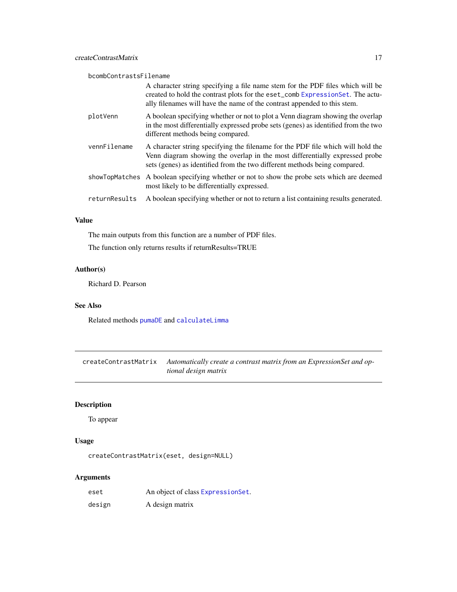<span id="page-16-0"></span>bcombContrastsFilename

|               | A character string specifying a file name stem for the PDF files which will be<br>created to hold the contrast plots for the eset_comb ExpressionSet. The actu-<br>ally filenames will have the name of the contrast appended to this stem. |
|---------------|---------------------------------------------------------------------------------------------------------------------------------------------------------------------------------------------------------------------------------------------|
| plotVenn      | A boolean specifying whether or not to plot a Venn diagram showing the overlap<br>in the most differentially expressed probe sets (genes) as identified from the two<br>different methods being compared.                                   |
| vennFilename  | A character string specifying the filename for the PDF file which will hold the<br>Venn diagram showing the overlap in the most differentially expressed probe<br>sets (genes) as identified from the two different methods being compared. |
|               | showTopMatches A boolean specifying whether or not to show the probe sets which are deemed<br>most likely to be differentially expressed.                                                                                                   |
| returnResults | A boolean specifying whether or not to return a list containing results generated.                                                                                                                                                          |

# Value

The main outputs from this function are a number of PDF files. The function only returns results if returnResults=TRUE

# Author(s)

Richard D. Pearson

# See Also

Related methods [pumaDE](#page-73-1) and [calculateLimma](#page-7-1)

<span id="page-16-1"></span>createContrastMatrix *Automatically create a contrast matrix from an ExpressionSet and optional design matrix*

# Description

To appear

# Usage

createContrastMatrix(eset, design=NULL)

# Arguments

| eset   | An object of class Expression Set. |
|--------|------------------------------------|
| design | A design matrix                    |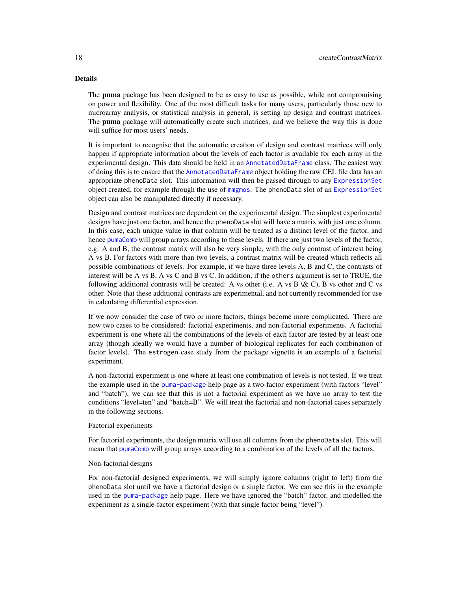# Details

The **puma** package has been designed to be as easy to use as possible, while not compromising on power and flexibility. One of the most difficult tasks for many users, particularly those new to microarray analysis, or statistical analysis in general, is setting up design and contrast matrices. The **puma** package will automatically create such matrices, and we believe the way this is done will suffice for most users' needs.

It is important to recognise that the automatic creation of design and contrast matrices will only happen if appropriate information about the levels of each factor is available for each array in the experimental design. This data should be held in an [AnnotatedDataFrame](#page-0-0) class. The easiest way of doing this is to ensure that the [AnnotatedDataFrame](#page-0-0) object holding the raw CEL file data has an appropriate phenoData slot. This information will then be passed through to any [ExpressionSet](#page-0-0) object created, for example through the use of [mmgmos](#page-48-1). The phenoData slot of an [ExpressionSet](#page-0-0) object can also be manipulated directly if necessary.

Design and contrast matrices are dependent on the experimental design. The simplest experimental designs have just one factor, and hence the phenoData slot will have a matrix with just one column. In this case, each unique value in that column will be treated as a distinct level of the factor, and hence [pumaComb](#page-69-1) will group arrays according to these levels. If there are just two levels of the factor, e.g. A and B, the contrast matrix will also be very simple, with the only contrast of interest being A vs B. For factors with more than two levels, a contrast matrix will be created which reflects all possible combinations of levels. For example, if we have three levels A, B and C, the contrasts of interest will be A vs B, A vs C and B vs C. In addition, if the others argument is set to TRUE, the following additional contrasts will be created: A vs other (i.e. A vs B  $\& C$ ), B vs other and C vs other. Note that these additional contrasts are experimental, and not currently recommended for use in calculating differential expression.

If we now consider the case of two or more factors, things become more complicated. There are now two cases to be considered: factorial experiments, and non-factorial experiments. A factorial experiment is one where all the combinations of the levels of each factor are tested by at least one array (though ideally we would have a number of biological replicates for each combination of factor levels). The estrogen case study from the package vignette is an example of a factorial experiment.

A non-factorial experiment is one where at least one combination of levels is not tested. If we treat the example used in the [puma-package](#page-2-1) help page as a two-factor experiment (with factors "level" and "batch"), we can see that this is not a factorial experiment as we have no array to test the conditions "level=ten" and "batch=B". We will treat the factorial and non-factorial cases separately in the following sections.

#### Factorial experiments

For factorial experiments, the design matrix will use all columns from the phenoData slot. This will mean that [pumaComb](#page-69-1) will group arrays according to a combination of the levels of all the factors.

#### Non-factorial designs

For non-factorial designed experiments, we will simply ignore columns (right to left) from the phenoData slot until we have a factorial design or a single factor. We can see this in the example used in the [puma-package](#page-2-1) help page. Here we have ignored the "batch" factor, and modelled the experiment as a single-factor experiment (with that single factor being "level").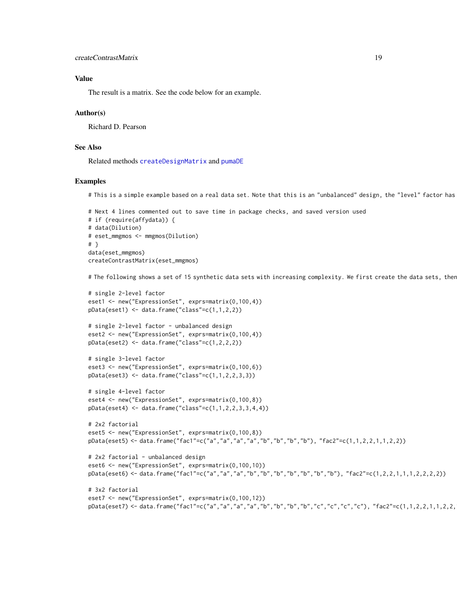#### Value

The result is a matrix. See the code below for an example.

#### Author(s)

Richard D. Pearson

# See Also

Related methods [createDesignMatrix](#page-20-1) and [pumaDE](#page-73-1)

#### Examples

# This is a simple example based on a real data set. Note that this is an "unbalanced" design, the "level" factor has

```
# Next 4 lines commented out to save time in package checks, and saved version used
# if (require(affydata)) {
# data(Dilution)
# eset_mmgmos <- mmgmos(Dilution)
# }
data(eset_mmgmos)
createContrastMatrix(eset_mmgmos)
```
# The following shows a set of 15 synthetic data sets with increasing complexity. We first create the data sets, ther

```
# single 2-level factor
eset1 <- new("ExpressionSet", exprs=matrix(0,100,4))
pData(eset1) \leftarrow data-frame("class" = c(1,1,2,2))
```

```
# single 2-level factor - unbalanced design
eset2 <- new("ExpressionSet", exprs=matrix(0,100,4))
pData(eset2) < - data frame("class" = c(1, 2, 2, 2))
```

```
# single 3-level factor
eset3 <- new("ExpressionSet", exprs=matrix(0,100,6))
pData(eset3) < - data frame("class" = c(1, 1, 2, 2, 3, 3))
```

```
# single 4-level factor
eset4 <- new("ExpressionSet", exprs=matrix(0,100,8))
pData(eset4) \leq data frame("class" = c(1, 1, 2, 2, 3, 3, 4, 4))
```

```
# 2x2 factorial
eset5 <- new("ExpressionSet", exprs=matrix(0,100,8))
pData(eset5) <- data.frame("fac1"=c("a","a","a","a","b","b","b","b"), "fac2"=c(1,1,2,2,1,1,2,2))
```

```
# 2x2 factorial - unbalanced design
eset6 <- new("ExpressionSet", exprs=matrix(0,100,10))
pData(eset6) <- data.frame("fac1"=c("a","a","a","b","b","b","b","b","b","b"), "fac2"=c(1,2,2,1,1,1,2,2,2,2))
```

```
# 3x2 factorial
eset7 <- new("ExpressionSet", exprs=matrix(0,100,12))
pData(eset7) <- data.frame("fac1"=c("a","a","a","a","b","b","b","b","c","c","c","c"), "fac2"=c(1,1,2,2,1,1,2,2,
```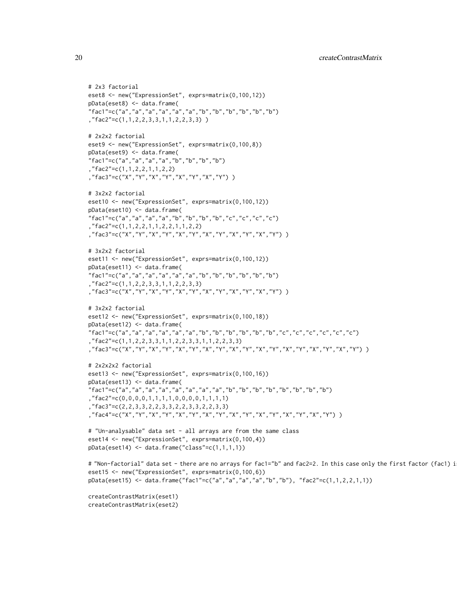```
# 2x3 factorial
eset8 <- new("ExpressionSet", exprs=matrix(0,100,12))
pData(eset8) <- data.frame(
"fac1"=c("a","a","a","a","a","a","b","b","b","b","b","b")
,"fac2"=c(1,1,2,2,3,3,1,1,2,2,3,3) )
# 2x2x2 factorial
eset9 <- new("ExpressionSet", exprs=matrix(0,100,8))
pData(eset9) <- data.frame(
"fac1"=c("a","a","a","a","b","b","b","b")
 ,"fac2"=c(1,1,2,2,1,1,2,2)
,"fac3"=c("X","Y","X","Y","X","Y","X","Y") )
# 3x2x2 factorial
eset10 <- new("ExpressionSet", exprs=matrix(0,100,12))
pData(eset10) <- data.frame(
"fac1"=c("a","a","a","a","b","b","b","b","c","c","c","c")
,"fac2"=c(1,1,2,2,1,1,2,2,1,1,2,2)
,"fac3"=c("X","Y","X","Y","X","Y","X","Y","X","Y","X","Y") )
# 3x2x2 factorial
eset11 <- new("ExpressionSet", exprs=matrix(0,100,12))
pData(eset11) <- data.frame(
"fac1"=c("a","a","a","a","a","a","b","b","b","b","b","b")
 "fac2" = c(1,1,2,2,3,3,1,1,2,2,3,3),"fac3"=c("X","Y","X","Y","X","Y","X","Y","X","Y","X","Y") )
# 3x2x2 factorial
eset12 <- new("ExpressionSet", exprs=matrix(0,100,18))
pData(eset12) <- data.frame(
"fac1"=c("a","a","a","a","a","a","b","b","b","b","b","b","c","c","c","c","c","c")
,"fac2"=c(1,1,2,2,3,3,1,1,2,2,3,3,1,1,2,2,3,3)
,"fac3"=c("X","Y","X","Y","X","Y","X","Y","X","Y","X","Y","X","Y","X","Y","X","Y") )
# 2x2x2x2 factorial
eset13 <- new("ExpressionSet", exprs=matrix(0,100,16))
pData(eset13) <- data.frame(
"fac1"=c("a","a","a","a","a","a","a","a","b","b","b","b","b","b","b","b")
,"fac2"=c(0,0,0,0,1,1,1,1,0,0,0,0,1,1,1,1)
 ,"fac3"=c(2,2,3,3,2,2,3,3,2,2,3,3,2,2,3,3)
,"fac4"=c("X","Y","X","Y","X","Y","X","Y","X","Y","X","Y","X","Y","X","Y") )
# "Un-analysable" data set - all arrays are from the same class
eset14 <- new("ExpressionSet", exprs=matrix(0,100,4))
pData(eset14) < - data frame("class" = c(1,1,1,1))# "Non-factorial" data set - there are no arrays for fac1="b" and fac2=2. In this case only the first factor (fac1) i
eset15 <- new("ExpressionSet", exprs=matrix(0,100,6))
pData(eset15) <- data.frame("fac1"=c("a","a","a","a","b","b"), "fac2"=c(1,1,2,2,1,1))
createContrastMatrix(eset1)
createContrastMatrix(eset2)
```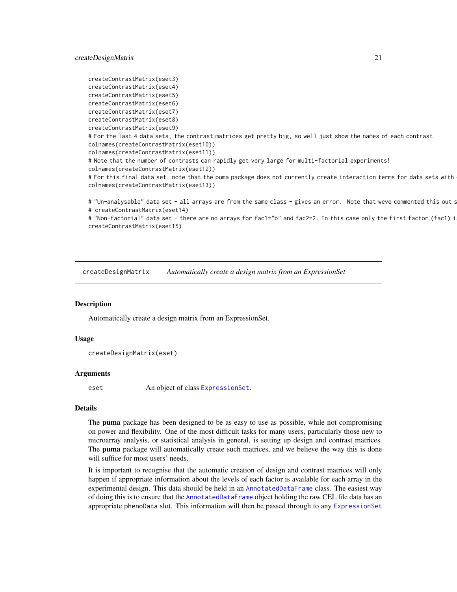```
createContrastMatrix(eset3)
createContrastMatrix(eset4)
createContrastMatrix(eset5)
createContrastMatrix(eset6)
createContrastMatrix(eset7)
createContrastMatrix(eset8)
createContrastMatrix(eset9)
# For the last 4 data sets, the contrast matrices get pretty big, so well just show the names of each contrast
colnames(createContrastMatrix(eset10))
colnames(createContrastMatrix(eset11))
# Note that the number of contrasts can rapidly get very large for multi-factorial experiments!
colnames(createContrastMatrix(eset12))
# For this final data set, note that the puma package does not currently create interaction terms for data sets with
colnames(createContrastMatrix(eset13))
# "Un-analysable" data set - all arrays are from the same class - gives an error. Note that weve commented this out s
# createContrastMatrix(eset14)
```
# "Non-factorial" data set - there are no arrays for fac1="b" and fac2=2. In this case only the first factor (fac1) i createContrastMatrix(eset15)

<span id="page-20-1"></span>createDesignMatrix *Automatically create a design matrix from an ExpressionSet*

#### Description

Automatically create a design matrix from an ExpressionSet.

#### Usage

```
createDesignMatrix(eset)
```
#### Arguments

eset An object of class [ExpressionSet](#page-0-0).

#### Details

The **puma** package has been designed to be as easy to use as possible, while not compromising on power and flexibility. One of the most difficult tasks for many users, particularly those new to microarray analysis, or statistical analysis in general, is setting up design and contrast matrices. The **puma** package will automatically create such matrices, and we believe the way this is done will suffice for most users' needs.

It is important to recognise that the automatic creation of design and contrast matrices will only happen if appropriate information about the levels of each factor is available for each array in the experimental design. This data should be held in an [AnnotatedDataFrame](#page-0-0) class. The easiest way of doing this is to ensure that the [AnnotatedDataFrame](#page-0-0) object holding the raw CEL file data has an appropriate phenoData slot. This information will then be passed through to any [ExpressionSet](#page-0-0)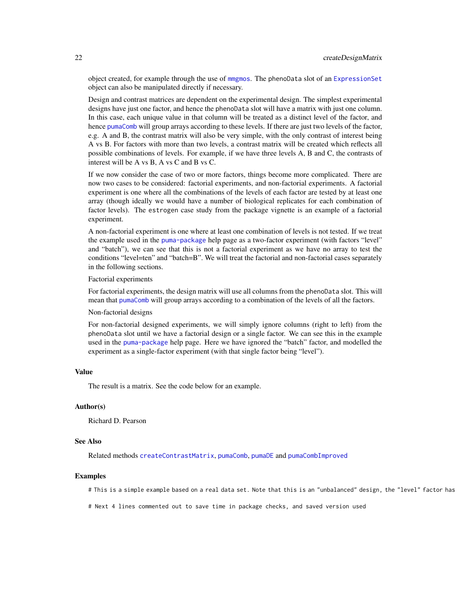object created, for example through the use of [mmgmos](#page-48-1). The phenoData slot of an [ExpressionSet](#page-0-0) object can also be manipulated directly if necessary.

Design and contrast matrices are dependent on the experimental design. The simplest experimental designs have just one factor, and hence the phenoData slot will have a matrix with just one column. In this case, each unique value in that column will be treated as a distinct level of the factor, and hence [pumaComb](#page-69-1) will group arrays according to these levels. If there are just two levels of the factor, e.g. A and B, the contrast matrix will also be very simple, with the only contrast of interest being A vs B. For factors with more than two levels, a contrast matrix will be created which reflects all possible combinations of levels. For example, if we have three levels A, B and C, the contrasts of interest will be A vs B, A vs C and B vs C.

If we now consider the case of two or more factors, things become more complicated. There are now two cases to be considered: factorial experiments, and non-factorial experiments. A factorial experiment is one where all the combinations of the levels of each factor are tested by at least one array (though ideally we would have a number of biological replicates for each combination of factor levels). The estrogen case study from the package vignette is an example of a factorial experiment.

A non-factorial experiment is one where at least one combination of levels is not tested. If we treat the example used in the [puma-package](#page-2-1) help page as a two-factor experiment (with factors "level" and "batch"), we can see that this is not a factorial experiment as we have no array to test the conditions "level=ten" and "batch=B". We will treat the factorial and non-factorial cases separately in the following sections.

Factorial experiments

For factorial experiments, the design matrix will use all columns from the phenoData slot. This will mean that [pumaComb](#page-69-1) will group arrays according to a combination of the levels of all the factors.

# Non-factorial designs

For non-factorial designed experiments, we will simply ignore columns (right to left) from the phenoData slot until we have a factorial design or a single factor. We can see this in the example used in the [puma-package](#page-2-1) help page. Here we have ignored the "batch" factor, and modelled the experiment as a single-factor experiment (with that single factor being "level").

#### Value

The result is a matrix. See the code below for an example.

#### Author(s)

Richard D. Pearson

#### See Also

Related methods [createContrastMatrix](#page-16-1), [pumaComb](#page-69-1), [pumaDE](#page-73-1) and [pumaCombImproved](#page-71-1)

## Examples

# This is a simple example based on a real data set. Note that this is an "unbalanced" design, the "level" factor has

# Next 4 lines commented out to save time in package checks, and saved version used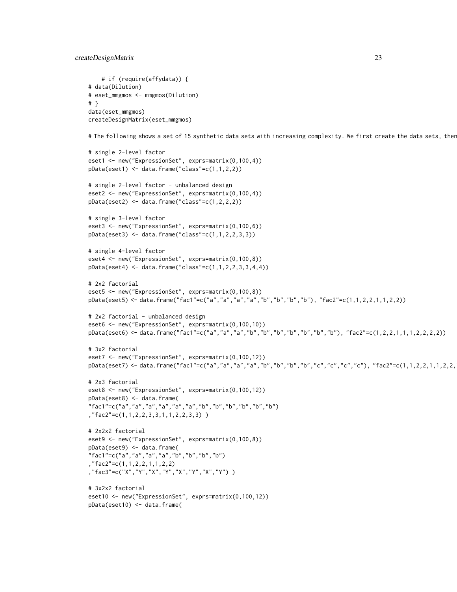```
# if (require(affydata)) {
# data(Dilution)
# eset_mmgmos <- mmgmos(Dilution)
# }
data(eset_mmgmos)
createDesignMatrix(eset_mmgmos)
# The following shows a set of 15 synthetic data sets with increasing complexity. We first create the data sets, ther
# single 2-level factor
eset1 <- new("ExpressionSet", exprs=matrix(0,100,4))
pData(eset1) < - data.frame("class"=c(1,1,2,2))
# single 2-level factor - unbalanced design
eset2 <- new("ExpressionSet", exprs=matrix(0,100,4))
pData(eset2) <- data.frame("class"=c(1,2,2,2))
# single 3-level factor
eset3 <- new("ExpressionSet", exprs=matrix(0,100,6))
pData(eset3) < - data frame("class" = c(1, 1, 2, 2, 3, 3))# single 4-level factor
eset4 <- new("ExpressionSet", exprs=matrix(0,100,8))
pData(eset4) < -data frame("class" = c(1,1,2,2,3,3,4,4))# 2x2 factorial
eset5 <- new("ExpressionSet", exprs=matrix(0,100,8))
pData(eset5) <- data.frame("fac1"=c("a","a","a","a","b","b","b","b"), "fac2"=c(1,1,2,2,1,1,2,2))
# 2x2 factorial - unbalanced design
eset6 <- new("ExpressionSet", exprs=matrix(0,100,10))
pData(eset6) <- data.frame("fac1"=c("a","a","a","b","b","b","b","b","b","b"), "fac2"=c(1,2,2,1,1,1,2,2,2,2))
# 3x2 factorial
eset7 <- new("ExpressionSet", exprs=matrix(0,100,12))
pData(eset7) <- data.frame("fac1"=c("a","a","a","a","b","b","b","b","c","c","c","c"), "fac2"=c(1,1,2,2,1,1,2,2,
# 2x3 factorial
eset8 <- new("ExpressionSet", exprs=matrix(0,100,12))
pData(eset8) <- data.frame(
"fac1"=c("a","a","a","a","a","a","b","b","b","b","b","b")
,"fac2"=c(1,1,2,2,3,3,1,1,2,2,3,3) )
# 2x2x2 factorial
eset9 <- new("ExpressionSet", exprs=matrix(0,100,8))
pData(eset9) <- data.frame(
"fac1"=c("a","a","a","a","b","b","b","b")
,"fac2"=c(1,1,2,2,1,1,2,2)
,"fac3"=c("X","Y","X","Y","X","Y","X","Y") )
# 3x2x2 factorial
eset10 <- new("ExpressionSet", exprs=matrix(0,100,12))
pData(eset10) <- data.frame(
```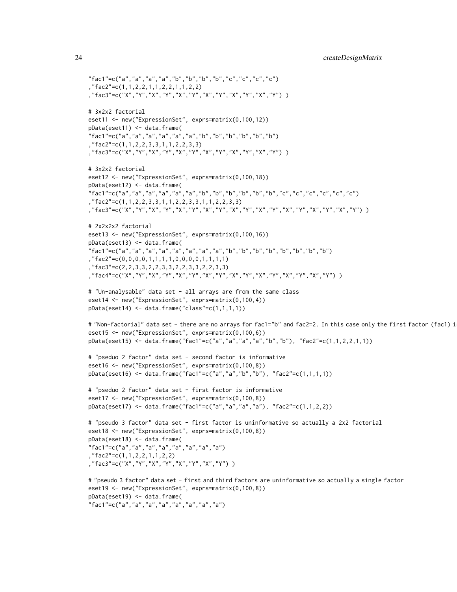```
"fac1"=c("a","a","a","a","b","b","b","b","c","c","c","c")
,"fac2"=c(1,1,2,2,1,1,2,2,1,1,2,2)
,"fac3"=c("X","Y","X","Y","X","Y","X","Y","X","Y","X","Y") )
# 3x2x2 factorial
eset11 <- new("ExpressionSet", exprs=matrix(0,100,12))
pData(eset11) <- data.frame(
"fac1"=c("a","a","a","a","a","a","b","b","b","b","b","b")
,"fac2"=c(1,1,2,2,3,3,1,1,2,2,3,3)
,"fac3"=c("X","Y","X","Y","X","Y","X","Y","X","Y","X","Y") )
# 3x2x2 factorial
eset12 <- new("ExpressionSet", exprs=matrix(0,100,18))
pData(eset12) <- data.frame(
"fac1"=c("a","a","a","a","a","a","b","b","b","b","b","b","c","c","c","c","c","c")
,"fac2"=c(1,1,2,2,3,3,1,1,2,2,3,3,1,1,2,2,3,3)
,"fac3"=c("X","Y","X","Y","X","Y","X","Y","X","Y","X","Y","X","Y","X","Y","X","Y") )
# 2x2x2x2 factorial
eset13 <- new("ExpressionSet", exprs=matrix(0,100,16))
pData(eset13) <- data.frame(
"fac1"=c("a","a","a","a","a","a","a","a","b","b","b","b","b","b","b","b")
,"fac2"=c(0,0,0,0,1,1,1,1,0,0,0,0,1,1,1,1)
 "fac3" = c(2,2,3,3,2,2,3,3,2,2,3,3,2,2,3,3),"fac4"=c("X","Y","X","Y","X","Y","X","Y","X","Y","X","Y","X","Y","X","Y") )
# "Un-analysable" data set - all arrays are from the same class
eset14 <- new("ExpressionSet", exprs=matrix(0,100,4))
pData(eset14) \leftarrow data frame("class" = c(1,1,1,1))# "Non-factorial" data set - there are no arrays for fac1="b" and fac2=2. In this case only the first factor (fac1) i
eset15 <- new("ExpressionSet", exprs=matrix(0,100,6))
pData(eset15) <- data.frame("fac1"=c("a","a","a","a","b","b"), "fac2"=c(1,1,2,2,1,1))
# "pseduo 2 factor" data set - second factor is informative
eset16 <- new("ExpressionSet", exprs=matrix(0,100,8))
pData(eset16) <- data.frame("fac1"=c("a","a","b","b"), "fac2"=c(1,1,1,1))
# "pseduo 2 factor" data set - first factor is informative
eset17 <- new("ExpressionSet", exprs=matrix(0,100,8))
pData(eset17) <- data.frame("fac1"=c("a","a","a","a"), "fac2"=c(1,1,2,2))
# "pseudo 3 factor" data set - first factor is uninformative so actually a 2x2 factorial
eset18 <- new("ExpressionSet", exprs=matrix(0,100,8))
pData(eset18) <- data.frame(
"fac1"=c("a","a","a","a","a","a","a","a")
,"fac2"=c(1,1,2,2,1,1,2,2)
,"fac3"=c("X","Y","X","Y","X","Y","X","Y") )
# "pseudo 3 factor" data set - first and third factors are uninformative so actually a single factor
eset19 <- new("ExpressionSet", exprs=matrix(0,100,8))
pData(eset19) <- data.frame(
"fac1"=c("a","a","a","a","a","a","a","a")
```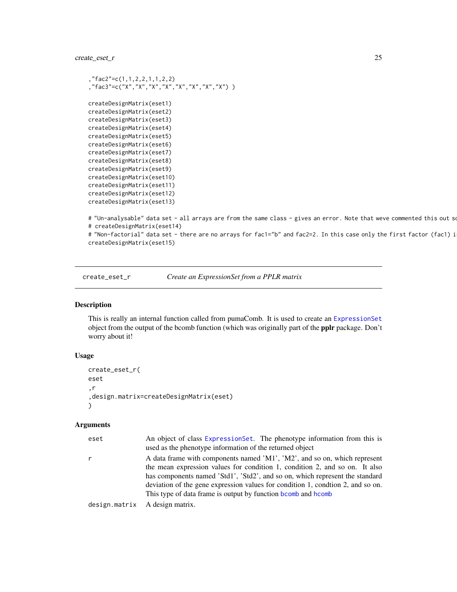<span id="page-24-0"></span>create\_eset\_r 25

```
,"fac2"=c(1,1,2,2,1,1,2,2)
,"fac3"=c("X","X","X","X","X","X","X","X") )
createDesignMatrix(eset1)
createDesignMatrix(eset2)
createDesignMatrix(eset3)
createDesignMatrix(eset4)
createDesignMatrix(eset5)
createDesignMatrix(eset6)
createDesignMatrix(eset7)
createDesignMatrix(eset8)
createDesignMatrix(eset9)
createDesignMatrix(eset10)
createDesignMatrix(eset11)
createDesignMatrix(eset12)
createDesignMatrix(eset13)
# "Un-analysable" data set - all arrays are from the same class - gives an error. Note that weve commented this out so
# createDesignMatrix(eset14)
```
# "Non-factorial" data set - there are no arrays for fac1="b" and fac2=2. In this case only the first factor (fac1) i

```
createDesignMatrix(eset15)
```
create\_eset\_r *Create an ExpressionSet from a PPLR matrix*

# Description

This is really an internal function called from pumaComb. It is used to create an [ExpressionSet](#page-0-0) object from the output of the bcomb function (which was originally part of the pplr package. Don't worry about it!

#### Usage

```
create_eset_r(
eset
,r
,design.matrix=createDesignMatrix(eset)
)
```
# Arguments

| eset          | An object of class ExpressionSet. The phenotype information from this is<br>used as the phenotype information of the returned object                                                                                             |
|---------------|----------------------------------------------------------------------------------------------------------------------------------------------------------------------------------------------------------------------------------|
| r             | A data frame with components named 'M1', 'M2', and so on, which represent<br>the mean expression values for condition 1, condition 2, and so on. It also                                                                         |
|               | has components named 'Std1', 'Std2', and so on, which represent the standard<br>deviation of the gene expression values for condition 1, condition 2, and so on.<br>This type of data frame is output by function boomb and homb |
| design.matrix | A design matrix.                                                                                                                                                                                                                 |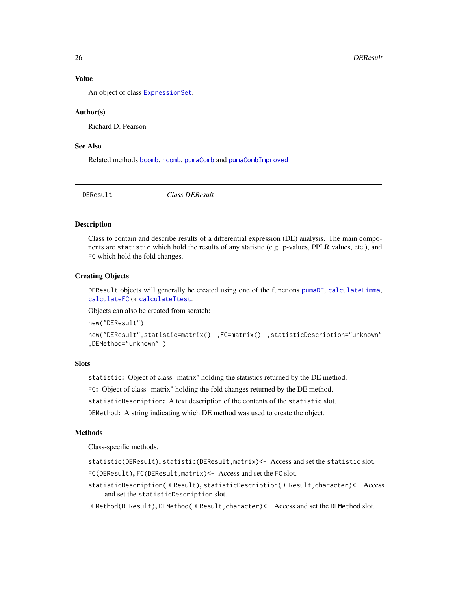# <span id="page-25-0"></span>Value

An object of class [ExpressionSet](#page-0-0).

#### Author(s)

Richard D. Pearson

# See Also

Related methods [bcomb](#page-4-1), [hcomb](#page-36-1), [pumaComb](#page-69-1) and [pumaCombImproved](#page-71-1)

<span id="page-25-1"></span>

DEResult *Class DEResult*

#### Description

Class to contain and describe results of a differential expression (DE) analysis. The main components are statistic which hold the results of any statistic (e.g. p-values, PPLR values, etc.), and FC which hold the fold changes.

#### Creating Objects

DEResult objects will generally be created using one of the functions [pumaDE](#page-73-1), [calculateLimma](#page-7-1), [calculateFC](#page-6-1) or [calculateTtest](#page-8-1).

Objects can also be created from scratch:

new("DEResult")

```
new("DEResult",statistic=matrix() ,FC=matrix() ,statisticDescription="unknown"
,DEMethod="unknown" )
```
# **Slots**

statistic: Object of class "matrix" holding the statistics returned by the DE method.

FC: Object of class "matrix" holding the fold changes returned by the DE method.

statisticDescription: A text description of the contents of the statistic slot.

DEMethod: A string indicating which DE method was used to create the object.

# Methods

Class-specific methods.

- statistic(DEResult), statistic(DEResult,matrix)<- Access and set the statistic slot.
- FC(DEResult), FC(DEResult, matrix)<- Access and set the FC slot.
- statisticDescription(DEResult), statisticDescription(DEResult,character)<- Access and set the statisticDescription slot.

DEMethod(DEResult), DEMethod(DEResult,character)<- Access and set the DEMethod slot.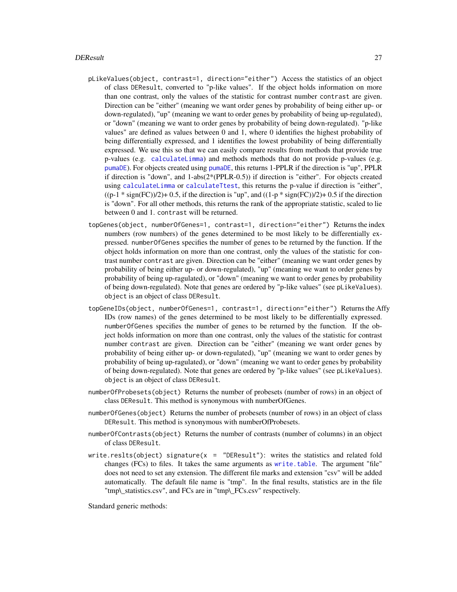#### DEResult 27

- pLikeValues(object, contrast=1, direction="either") Access the statistics of an object of class DEResult, converted to "p-like values". If the object holds information on more than one contrast, only the values of the statistic for contrast number contrast are given. Direction can be "either" (meaning we want order genes by probability of being either up- or down-regulated), "up" (meaning we want to order genes by probability of being up-regulated), or "down" (meaning we want to order genes by probability of being down-regulated). "p-like values" are defined as values between 0 and 1, where 0 identifies the highest probability of being differentially expressed, and 1 identifies the lowest probability of being differentially expressed. We use this so that we can easily compare results from methods that provide true p-values (e.g. [calculateLimma](#page-7-1)) and methods methods that do not provide p-values (e.g. [pumaDE](#page-73-1)). For objects created using [pumaDE](#page-73-1), this returns 1-PPLR if the direction is "up", PPLR if direction is "down", and 1-abs(2\*(PPLR-0.5)) if direction is "either". For objects created using [calculateLimma](#page-7-1) or [calculateTtest](#page-8-1), this returns the p-value if direction is "either",  $((p-1 * sign(FC))/2)$ + 0.5, if the direction is "up", and  $((1-p * sign(FC))/2)$ + 0.5 if the direction is "down". For all other methods, this returns the rank of the appropriate statistic, scaled to lie between 0 and 1. contrast will be returned.
- topGenes(object, numberOfGenes=1, contrast=1, direction="either") Returns the index numbers (row numbers) of the genes determined to be most likely to be differentially expressed. numberOfGenes specifies the number of genes to be returned by the function. If the object holds information on more than one contrast, only the values of the statistic for contrast number contrast are given. Direction can be "either" (meaning we want order genes by probability of being either up- or down-regulated), "up" (meaning we want to order genes by probability of being up-ragulated), or "down" (meaning we want to order genes by probability of being down-regulated). Note that genes are ordered by "p-like values" (see pLikeValues). object is an object of class DEResult.
- topGeneIDs(object, numberOfGenes=1, contrast=1, direction="either") Returns the Affy IDs (row names) of the genes determined to be most likely to be differentially expressed. numberOfGenes specifies the number of genes to be returned by the function. If the object holds information on more than one contrast, only the values of the statistic for contrast number contrast are given. Direction can be "either" (meaning we want order genes by probability of being either up- or down-regulated), "up" (meaning we want to order genes by probability of being up-ragulated), or "down" (meaning we want to order genes by probability of being down-regulated). Note that genes are ordered by "p-like values" (see pLikeValues). object is an object of class DEResult.
- numberOfProbesets(object) Returns the number of probesets (number of rows) in an object of class DEResult. This method is synonymous with numberOfGenes.
- numberOfGenes(object) Returns the number of probesets (number of rows) in an object of class DEResult. This method is synonymous with numberOfProbesets.
- numberOfContrasts(object) Returns the number of contrasts (number of columns) in an object of class DEResult.
- write.reslts(object) signature( $x =$  "DEResult"): writes the statistics and related fold changes (FCs) to files. It takes the same arguments as [write.table](#page-0-0). The argument "file" does not need to set any extension. The different file marks and extension "csv" will be added automatically. The default file name is "tmp". In the final results, statistics are in the file "tmp\ statistics.csv", and FCs are in "tmp\ FCs.csv" respectively.

Standard generic methods: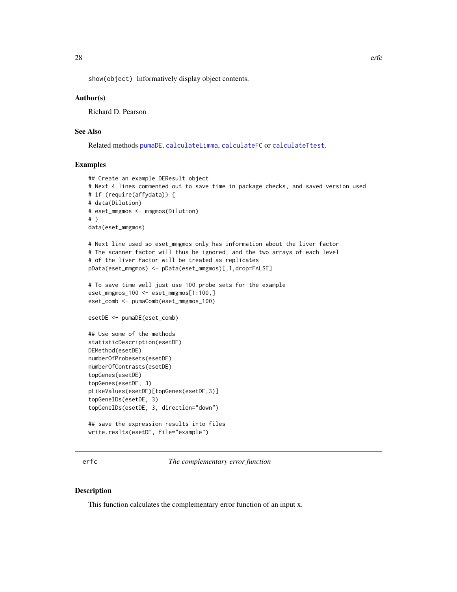<span id="page-27-0"></span>show(object) Informatively display object contents.

#### Author(s)

Richard D. Pearson

# See Also

Related methods [pumaDE](#page-73-1), [calculateLimma](#page-7-1), [calculateFC](#page-6-1) or [calculateTtest](#page-8-1).

# Examples

```
## Create an example DEResult object
# Next 4 lines commented out to save time in package checks, and saved version used
# if (require(affydata)) {
# data(Dilution)
# eset_mmgmos <- mmgmos(Dilution)
# }
data(eset_mmgmos)
# Next line used so eset_mmgmos only has information about the liver factor
# The scanner factor will thus be ignored, and the two arrays of each level
# of the liver factor will be treated as replicates
pData(eset_mmgmos) <- pData(eset_mmgmos)[,1,drop=FALSE]
# To save time well just use 100 probe sets for the example
eset_mmgmos_100 <- eset_mmgmos[1:100,]
eset_comb <- pumaComb(eset_mmgmos_100)
esetDE <- pumaDE(eset_comb)
## Use some of the methods
statisticDescription(esetDE)
DEMethod(esetDE)
numberOfProbesets(esetDE)
numberOfContrasts(esetDE)
topGenes(esetDE)
topGenes(esetDE, 3)
pLikeValues(esetDE)[topGenes(esetDE,3)]
topGeneIDs(esetDE, 3)
topGeneIDs(esetDE, 3, direction="down")
## save the expression results into files
write.reslts(esetDE, file="example")
```
erfc *The complementary error function*

#### Description

This function calculates the complementary error function of an input x.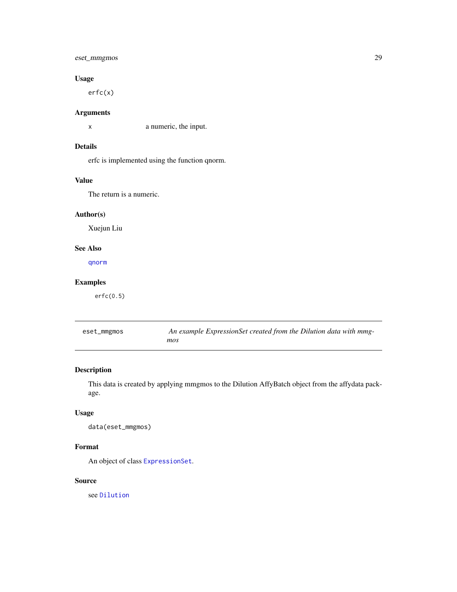# <span id="page-28-0"></span>eset\_mmgmos 29

# Usage

erfc(x)

# Arguments

x a numeric, the input.

# Details

erfc is implemented using the function qnorm.

# Value

The return is a numeric.

# Author(s)

Xuejun Liu

# See Also

[qnorm](#page-0-0)

# Examples

erfc(0.5)

eset\_mmgmos *An example ExpressionSet created from the Dilution data with mmgmos*

# Description

This data is created by applying mmgmos to the Dilution AffyBatch object from the affydata package.

# Usage

data(eset\_mmgmos)

# Format

An object of class [ExpressionSet](#page-0-0).

# Source

see [Dilution](#page-0-0)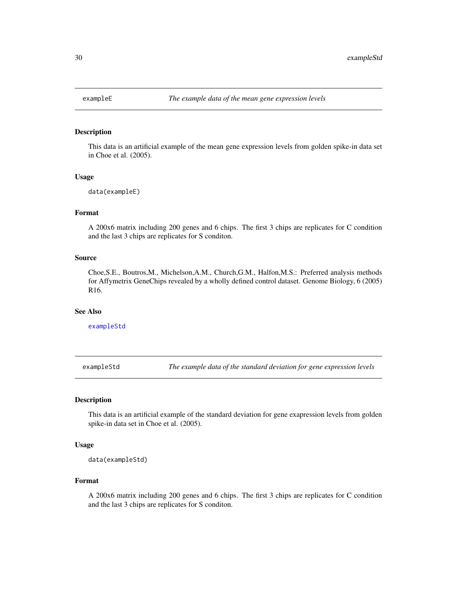<span id="page-29-2"></span><span id="page-29-0"></span>

# Description

This data is an artificial example of the mean gene expression levels from golden spike-in data set in Choe et al. (2005).

#### Usage

```
data(exampleE)
```
#### Format

A 200x6 matrix including 200 genes and 6 chips. The first 3 chips are replicates for C condition and the last 3 chips are replicates for S conditon.

#### Source

Choe,S.E., Boutros,M., Michelson,A.M., Church,G.M., Halfon,M.S.: Preferred analysis methods for Affymetrix GeneChips revealed by a wholly defined control dataset. Genome Biology, 6 (2005) R16.

#### See Also

[exampleStd](#page-29-1)

<span id="page-29-1"></span>exampleStd *The example data of the standard deviation for gene expression levels*

#### Description

This data is an artificial example of the standard deviation for gene exapression levels from golden spike-in data set in Choe et al. (2005).

#### Usage

```
data(exampleStd)
```
#### Format

A 200x6 matrix including 200 genes and 6 chips. The first 3 chips are replicates for C condition and the last 3 chips are replicates for S conditon.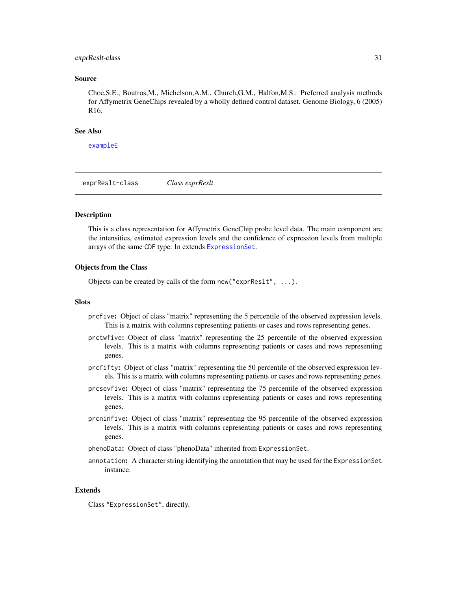#### <span id="page-30-0"></span>exprReslt-class 31

#### Source

Choe,S.E., Boutros,M., Michelson,A.M., Church,G.M., Halfon,M.S.: Preferred analysis methods for Affymetrix GeneChips revealed by a wholly defined control dataset. Genome Biology, 6 (2005) R16.

# See Also

[exampleE](#page-29-2)

<span id="page-30-2"></span>exprReslt-class *Class exprReslt*

#### <span id="page-30-1"></span>Description

This is a class representation for Affymetrix GeneChip probe level data. The main component are the intensities, estimated expression levels and the confidence of expression levels from multiple arrays of the same CDF type. In extends [ExpressionSet](#page-0-0).

#### Objects from the Class

Objects can be created by calls of the form new ("exprReslt",  $\dots$ ).

#### **Slots**

- prcfive: Object of class "matrix" representing the 5 percentile of the observed expression levels. This is a matrix with columns representing patients or cases and rows representing genes.
- prctwfive: Object of class "matrix" representing the 25 percentile of the observed expression levels. This is a matrix with columns representing patients or cases and rows representing genes.
- prcfifty: Object of class "matrix" representing the 50 percentile of the observed expression levels. This is a matrix with columns representing patients or cases and rows representing genes.
- prcsevfive: Object of class "matrix" representing the 75 percentile of the observed expression levels. This is a matrix with columns representing patients or cases and rows representing genes.
- prcninfive: Object of class "matrix" representing the 95 percentile of the observed expression levels. This is a matrix with columns representing patients or cases and rows representing genes.
- phenoData: Object of class "phenoData" inherited from ExpressionSet.
- annotation: A character string identifying the annotation that may be used for the ExpressionSet instance.

#### Extends

Class "ExpressionSet", directly.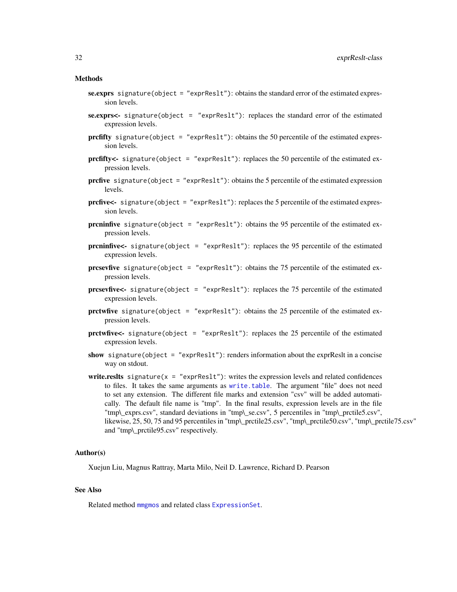#### Methods

- se.exprs signature(object = "exprReslt"): obtains the standard error of the estimated expression levels.
- se.exprs<- signature(object = "exprReslt"): replaces the standard error of the estimated expression levels.
- prcfifty signature(object = "exprReslt"): obtains the 50 percentile of the estimated expression levels.
- prcfifty<- signature(object = "exprReslt"): replaces the 50 percentile of the estimated expression levels.
- prcfive signature(object = "exprReslt"): obtains the 5 percentile of the estimated expression levels.
- **prcfive**  $\leq$  signature(object = "exprReslt"): replaces the 5 percentile of the estimated expression levels.
- prcninfive signature(object = "exprReslt"): obtains the 95 percentile of the estimated expression levels.
- prcninfive<- signature(object = "exprReslt"): replaces the 95 percentile of the estimated expression levels.
- **prcsevfive** signature(object = "exprReslt"): obtains the 75 percentile of the estimated expression levels.
- prcsevfive<- signature(object = "exprReslt"): replaces the 75 percentile of the estimated expression levels.
- prctwfive signature(object = "exprReslt"): obtains the 25 percentile of the estimated expression levels.
- prctwfive<- signature(object = "exprReslt"): replaces the 25 percentile of the estimated expression levels.
- show signature(object = "exprReslt"): renders information about the exprResit in a concise way on stdout.
- write.reslts signature( $x =$  "exprReslt"): writes the expression levels and related confidences to files. It takes the same arguments as [write.table](#page-0-0). The argument "file" does not need to set any extension. The different file marks and extension "csv" will be added automatically. The default file name is "tmp". In the final results, expression levels are in the file "tmp\\_exprs.csv", standard deviations in "tmp\\_se.csv", 5 percentiles in "tmp\\_prctile5.csv", likewise, 25, 50, 75 and 95 percentiles in "tmp\\_prctile25.csv", "tmp\\_prctile50.csv", "tmp\\_prctile75.csv" and "tmp\\_prctile95.csv" respectively.

#### Author(s)

Xuejun Liu, Magnus Rattray, Marta Milo, Neil D. Lawrence, Richard D. Pearson

# See Also

Related method [mmgmos](#page-48-1) and related class [ExpressionSet](#page-0-0).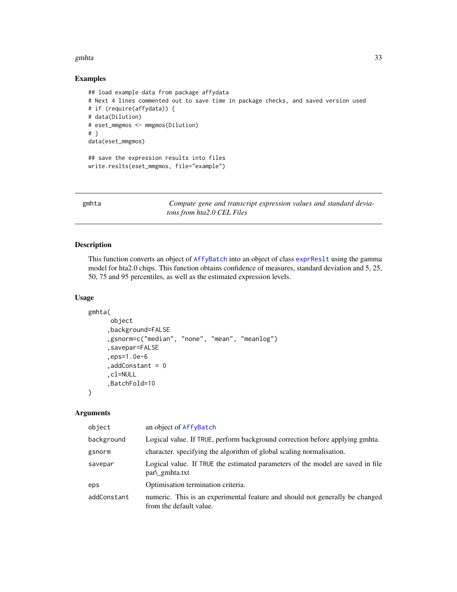#### <span id="page-32-0"></span>gmhta 33

# Examples

```
## load example data from package affydata
# Next 4 lines commented out to save time in package checks, and saved version used
# if (require(affydata)) {
# data(Dilution)
# eset_mmgmos <- mmgmos(Dilution)
# }
data(eset_mmgmos)
## save the expression results into files
write.reslts(eset_mmgmos, file="example")
```
gmhta *Compute gene and transcript expression values and standard deviatons from hta2.0 CEL Files*

# Description

This function converts an object of [AffyBatch](#page-0-0) into an object of class [exprReslt](#page-30-1) using the gamma model for hta2.0 chips. This function obtains confidence of measures, standard deviation and 5, 25, 50, 75 and 95 percentiles, as well as the estimated expression levels.

#### Usage

```
gmhta(
      object
     ,background=FALSE
     ,gsnorm=c("median", "none", "mean", "meanlog")
     ,savepar=FALSE
     ,eps=1.0e-6
     ,addConstant = 0
     ,cl=NULL
     ,BatchFold=10
```
#### Arguments

 $\lambda$ 

| object      | an object of AffyBatch                                                                                  |
|-------------|---------------------------------------------------------------------------------------------------------|
| background  | Logical value. If TRUE, perform background correction before applying gmhta.                            |
| gsnorm      | character, specifying the algorithm of global scaling normalisation.                                    |
| savepar     | Logical value. If TRUE the estimated parameters of the model are saved in file<br>par\_gmhta.txt        |
| eps         | Optimisation termination criteria.                                                                      |
| addConstant | numeric. This is an experimental feature and should not generally be changed<br>from the default value. |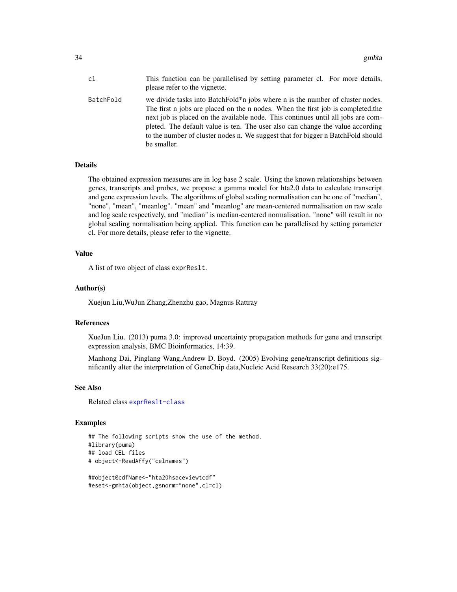| c1        | This function can be parallelised by setting parameter cl. For more details,<br>please refer to the vignette.                                                                                                                                                                                                                                                                                                                             |
|-----------|-------------------------------------------------------------------------------------------------------------------------------------------------------------------------------------------------------------------------------------------------------------------------------------------------------------------------------------------------------------------------------------------------------------------------------------------|
| BatchFold | we divide tasks into BatchFold*n jobs where n is the number of cluster nodes.<br>The first n jobs are placed on the n nodes. When the first job is completed, the<br>next job is placed on the available node. This continues until all jobs are com-<br>pleted. The default value is ten. The user also can change the value according<br>to the number of cluster nodes n. We suggest that for bigger n BatchFold should<br>be smaller. |

# Details

The obtained expression measures are in log base 2 scale. Using the known relationships between genes, transcripts and probes, we propose a gamma model for hta2.0 data to calculate transcript and gene expression levels. The algorithms of global scaling normalisation can be one of "median", "none", "mean", "meanlog". "mean" and "meanlog" are mean-centered normalisation on raw scale and log scale respectively, and "median" is median-centered normalisation. "none" will result in no global scaling normalisation being applied. This function can be parallelised by setting parameter cl. For more details, please refer to the vignette.

#### Value

A list of two object of class exprReslt.

# Author(s)

Xuejun Liu,WuJun Zhang,Zhenzhu gao, Magnus Rattray

# References

XueJun Liu. (2013) puma 3.0: improved uncertainty propagation methods for gene and transcript expression analysis, BMC Bioinformatics, 14:39.

Manhong Dai, Pinglang Wang,Andrew D. Boyd. (2005) Evolving gene/transcript definitions significantly alter the interpretation of GeneChip data,Nucleic Acid Research 33(20):e175.

#### See Also

Related class [exprReslt-class](#page-30-2)

#### Examples

```
## The following scripts show the use of the method.
#library(puma)
## load CEL files
# object<-ReadAffy("celnames")
```

```
##object@cdfName<-"hta20hsaceviewtcdf"
#eset<-gmhta(object,gsnorm="none",cl=cl)
```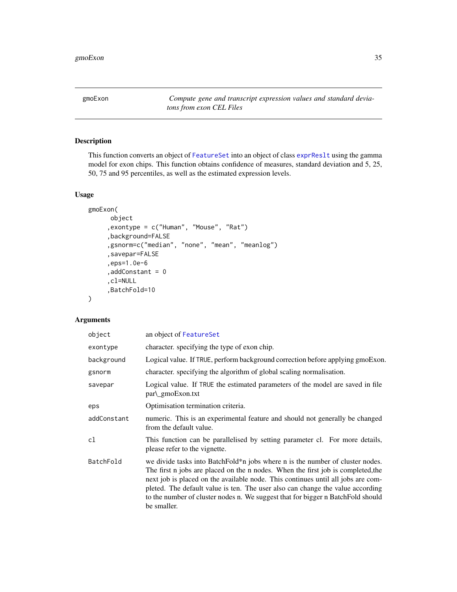<span id="page-34-0"></span>gmoExon *Compute gene and transcript expression values and standard deviatons from exon CEL Files*

# Description

This function converts an object of [FeatureSet](#page-0-0) into an object of class [exprReslt](#page-30-1) using the gamma model for exon chips. This function obtains confidence of measures, standard deviation and 5, 25, 50, 75 and 95 percentiles, as well as the estimated expression levels.

# Usage

```
gmoExon(
     object
     ,exontype = c("Human", "Mouse", "Rat")
     ,background=FALSE
     ,gsnorm=c("median", "none", "mean", "meanlog")
     ,savepar=FALSE
     ,eps=1.0e-6
     ,addConstant = 0
     ,cl=NULL
     ,BatchFold=10
```
# Arguments

 $\mathcal{L}$ 

| object      | an object of FeatureSet                                                                                                                                                                                                                                                                                                                                                                                                                   |
|-------------|-------------------------------------------------------------------------------------------------------------------------------------------------------------------------------------------------------------------------------------------------------------------------------------------------------------------------------------------------------------------------------------------------------------------------------------------|
| exontype    | character, specifying the type of exon chip.                                                                                                                                                                                                                                                                                                                                                                                              |
| background  | Logical value. If TRUE, perform background correction before applying gmoExon.                                                                                                                                                                                                                                                                                                                                                            |
| gsnorm      | character. specifying the algorithm of global scaling normalisation.                                                                                                                                                                                                                                                                                                                                                                      |
| savepar     | Logical value. If TRUE the estimated parameters of the model are saved in file<br>par\_gmoExon.txt                                                                                                                                                                                                                                                                                                                                        |
| eps         | Optimisation termination criteria.                                                                                                                                                                                                                                                                                                                                                                                                        |
| addConstant | numeric. This is an experimental feature and should not generally be changed<br>from the default value.                                                                                                                                                                                                                                                                                                                                   |
| cl          | This function can be parallelised by setting parameter cl. For more details,<br>please refer to the vignette.                                                                                                                                                                                                                                                                                                                             |
| BatchFold   | we divide tasks into BatchFold*n jobs where n is the number of cluster nodes.<br>The first n jobs are placed on the n nodes. When the first job is completed, the<br>next job is placed on the available node. This continues until all jobs are com-<br>pleted. The default value is ten. The user also can change the value according<br>to the number of cluster nodes n. We suggest that for bigger n BatchFold should<br>be smaller. |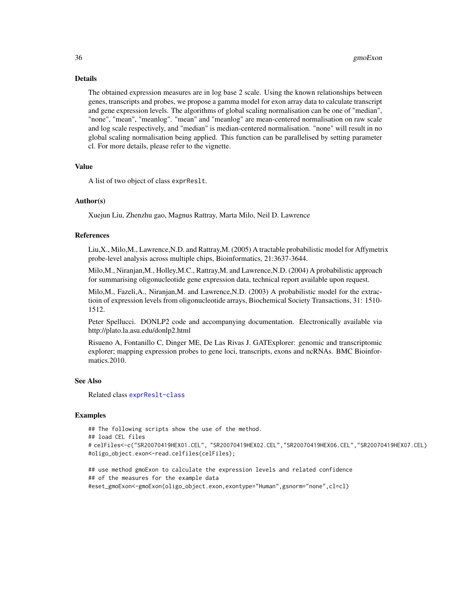# Details

The obtained expression measures are in log base 2 scale. Using the known relationships between genes, transcripts and probes, we propose a gamma model for exon array data to calculate transcript and gene expression levels. The algorithms of global scaling normalisation can be one of "median", "none", "mean", "meanlog". "mean" and "meanlog" are mean-centered normalisation on raw scale and log scale respectively, and "median" is median-centered normalisation. "none" will result in no global scaling normalisation being applied. This function can be parallelised by setting parameter cl. For more details, please refer to the vignette.

# Value

A list of two object of class exprReslt.

# Author(s)

Xuejun Liu, Zhenzhu gao, Magnus Rattray, Marta Milo, Neil D. Lawrence

#### References

Liu,X., Milo,M., Lawrence,N.D. and Rattray,M. (2005) A tractable probabilistic model for Affymetrix probe-level analysis across multiple chips, Bioinformatics, 21:3637-3644.

Milo,M., Niranjan,M., Holley,M.C., Rattray,M. and Lawrence,N.D. (2004) A probabilistic approach for summarising oligonucleotide gene expression data, technical report available upon request.

Milo,M., Fazeli,A., Niranjan,M. and Lawrence,N.D. (2003) A probabilistic model for the extractioin of expression levels from oligonucleotide arrays, Biochemical Society Transactions, 31: 1510- 1512.

Peter Spellucci. DONLP2 code and accompanying documentation. Electronically available via http://plato.la.asu.edu/donlp2.html

Risueno A, Fontanillo C, Dinger ME, De Las Rivas J. GATExplorer: genomic and transcriptomic explorer; mapping expression probes to gene loci, transcripts, exons and ncRNAs. BMC Bioinformatics.2010.

# See Also

Related class [exprReslt-class](#page-30-2)

# Examples

```
## The following scripts show the use of the method.
## load CEL files
# celFiles<-c("SR20070419HEX01.CEL", "SR20070419HEX02.CEL","SR20070419HEX06.CEL","SR20070419HEX07.CEL)
#oligo_object.exon<-read.celfiles(celFiles);
```
## use method gmoExon to calculate the expression levels and related confidence ## of the measures for the example data #eset\_gmoExon<-gmoExon(oligo\_object.exon,exontype="Human",gsnorm="none",cl=cl)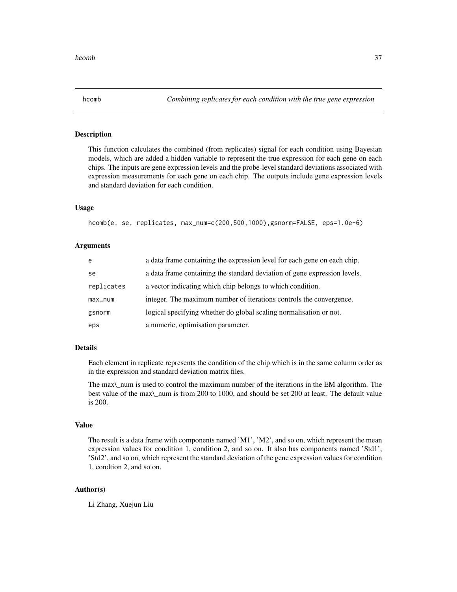<span id="page-36-0"></span>

## Description

This function calculates the combined (from replicates) signal for each condition using Bayesian models, which are added a hidden variable to represent the true expression for each gene on each chips. The inputs are gene expression levels and the probe-level standard deviations associated with expression measurements for each gene on each chip. The outputs include gene expression levels and standard deviation for each condition.

### Usage

hcomb(e, se, replicates, max\_num=c(200,500,1000),gsnorm=FALSE, eps=1.0e-6)

### Arguments

| e          | a data frame containing the expression level for each gene on each chip.  |
|------------|---------------------------------------------------------------------------|
| se         | a data frame containing the standard deviation of gene expression levels. |
| replicates | a vector indicating which chip belongs to which condition.                |
| max_num    | integer. The maximum number of iterations controls the convergence.       |
| gsnorm     | logical specifying whether do global scaling normalisation or not.        |
| eps        | a numeric, optimisation parameter.                                        |

### Details

Each element in replicate represents the condition of the chip which is in the same column order as in the expression and standard deviation matrix files.

The max\\_num is used to control the maximum number of the iterations in the EM algorithm. The best value of the max\\_num is from 200 to 1000, and should be set 200 at least. The default value is 200.

## Value

The result is a data frame with components named 'M1', 'M2', and so on, which represent the mean expression values for condition 1, condition 2, and so on. It also has components named 'Std1', 'Std2', and so on, which represent the standard deviation of the gene expression values for condition 1, condtion 2, and so on.

# Author(s)

Li Zhang, Xuejun Liu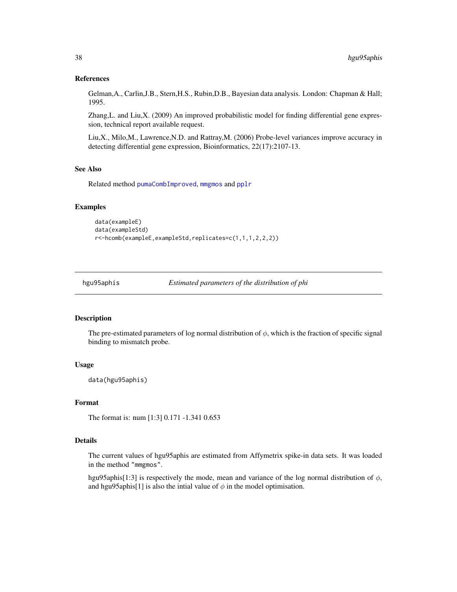### References

Gelman,A., Carlin,J.B., Stern,H.S., Rubin,D.B., Bayesian data analysis. London: Chapman & Hall; 1995.

Zhang,L. and Liu,X. (2009) An improved probabilistic model for finding differential gene expression, technical report available request.

Liu,X., Milo,M., Lawrence,N.D. and Rattray,M. (2006) Probe-level variances improve accuracy in detecting differential gene expression, Bioinformatics, 22(17):2107-13.

## See Also

Related method [pumaCombImproved](#page-71-0), [mmgmos](#page-48-0) and [pplr](#page-64-0)

#### Examples

```
data(exampleE)
data(exampleStd)
r<-hcomb(exampleE,exampleStd,replicates=c(1,1,1,2,2,2))
```
hgu95aphis *Estimated parameters of the distribution of phi*

## Description

The pre-estimated parameters of log normal distribution of  $\phi$ , which is the fraction of specific signal binding to mismatch probe.

### Usage

data(hgu95aphis)

## Format

The format is: num [1:3] 0.171 -1.341 0.653

# Details

The current values of hgu95aphis are estimated from Affymetrix spike-in data sets. It was loaded in the method "mmgmos".

hgu95aphis[1:3] is respectively the mode, mean and variance of the log normal distribution of  $\phi$ , and hgu95aphis[1] is also the intial value of  $\phi$  in the model optimisation.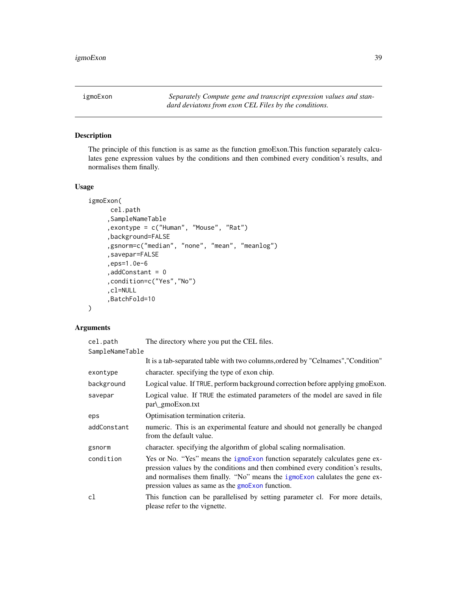<span id="page-38-0"></span>igmoExon *Separately Compute gene and transcript expression values and standard deviatons from exon CEL Files by the conditions.*

# Description

The principle of this function is as same as the function gmoExon.This function separately calculates gene expression values by the conditions and then combined every condition's results, and normalises them finally.

### Usage

```
igmoExon(
     cel.path
     ,SampleNameTable
     ,exontype = c("Human", "Mouse", "Rat")
     ,background=FALSE
     ,gsnorm=c("median", "none", "mean", "meanlog")
     ,savepar=FALSE
     ,eps=1.0e-6
     ,addConstant = 0
     ,condition=c("Yes","No")
     ,cl=NULL
     ,BatchFold=10
```
### Arguments

)

| cel.path        | The directory where you put the CEL files.                                                                                                                                                                                                                                                              |
|-----------------|---------------------------------------------------------------------------------------------------------------------------------------------------------------------------------------------------------------------------------------------------------------------------------------------------------|
| SampleNameTable |                                                                                                                                                                                                                                                                                                         |
|                 | It is a tab-separated table with two columns, ordered by "Celnames", "Condition"                                                                                                                                                                                                                        |
| exontype        | character. specifying the type of exon chip.                                                                                                                                                                                                                                                            |
| background      | Logical value. If TRUE, perform background correction before applying gmoExon.                                                                                                                                                                                                                          |
| savepar         | Logical value. If TRUE the estimated parameters of the model are saved in file<br>par\_gmoExon.txt                                                                                                                                                                                                      |
| eps             | Optimisation termination criteria.                                                                                                                                                                                                                                                                      |
| addConstant     | numeric. This is an experimental feature and should not generally be changed<br>from the default value.                                                                                                                                                                                                 |
| gsnorm          | character, specifying the algorithm of global scaling normalisation.                                                                                                                                                                                                                                    |
| condition       | Yes or No. "Yes" means the igmoExon function separately calculates gene ex-<br>pression values by the conditions and then combined every condition's results,<br>and normalises them finally. "No" means the igmoExon calulates the gene ex-<br>pression values as same as the <b>gmoExon</b> function. |
| cl              | This function can be parallelised by setting parameter cl. For more details,<br>please refer to the vignette.                                                                                                                                                                                           |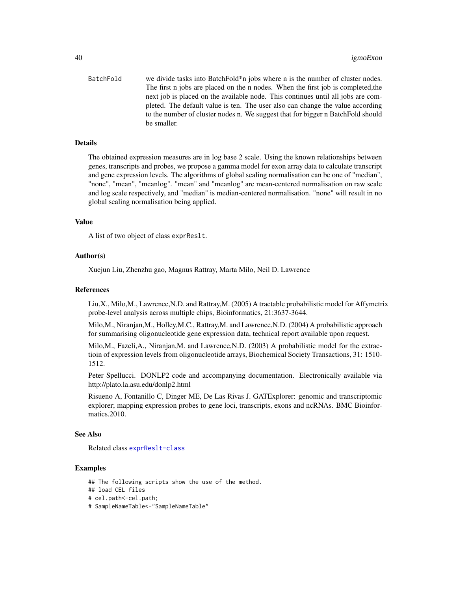BatchFold we divide tasks into BatchFold\*n jobs where n is the number of cluster nodes. The first n jobs are placed on the n nodes. When the first job is completed,the next job is placed on the available node. This continues until all jobs are completed. The default value is ten. The user also can change the value according to the number of cluster nodes n. We suggest that for bigger n BatchFold should be smaller.

### Details

The obtained expression measures are in log base 2 scale. Using the known relationships between genes, transcripts and probes, we propose a gamma model for exon array data to calculate transcript and gene expression levels. The algorithms of global scaling normalisation can be one of "median", "none", "mean", "meanlog". "mean" and "meanlog" are mean-centered normalisation on raw scale and log scale respectively, and "median" is median-centered normalisation. "none" will result in no global scaling normalisation being applied.

## Value

A list of two object of class exprReslt.

#### Author(s)

Xuejun Liu, Zhenzhu gao, Magnus Rattray, Marta Milo, Neil D. Lawrence

#### References

Liu,X., Milo,M., Lawrence,N.D. and Rattray,M. (2005) A tractable probabilistic model for Affymetrix probe-level analysis across multiple chips, Bioinformatics, 21:3637-3644.

Milo,M., Niranjan,M., Holley,M.C., Rattray,M. and Lawrence,N.D. (2004) A probabilistic approach for summarising oligonucleotide gene expression data, technical report available upon request.

Milo,M., Fazeli,A., Niranjan,M. and Lawrence,N.D. (2003) A probabilistic model for the extractioin of expression levels from oligonucleotide arrays, Biochemical Society Transactions, 31: 1510- 1512.

Peter Spellucci. DONLP2 code and accompanying documentation. Electronically available via http://plato.la.asu.edu/donlp2.html

Risueno A, Fontanillo C, Dinger ME, De Las Rivas J. GATExplorer: genomic and transcriptomic explorer; mapping expression probes to gene loci, transcripts, exons and ncRNAs. BMC Bioinformatics.2010.

#### See Also

Related class [exprReslt-class](#page-30-0)

## Examples

## The following scripts show the use of the method. ## load CEL files # cel.path<-cel.path; # SampleNameTable<-"SampleNameTable"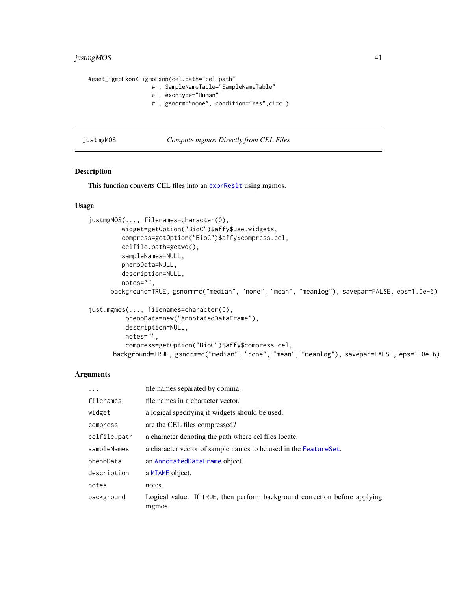# justmgMOS 41

#eset\_igmoExon<-igmoExon(cel.path="cel.path" # , SampleNameTable="SampleNameTable" # , exontype="Human" # , gsnorm="none", condition="Yes",cl=cl)

justmgMOS *Compute mgmos Directly from CEL Files*

### Description

This function converts CEL files into an [exprReslt](#page-30-1) using mgmos.

# Usage

```
justmgMOS(..., filenames=character(0),
         widget=getOption("BioC")$affy$use.widgets,
         compress=getOption("BioC")$affy$compress.cel,
         celfile.path=getwd(),
         sampleNames=NULL,
         phenoData=NULL,
         description=NULL,
         notes="",
      background=TRUE, gsnorm=c("median", "none", "mean", "meanlog"), savepar=FALSE, eps=1.0e-6)
```

```
just.mgmos(..., filenames=character(0),
         phenoData=new("AnnotatedDataFrame"),
         description=NULL,
         notes="",
          compress=getOption("BioC")$affy$compress.cel,
      background=TRUE, gsnorm=c("median", "none", "mean", "meanlog"), savepar=FALSE, eps=1.0e-6)
```
### Arguments

| $\ddots$ .   | file names separated by comma.                                                       |
|--------------|--------------------------------------------------------------------------------------|
| filenames    | file names in a character vector.                                                    |
| widget       | a logical specifying if widgets should be used.                                      |
| compress     | are the CEL files compressed?                                                        |
| celfile.path | a character denoting the path where cel files locate.                                |
| sampleNames  | a character vector of sample names to be used in the FeatureSet.                     |
| phenoData    | an AnnotatedDataFrame object.                                                        |
| description  | a MIAME object.                                                                      |
| notes        | notes.                                                                               |
| background   | Logical value. If TRUE, then perform background correction before applying<br>mgmos. |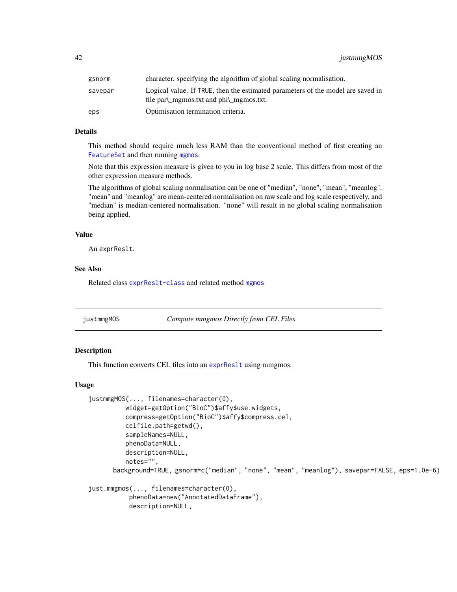| gsnorm  | character, specifying the algorithm of global scaling normalisation.                                                       |
|---------|----------------------------------------------------------------------------------------------------------------------------|
| savepar | Logical value. If TRUE, then the estimated parameters of the model are saved in<br>file par\_mgmos.txt and phi\_mgmos.txt. |
| eps     | Optimisation termination criteria.                                                                                         |

## Details

This method should require much less RAM than the conventional method of first creating an [FeatureSet](#page-0-0) and then running [mgmos](#page-47-0).

Note that this expression measure is given to you in log base 2 scale. This differs from most of the other expression measure methods.

The algorithms of global scaling normalisation can be one of "median", "none", "mean", "meanlog". "mean" and "meanlog" are mean-centered normalisation on raw scale and log scale respectively, and "median" is median-centered normalisation. "none" will result in no global scaling normalisation being applied.

### Value

An exprReslt.

### See Also

Related class [exprReslt-class](#page-30-0) and related method [mgmos](#page-47-0)

justmmgMOS *Compute mmgmos Directly from CEL Files*

## Description

This function converts CEL files into an exprRes1t using mmgmos.

```
justmmgMOS(..., filenames=character(0),
          widget=getOption("BioC")$affy$use.widgets,
          compress=getOption("BioC")$affy$compress.cel,
          celfile.path=getwd(),
          sampleNames=NULL,
          phenoData=NULL,
          description=NULL,
          notes="",
      background=TRUE, gsnorm=c("median", "none", "mean", "meanlog"), savepar=FALSE, eps=1.0e-6)
just.mmgmos(..., filenames=character(0),
```

```
phenoData=new("AnnotatedDataFrame"),
description=NULL,
```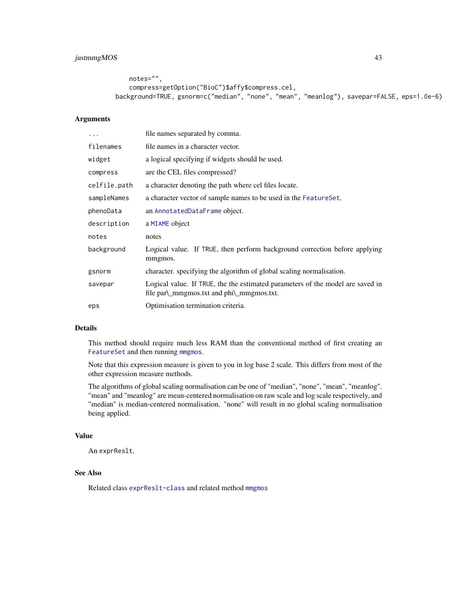```
notes="",
   compress=getOption("BioC")$affy$compress.cel,
background=TRUE, gsnorm=c("median", "none", "mean", "meanlog"), savepar=FALSE, eps=1.0e-6)
```
## Arguments

| .            | file names separated by comma.                                                                                                       |
|--------------|--------------------------------------------------------------------------------------------------------------------------------------|
| filenames    | file names in a character vector.                                                                                                    |
| widget       | a logical specifying if widgets should be used.                                                                                      |
| compress     | are the CEL files compressed?                                                                                                        |
| celfile.path | a character denoting the path where cel files locate.                                                                                |
| sampleNames  | a character vector of sample names to be used in the Feature Set.                                                                    |
| phenoData    | an AnnotatedDataFrame object.                                                                                                        |
| description  | a MIAME object                                                                                                                       |
| notes        | notes                                                                                                                                |
| background   | Logical value. If TRUE, then perform background correction before applying<br>mmgmos.                                                |
| gsnorm       | character, specifying the algorithm of global scaling normalisation.                                                                 |
| savepar      | Logical value. If TRUE, the the estimated parameters of the model are saved in<br>file $par\_{mmgmos.txt}$ and $phi\_{mmgmos.txt}$ . |
| eps          | Optimisation termination criteria.                                                                                                   |

## Details

This method should require much less RAM than the conventional method of first creating an [FeatureSet](#page-0-0) and then running [mmgmos](#page-48-0).

Note that this expression measure is given to you in log base 2 scale. This differs from most of the other expression measure methods.

The algorithms of global scaling normalisation can be one of "median", "none", "mean", "meanlog". "mean" and "meanlog" are mean-centered normalisation on raw scale and log scale respectively, and "median" is median-centered normalisation. "none" will result in no global scaling normalisation being applied.

## Value

An exprReslt.

## See Also

Related class [exprReslt-class](#page-30-0) and related method [mmgmos](#page-48-0)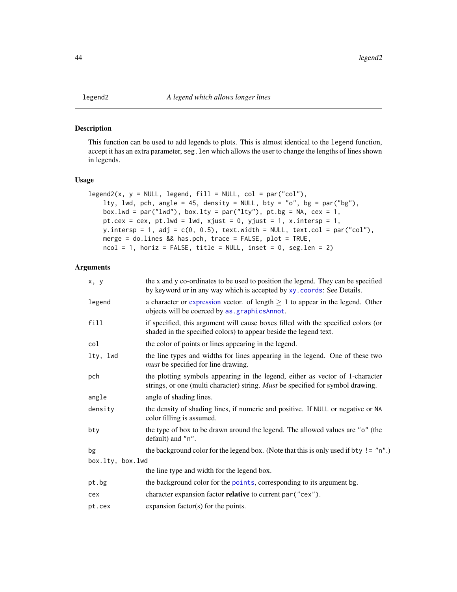## Description

This function can be used to add legends to plots. This is almost identical to the legend function, accept it has an extra parameter, seg. Len which allows the user to change the lengths of lines shown in legends.

#### Usage

```
legend2(x, y = NULL, legend, fill = NULL, col = par("col"),lty, lwd, pch, angle = 45, density = NULL, bty = "o", bg = par("bg"),
   box.lwd = par("lwd"), box.lty = par("lty"), pt.bg = NA, cex = 1,
   pt.cex = cex, pt.lwd = lwd, xjust = 0, yjust = 1, x.intersp = 1,
   y.intersp = 1, adj = c(0, 0.5), text.width = NULL, text.col = par("col"),
   merge = do.lines && has.pch, trace = FALSE, plot = TRUE,
   ncol = 1, horiz = FALSE, title = NULL, inset = 0, seg.len = 2)
```
# Arguments

| x, y             | the x and y co-ordinates to be used to position the legend. They can be specified<br>by keyword or in any way which is accepted by xy. coords: See Details.      |
|------------------|------------------------------------------------------------------------------------------------------------------------------------------------------------------|
| legend           | a character or expression vector. of length $\geq 1$ to appear in the legend. Other<br>objects will be coerced by as . graphicsAnnot.                            |
| fill             | if specified, this argument will cause boxes filled with the specified colors (or<br>shaded in the specified colors) to appear beside the legend text.           |
| col              | the color of points or lines appearing in the legend.                                                                                                            |
| lty, lwd         | the line types and widths for lines appearing in the legend. One of these two<br><i>must</i> be specified for line drawing.                                      |
| pch              | the plotting symbols appearing in the legend, either as vector of 1-character<br>strings, or one (multi character) string. Must be specified for symbol drawing. |
| angle            | angle of shading lines.                                                                                                                                          |
| density          | the density of shading lines, if numeric and positive. If NULL or negative or NA<br>color filling is assumed.                                                    |
| bty              | the type of box to be drawn around the legend. The allowed values are "o" (the<br>default) and "n".                                                              |
| bg               | the background color for the legend box. (Note that this is only used if bty != "n".)                                                                            |
| box.lty, box.lwd |                                                                                                                                                                  |
|                  | the line type and width for the legend box.                                                                                                                      |
| pt.bg            | the background color for the points, corresponding to its argument bg.                                                                                           |
| cex              | character expansion factor <b>relative</b> to current par ("cex").                                                                                               |
| pt.cex           | expansion factor(s) for the points.                                                                                                                              |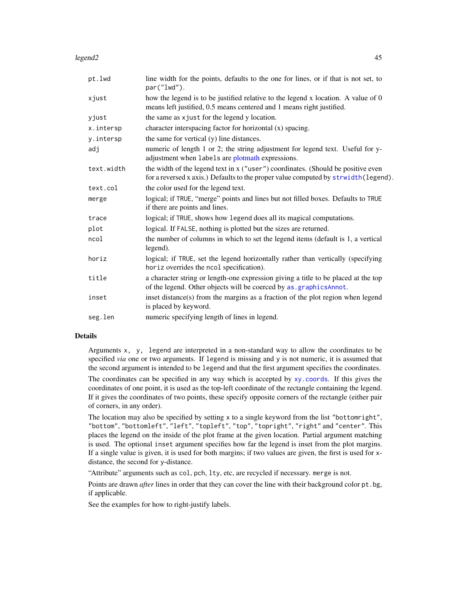### legend2 45

| pt.lwd     | line width for the points, defaults to the one for lines, or if that is not set, to<br>par("lwd").                                                                      |
|------------|-------------------------------------------------------------------------------------------------------------------------------------------------------------------------|
| xjust      | how the legend is to be justified relative to the legend x location. A value of 0<br>means left justified, 0.5 means centered and 1 means right justified.              |
| yjust      | the same as x just for the legend y location.                                                                                                                           |
| x.intersp  | character interspacing factor for horizontal (x) spacing.                                                                                                               |
| y.intersp  | the same for vertical (y) line distances.                                                                                                                               |
| adj        | numeric of length 1 or 2; the string adjustment for legend text. Useful for y-<br>adjustment when labels are plotmath expressions.                                      |
| text.width | the width of the legend text in x ("user") coordinates. (Should be positive even<br>for a reversed x axis.) Defaults to the proper value computed by strwidth (legend). |
| text.col   | the color used for the legend text.                                                                                                                                     |
| merge      | logical; if TRUE, "merge" points and lines but not filled boxes. Defaults to TRUE<br>if there are points and lines.                                                     |
| trace      | logical; if TRUE, shows how legend does all its magical computations.                                                                                                   |
| plot       | logical. If FALSE, nothing is plotted but the sizes are returned.                                                                                                       |
| ncol       | the number of columns in which to set the legend items (default is 1, a vertical<br>legend).                                                                            |
| horiz      | logical; if TRUE, set the legend horizontally rather than vertically (specifying<br>horiz overrides the ncol specification).                                            |
| title      | a character string or length-one expression giving a title to be placed at the top<br>of the legend. Other objects will be coerced by as . graphicsAnnot.               |
| inset      | inset distance(s) from the margins as a fraction of the plot region when legend<br>is placed by keyword.                                                                |
| seg.len    | numeric specifying length of lines in legend.                                                                                                                           |
|            |                                                                                                                                                                         |

# Details

Arguments x, y, legend are interpreted in a non-standard way to allow the coordinates to be specified *via* one or two arguments. If legend is missing and y is not numeric, it is assumed that the second argument is intended to be legend and that the first argument specifies the coordinates.

The coordinates can be specified in any way which is accepted by [xy.coords](#page-0-0). If this gives the coordinates of one point, it is used as the top-left coordinate of the rectangle containing the legend. If it gives the coordinates of two points, these specify opposite corners of the rectangle (either pair of corners, in any order).

The location may also be specified by setting x to a single keyword from the list "bottomright", "bottom", "bottomleft", "left", "topleft", "top", "topright", "right" and "center". This places the legend on the inside of the plot frame at the given location. Partial argument matching is used. The optional inset argument specifies how far the legend is inset from the plot margins. If a single value is given, it is used for both margins; if two values are given, the first is used for xdistance, the second for y-distance.

"Attribute" arguments such as col, pch, lty, etc, are recycled if necessary. merge is not.

Points are drawn *after* lines in order that they can cover the line with their background color pt.bg, if applicable.

See the examples for how to right-justify labels.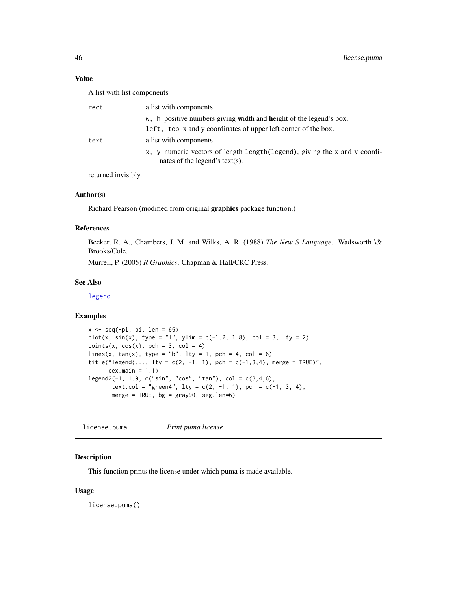## Value

A list with list components

| rect | a list with components                                                                                       |
|------|--------------------------------------------------------------------------------------------------------------|
|      | w, h positive numbers giving width and height of the legend's box.                                           |
|      | left, top x and y coordinates of upper left corner of the box.                                               |
| text | a list with components                                                                                       |
|      | x, y numeric vectors of length length (legend), giving the x and y coordi-<br>nates of the legend's text(s). |

returned invisibly.

# Author(s)

Richard Pearson (modified from original graphics package function.)

## References

Becker, R. A., Chambers, J. M. and Wilks, A. R. (1988) *The New S Language*. Wadsworth \& Brooks/Cole.

Murrell, P. (2005) *R Graphics*. Chapman & Hall/CRC Press.

### See Also

[legend](#page-0-0)

# Examples

```
x \leftarrow \text{seq}(-\text{pi}, \text{pi}, \text{len} = 65)plot(x, sin(x), type = "l", ylim = c(-1.2, 1.8), col = 3, lty = 2)points(x, cos(x), pch = 3, col = 4)
lines(x, tan(x), type = "b", lty = 1, pch = 4, col = 6)
title("legend(..., lty = c(2, -1, 1), pch = c(-1,3,4), merge = TRUE)",
      cex.main = 1.1)legend2(-1, 1.9, c("sin", "cos", "tan"), col = c(3,4,6),
       text.col = "green4", lty = c(2, -1, 1), pch = c(-1, 3, 4),
       merge = TRUE, bg = gray90, seg.length=6)
```
license.puma *Print puma license*

### Description

This function prints the license under which puma is made available.

#### Usage

license.puma()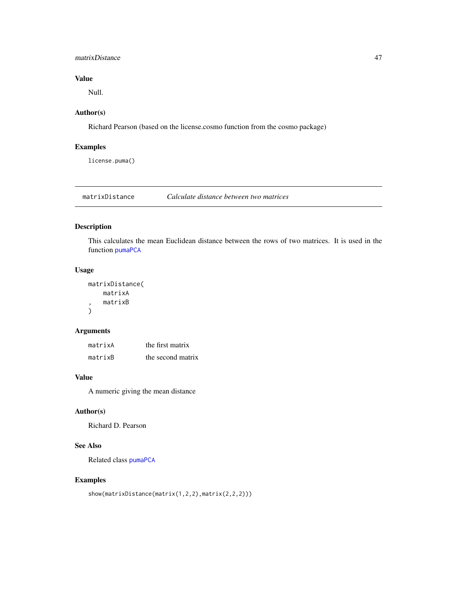## matrixDistance 47

# Value

Null.

# Author(s)

Richard Pearson (based on the license.cosmo function from the cosmo package)

# Examples

license.puma()

matrixDistance *Calculate distance between two matrices*

# Description

This calculates the mean Euclidean distance between the rows of two matrices. It is used in the function [pumaPCA](#page-78-0)

### Usage

```
matrixDistance(
    matrixA
, matrixB
\mathcal{L}
```
## Arguments

| matrixA | the first matrix  |
|---------|-------------------|
| matrixB | the second matrix |

### Value

A numeric giving the mean distance

# Author(s)

Richard D. Pearson

## See Also

Related class [pumaPCA](#page-78-0)

# Examples

show(matrixDistance(matrix(1,2,2),matrix(2,2,2)))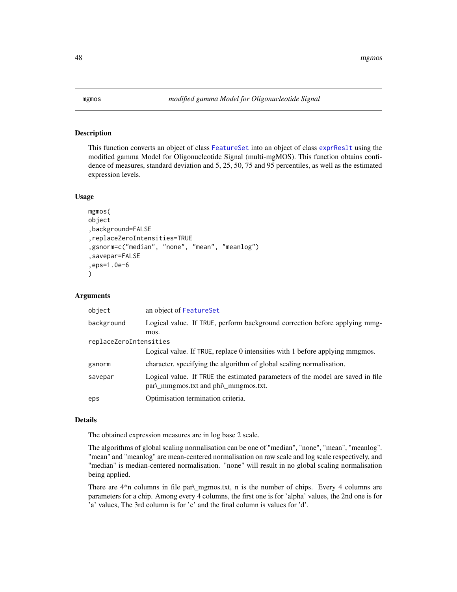<span id="page-47-0"></span>

#### Description

This function converts an object of class [FeatureSet](#page-0-0) into an object of class [exprReslt](#page-30-1) using the modified gamma Model for Oligonucleotide Signal (multi-mgMOS). This function obtains confidence of measures, standard deviation and 5, 25, 50, 75 and 95 percentiles, as well as the estimated expression levels.

## Usage

```
mgmos(
object
,background=FALSE
,replaceZeroIntensities=TRUE
,gsnorm=c("median", "none", "mean", "meanlog")
,savepar=FALSE
,eps=1.0e-6
)
```
## Arguments

| object                 | an object of FeatureSet                                                                                                    |  |
|------------------------|----------------------------------------------------------------------------------------------------------------------------|--|
| background             | Logical value. If TRUE, perform background correction before applying mmg-<br>mos.                                         |  |
| replaceZeroIntensities |                                                                                                                            |  |
|                        | Logical value. If TRUE, replace 0 intensities with 1 before applying mmgmos.                                               |  |
| gsnorm                 | character, specifying the algorithm of global scaling normalisation.                                                       |  |
| savepar                | Logical value. If TRUE the estimated parameters of the model are saved in file<br>$par\$ mmgmos.txt and $phi\$ mmgmos.txt. |  |
| eps                    | Optimisation termination criteria.                                                                                         |  |

#### Details

The obtained expression measures are in log base 2 scale.

The algorithms of global scaling normalisation can be one of "median", "none", "mean", "meanlog". "mean" and "meanlog" are mean-centered normalisation on raw scale and log scale respectively, and "median" is median-centered normalisation. "none" will result in no global scaling normalisation being applied.

There are  $4<sup>*</sup>$ n columns in file par $\gamma$ mgmos.txt, n is the number of chips. Every 4 columns are parameters for a chip. Among every 4 columns, the first one is for 'alpha' values, the 2nd one is for 'a' values, The 3rd column is for 'c' and the final column is values for 'd'.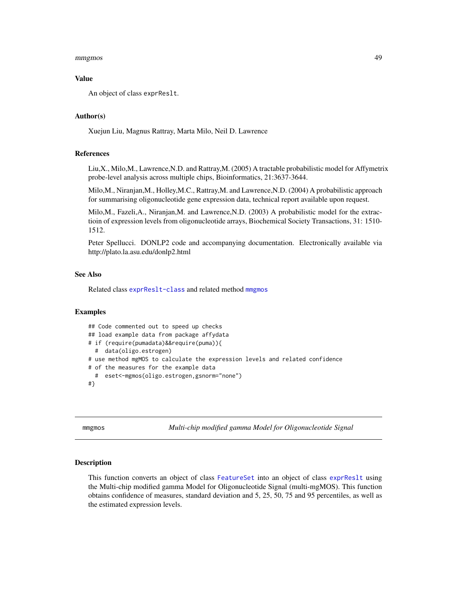#### mmgmos 49

### Value

An object of class exprReslt.

### Author(s)

Xuejun Liu, Magnus Rattray, Marta Milo, Neil D. Lawrence

### References

Liu,X., Milo,M., Lawrence,N.D. and Rattray,M. (2005) A tractable probabilistic model for Affymetrix probe-level analysis across multiple chips, Bioinformatics, 21:3637-3644.

Milo,M., Niranjan,M., Holley,M.C., Rattray,M. and Lawrence,N.D. (2004) A probabilistic approach for summarising oligonucleotide gene expression data, technical report available upon request.

Milo,M., Fazeli,A., Niranjan,M. and Lawrence,N.D. (2003) A probabilistic model for the extractioin of expression levels from oligonucleotide arrays, Biochemical Society Transactions, 31: 1510- 1512.

Peter Spellucci. DONLP2 code and accompanying documentation. Electronically available via http://plato.la.asu.edu/donlp2.html

## See Also

Related class [exprReslt-class](#page-30-0) and related method [mmgmos](#page-48-0)

# Examples

```
## Code commented out to speed up checks
## load example data from package affydata
# if (require(pumadata)&&require(puma)){
 # data(oligo.estrogen)
# use method mgMOS to calculate the expression levels and related confidence
# of the measures for the example data
 # eset<-mgmos(oligo.estrogen,gsnorm="none")
#}
```
<span id="page-48-0"></span>mmgmos *Multi-chip modified gamma Model for Oligonucleotide Signal*

#### Description

This function converts an object of class [FeatureSet](#page-0-0) into an object of class exprRes1t using the Multi-chip modified gamma Model for Oligonucleotide Signal (multi-mgMOS). This function obtains confidence of measures, standard deviation and 5, 25, 50, 75 and 95 percentiles, as well as the estimated expression levels.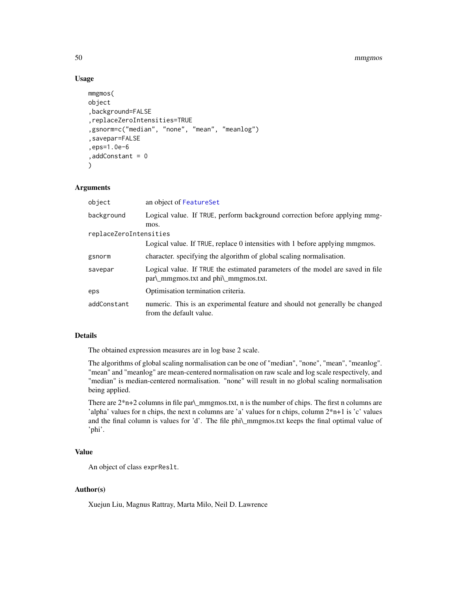#### 50 mmgmos

## Usage

```
mmgmos(
object
,background=FALSE
,replaceZeroIntensities=TRUE
,gsnorm=c("median", "none", "mean", "meanlog")
,savepar=FALSE
,eps=1.0e-6
,addConstant = 0
)
```
## Arguments

| object                 | an object of FeatureSet                                                                                                |
|------------------------|------------------------------------------------------------------------------------------------------------------------|
| background             | Logical value. If TRUE, perform background correction before applying mmg-<br>mos.                                     |
| replaceZeroIntensities |                                                                                                                        |
|                        | Logical value. If TRUE, replace 0 intensities with 1 before applying mmgmos.                                           |
| gsnorm                 | character, specifying the algorithm of global scaling normalisation.                                                   |
| savepar                | Logical value. If TRUE the estimated parameters of the model are saved in file<br>par\_mmgmos.txt and phi\_mmgmos.txt. |
| eps                    | Optimisation termination criteria.                                                                                     |
| addConstant            | numeric. This is an experimental feature and should not generally be changed<br>from the default value.                |

## Details

The obtained expression measures are in log base 2 scale.

The algorithms of global scaling normalisation can be one of "median", "none", "mean", "meanlog". "mean" and "meanlog" are mean-centered normalisation on raw scale and log scale respectively, and "median" is median-centered normalisation. "none" will result in no global scaling normalisation being applied.

There are 2\*n+2 columns in file par\\_mmgmos.txt, n is the number of chips. The first n columns are 'alpha' values for n chips, the next n columns are 'a' values for n chips, column 2\*n+1 is 'c' values and the final column is values for 'd'. The file phi\\_mmgmos.txt keeps the final optimal value of 'phi'.

# Value

An object of class exprReslt.

# Author(s)

Xuejun Liu, Magnus Rattray, Marta Milo, Neil D. Lawrence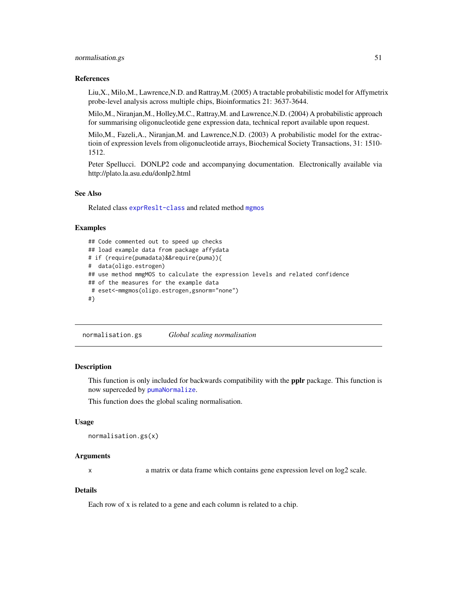### normalisation.gs 51

### References

Liu,X., Milo,M., Lawrence,N.D. and Rattray,M. (2005) A tractable probabilistic model for Affymetrix probe-level analysis across multiple chips, Bioinformatics 21: 3637-3644.

Milo,M., Niranjan,M., Holley,M.C., Rattray,M. and Lawrence,N.D. (2004) A probabilistic approach for summarising oligonucleotide gene expression data, technical report available upon request.

Milo,M., Fazeli,A., Niranjan,M. and Lawrence,N.D. (2003) A probabilistic model for the extractioin of expression levels from oligonucleotide arrays, Biochemical Society Transactions, 31: 1510- 1512.

Peter Spellucci. DONLP2 code and accompanying documentation. Electronically available via http://plato.la.asu.edu/donlp2.html

# See Also

Related class [exprReslt-class](#page-30-0) and related method [mgmos](#page-47-0)

## Examples

```
## Code commented out to speed up checks
## load example data from package affydata
# if (require(pumadata)&&require(puma)){
# data(oligo.estrogen)
## use method mmgMOS to calculate the expression levels and related confidence
## of the measures for the example data
# eset<-mmgmos(oligo.estrogen,gsnorm="none")
#}
```
normalisation.gs *Global scaling normalisation*

### Description

This function is only included for backwards compatibility with the pplr package. This function is now superceded by [pumaNormalize](#page-77-0).

This function does the global scaling normalisation.

#### Usage

```
normalisation.gs(x)
```
### Arguments

x a matrix or data frame which contains gene expression level on log2 scale.

## Details

Each row of x is related to a gene and each column is related to a chip.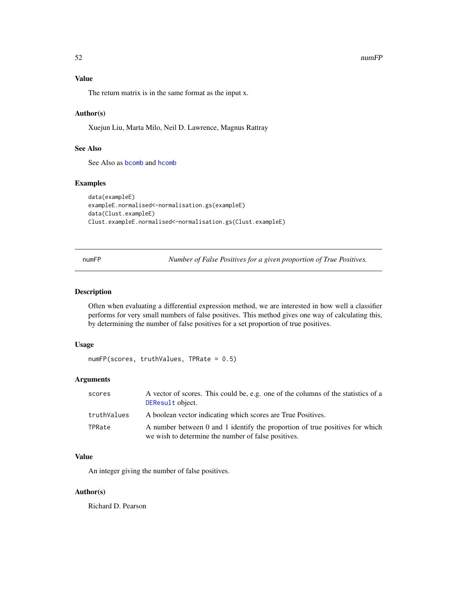### 52 numFP

# Value

The return matrix is in the same format as the input x.

## Author(s)

Xuejun Liu, Marta Milo, Neil D. Lawrence, Magnus Rattray

# See Also

See Also as [bcomb](#page-4-0) and [hcomb](#page-36-0)

### Examples

```
data(exampleE)
exampleE.normalised<-normalisation.gs(exampleE)
data(Clust.exampleE)
Clust.exampleE.normalised<-normalisation.gs(Clust.exampleE)
```
<span id="page-51-0"></span>numFP *Number of False Positives for a given proportion of True Positives.*

## Description

Often when evaluating a differential expression method, we are interested in how well a classifier performs for very small numbers of false positives. This method gives one way of calculating this, by determining the number of false positives for a set proportion of true positives.

### Usage

numFP(scores, truthValues, TPRate = 0.5)

## Arguments

| scores      | A vector of scores. This could be, e.g. one of the columns of the statistics of a<br>DEResult object.                               |
|-------------|-------------------------------------------------------------------------------------------------------------------------------------|
| truthValues | A boolean vector indicating which scores are True Positives.                                                                        |
| TPRate      | A number between 0 and 1 identify the proportion of true positives for which<br>we wish to determine the number of false positives. |

## Value

An integer giving the number of false positives.

### Author(s)

Richard D. Pearson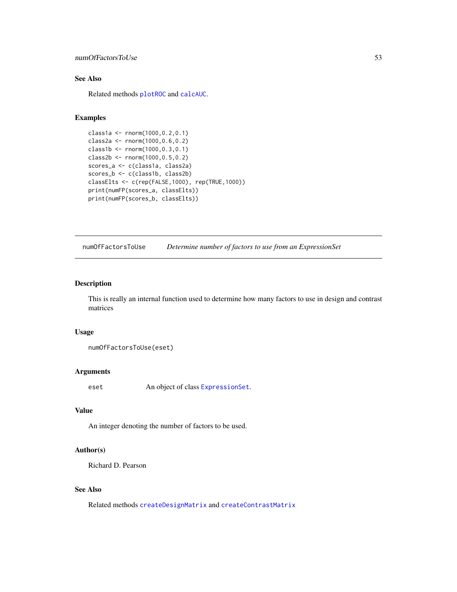## numOfFactorsToUse 53

# See Also

Related methods [plotROC](#page-60-0) and [calcAUC](#page-5-0).

### Examples

```
class1a <- rnorm(1000,0.2,0.1)
class2a <- rnorm(1000,0.6,0.2)
class1b <- rnorm(1000,0.3,0.1)
class2b <- rnorm(1000,0.5,0.2)
scores_a <- c(class1a, class2a)
scores_b <- c(class1b, class2b)
classElts <- c(rep(FALSE,1000), rep(TRUE,1000))
print(numFP(scores_a, classElts))
print(numFP(scores_b, classElts))
```
numOfFactorsToUse *Determine number of factors to use from an ExpressionSet*

# Description

This is really an internal function used to determine how many factors to use in design and contrast matrices

### Usage

numOfFactorsToUse(eset)

## Arguments

eset An object of class [ExpressionSet](#page-0-0).

## Value

An integer denoting the number of factors to be used.

### Author(s)

Richard D. Pearson

# See Also

Related methods [createDesignMatrix](#page-20-0) and [createContrastMatrix](#page-16-0)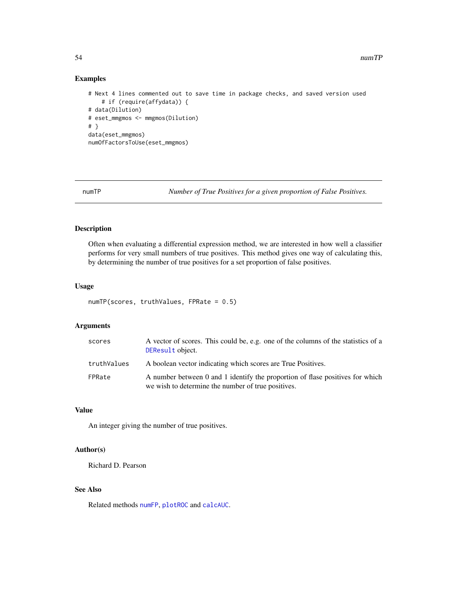# Examples

```
# Next 4 lines commented out to save time in package checks, and saved version used
    # if (require(affydata)) {
# data(Dilution)
# eset_mmgmos <- mmgmos(Dilution)
# }
data(eset_mmgmos)
numOfFactorsToUse(eset_mmgmos)
```
numTP *Number of True Positives for a given proportion of False Positives.*

## Description

Often when evaluating a differential expression method, we are interested in how well a classifier performs for very small numbers of true positives. This method gives one way of calculating this, by determining the number of true positives for a set proportion of false positives.

### Usage

```
numTP(scores, truthValues, FPRate = 0.5)
```
## Arguments

| scores      | A vector of scores. This could be, e.g. one of the columns of the statistics of a<br>DEResult object.                               |
|-------------|-------------------------------------------------------------------------------------------------------------------------------------|
| truthValues | A boolean vector indicating which scores are True Positives.                                                                        |
| FPRate      | A number between 0 and 1 identify the proportion of flase positives for which<br>we wish to determine the number of true positives. |

### Value

An integer giving the number of true positives.

## Author(s)

Richard D. Pearson

# See Also

Related methods [numFP](#page-51-0), [plotROC](#page-60-0) and [calcAUC](#page-5-0).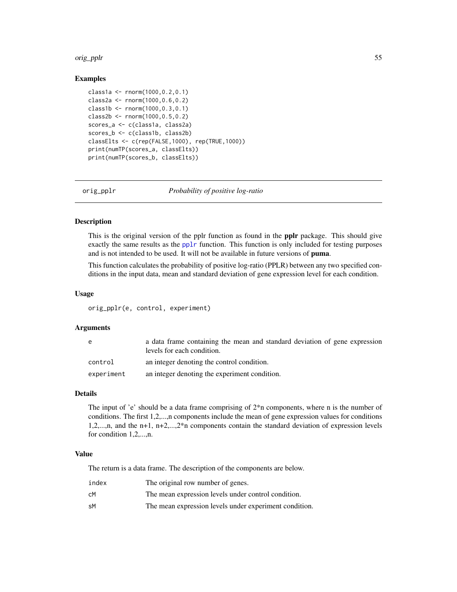#### orig\_pplr 55

## Examples

```
class1a <- rnorm(1000,0.2,0.1)
class2a <- rnorm(1000,0.6,0.2)
class1b <- rnorm(1000,0.3,0.1)
class2b <- rnorm(1000,0.5,0.2)
scores_a <- c(class1a, class2a)
scores_b <- c(class1b, class2b)
classElts <- c(rep(FALSE,1000), rep(TRUE,1000))
print(numTP(scores_a, classElts))
print(numTP(scores_b, classElts))
```
orig\_pplr *Probability of positive log-ratio*

## Description

This is the original version of the pplr function as found in the pplr package. This should give exactly the same results as the [pplr](#page-64-0) function. This function is only included for testing purposes and is not intended to be used. It will not be available in future versions of puma.

This function calculates the probability of positive log-ratio (PPLR) between any two specified conditions in the input data, mean and standard deviation of gene expression level for each condition.

### Usage

orig\_pplr(e, control, experiment)

### Arguments

| e          | a data frame containing the mean and standard deviation of gene expression<br>levels for each condition. |
|------------|----------------------------------------------------------------------------------------------------------|
| control    | an integer denoting the control condition.                                                               |
| experiment | an integer denoting the experiment condition.                                                            |

#### Details

The input of 'e' should be a data frame comprising of 2\*n components, where n is the number of conditions. The first 1,2,...,n components include the mean of gene expression values for conditions 1,2,...,n, and the n+1, n+2,...,2\*n components contain the standard deviation of expression levels for condition 1,2,...,n.

#### Value

The return is a data frame. The description of the components are below.

| index | The original row number of genes.                      |
|-------|--------------------------------------------------------|
| cМ    | The mean expression levels under control condition.    |
| sМ    | The mean expression levels under experiment condition. |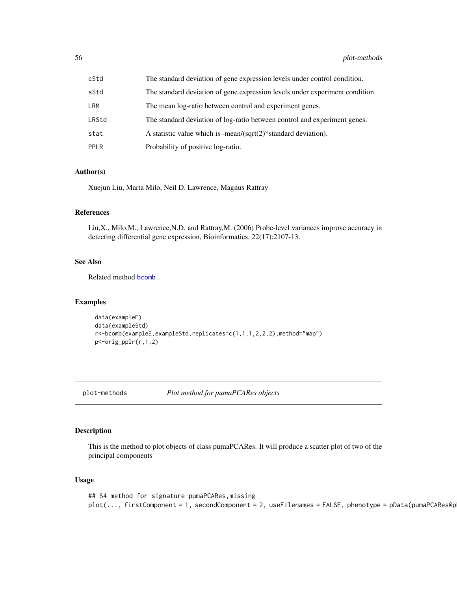| cStd  | The standard deviation of gene expression levels under control condition.    |
|-------|------------------------------------------------------------------------------|
| sStd  | The standard deviation of gene expression levels under experiment condition. |
| LRM   | The mean log-ratio between control and experiment genes.                     |
| LRStd | The standard deviation of log-ratio between control and experiment genes.    |
| stat  | A statistic value which is -mean/ $\sqrt{\sqrt{2}}$ standard deviation).     |
| PPLR  | Probability of positive log-ratio.                                           |

## Author(s)

Xuejun Liu, Marta Milo, Neil D. Lawrence, Magnus Rattray

## References

Liu,X., Milo,M., Lawrence,N.D. and Rattray,M. (2006) Probe-level variances improve accuracy in detecting differential gene expression, Bioinformatics, 22(17):2107-13.

### See Also

Related method [bcomb](#page-4-0)

### Examples

```
data(exampleE)
data(exampleStd)
r<-bcomb(exampleE,exampleStd,replicates=c(1,1,1,2,2,2),method="map")
p<-orig_pplr(r,1,2)
```
plot-methods *Plot method for pumaPCARes objects*

# Description

This is the method to plot objects of class pumaPCARes. It will produce a scatter plot of two of the principal components

```
## S4 method for signature pumaPCARes,missing
plot(..., firstComponent = 1, secondComponent = 2, useFilenames = FALSE, phenotype = pData(pumaPCARes@p
```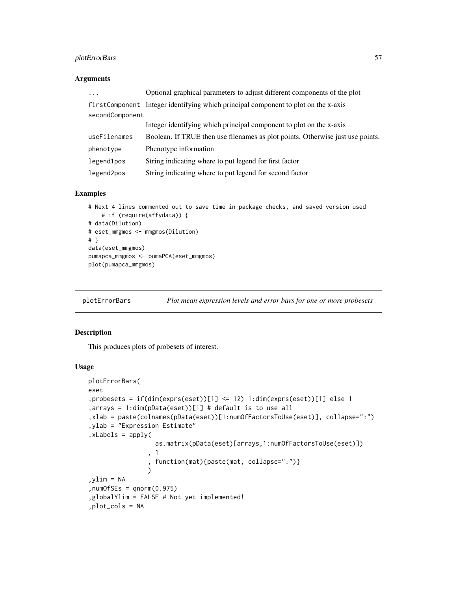# plotErrorBars 57

# Arguments

| $\cdots$        | Optional graphical parameters to adjust different components of the plot           |
|-----------------|------------------------------------------------------------------------------------|
|                 | firstComponent Integer identifying which principal component to plot on the x-axis |
| secondComponent |                                                                                    |
|                 | Integer identifying which principal component to plot on the x-axis                |
| useFilenames    | Boolean. If TRUE then use filenames as plot points. Otherwise just use points.     |
| phenotype       | Phenotype information                                                              |
| legend1pos      | String indicating where to put legend for first factor                             |
| legend2pos      | String indicating where to put legend for second factor                            |

## Examples

```
# Next 4 lines commented out to save time in package checks, and saved version used
    # if (require(affydata)) {
# data(Dilution)
# eset_mmgmos <- mmgmos(Dilution)
# }
data(eset_mmgmos)
pumapca_mmgmos <- pumaPCA(eset_mmgmos)
plot(pumapca_mmgmos)
```
plotErrorBars *Plot mean expression levels and error bars for one or more probesets*

# Description

This produces plots of probesets of interest.

```
plotErrorBars(
eset
,probesets = if(dim(exprs(eset))[1] <= 12) 1:dim(exprs(eset))[1] else 1
,arrays = 1:dim(pData(eset))[1] # default is to use all
,xlab = paste(colnames(pData(eset))[1:numOfFactorsToUse(eset)], collapse=":")
,ylab = "Expression Estimate"
,xLabels = apply(
                  as.matrix(pData(eset)[arrays,1:numOfFactorsToUse(eset)])
                , 1
                , function(mat){paste(mat, collapse=":")}
                \lambdaylim = NA, numOfSEs = qnorm(0.975),globalYlim = FALSE # Not yet implemented!
,plot_cols = NA
```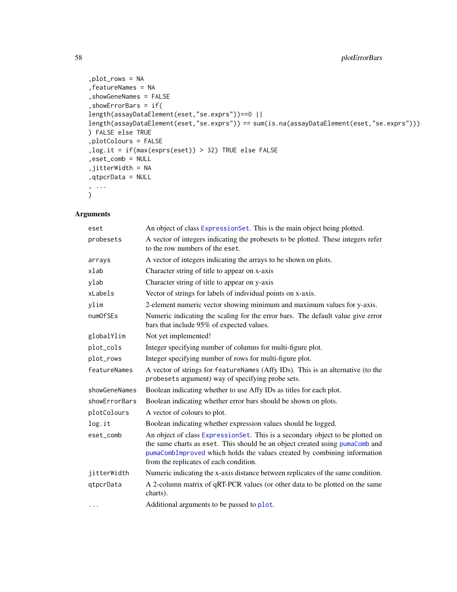```
,plot_rows = NA
,featureNames = NA
,showGeneNames = FALSE
,showErrorBars = if(
length(assayDataElement(eset,"se.exprs"))==0 ||
length(assayDataElement(eset,"se.exprs")) == sum(is.na(assayDataElement(eset,"se.exprs")))
) FALSE else TRUE
,plotColours = FALSE
,log.it = if(max(exprs(eset)) > 32) TRUE else FALSE
,eset_comb = NULL
,jitterWidth = NA
,qtpcrData = NULL
, ...
)
```
# Arguments

| eset          | An object of class ExpressionSet. This is the main object being plotted.                                                                                                                                                                                                            |
|---------------|-------------------------------------------------------------------------------------------------------------------------------------------------------------------------------------------------------------------------------------------------------------------------------------|
| probesets     | A vector of integers indicating the probesets to be plotted. These integers refer<br>to the row numbers of the eset.                                                                                                                                                                |
| arrays        | A vector of integers indicating the arrays to be shown on plots.                                                                                                                                                                                                                    |
| xlab          | Character string of title to appear on x-axis                                                                                                                                                                                                                                       |
| ylab          | Character string of title to appear on y-axis                                                                                                                                                                                                                                       |
| xLabels       | Vector of strings for labels of individual points on x-axis.                                                                                                                                                                                                                        |
| ylim          | 2-element numeric vector showing minimum and maximum values for y-axis.                                                                                                                                                                                                             |
| numOfSEs      | Numeric indicating the scaling for the error bars. The default value give error<br>bars that include 95% of expected values.                                                                                                                                                        |
| globalYlim    | Not yet implemented!                                                                                                                                                                                                                                                                |
| plot_cols     | Integer specifying number of columns for multi-figure plot.                                                                                                                                                                                                                         |
| plot_rows     | Integer specifying number of rows for multi-figure plot.                                                                                                                                                                                                                            |
| featureNames  | A vector of strings for featureNames (Affy IDs). This is an alternative (to the<br>probesets argument) way of specifying probe sets.                                                                                                                                                |
| showGeneNames | Boolean indicating whether to use Affy IDs as titles for each plot.                                                                                                                                                                                                                 |
| showErrorBars | Boolean indicating whether error bars should be shown on plots.                                                                                                                                                                                                                     |
| plotColours   | A vector of colours to plot.                                                                                                                                                                                                                                                        |
| log.it        | Boolean indicating whether expression values should be logged.                                                                                                                                                                                                                      |
| eset_comb     | An object of class ExpressionSet. This is a secondary object to be plotted on<br>the same charts as eset. This should be an object created using pumaComb and<br>pumaCombImproved which holds the values created by combining information<br>from the replicates of each condition. |
| jitterWidth   | Numeric indicating the x-axis distance between replicates of the same condition.                                                                                                                                                                                                    |
| qtpcrData     | A 2-column matrix of qRT-PCR values (or other data to be plotted on the same<br>charts).                                                                                                                                                                                            |
| $\cdots$      | Additional arguments to be passed to plot.                                                                                                                                                                                                                                          |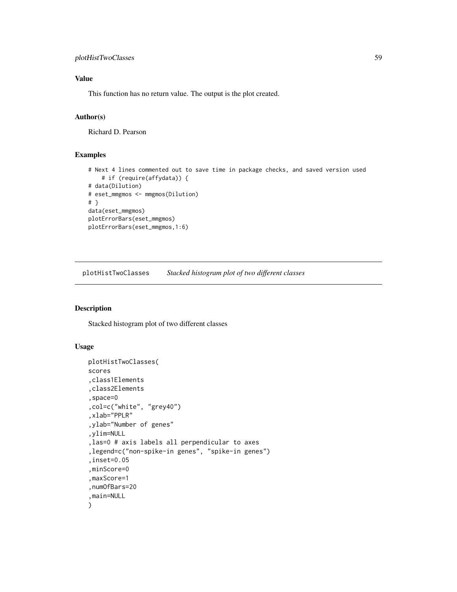# plotHistTwoClasses 59

# Value

This function has no return value. The output is the plot created.

# Author(s)

Richard D. Pearson

## Examples

```
# Next 4 lines commented out to save time in package checks, and saved version used
    # if (require(affydata)) {
# data(Dilution)
# eset_mmgmos <- mmgmos(Dilution)
# }
data(eset_mmgmos)
plotErrorBars(eset_mmgmos)
plotErrorBars(eset_mmgmos,1:6)
```
plotHistTwoClasses *Stacked histogram plot of two different classes*

# Description

Stacked histogram plot of two different classes

```
plotHistTwoClasses(
scores
,class1Elements
,class2Elements
,space=0
,col=c("white", "grey40")
,xlab="PPLR"
,ylab="Number of genes"
,ylim=NULL
,las=0 # axis labels all perpendicular to axes
,legend=c("non-spike-in genes", "spike-in genes")
,inset=0.05
,minScore=0
,maxScore=1
,numOfBars=20
,main=NULL
)
```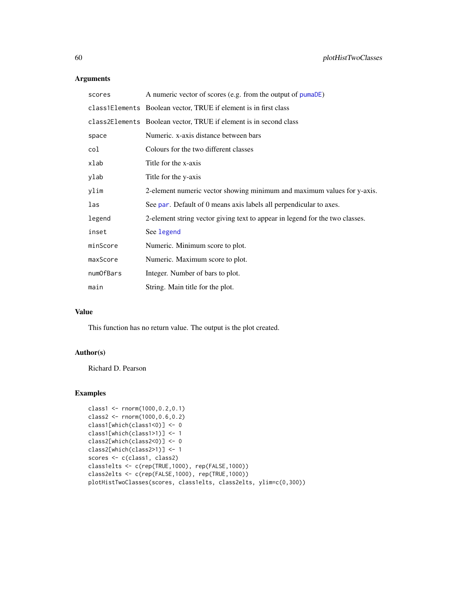# Arguments

| scores    | A numeric vector of scores (e.g. from the output of pumaDE)                  |
|-----------|------------------------------------------------------------------------------|
|           | class1Elements Boolean vector, TRUE if element is in first class             |
|           | class2Elements Boolean vector, TRUE if element is in second class            |
| space     | Numeric. x-axis distance between bars                                        |
| col       | Colours for the two different classes                                        |
| xlab      | Title for the x-axis                                                         |
| ylab      | Title for the y-axis                                                         |
| ylim      | 2-element numeric vector showing minimum and maximum values for y-axis.      |
| las       | See par. Default of 0 means axis labels all perpendicular to axes.           |
| legend    | 2-element string vector giving text to appear in legend for the two classes. |
| inset     | See legend                                                                   |
| minScore  | Numeric. Minimum score to plot.                                              |
| maxScore  | Numeric. Maximum score to plot.                                              |
| numOfBars | Integer. Number of bars to plot.                                             |
| main      | String. Main title for the plot.                                             |

## Value

This function has no return value. The output is the plot created.

## Author(s)

Richard D. Pearson

# Examples

```
class1 <- rnorm(1000,0.2,0.1)
class2 <- rnorm(1000,0.6,0.2)
class1[which(class1<0)] <- 0
class1[which(class1>1)] <- 1
class2[which(class2<0)] <- 0
class2[which(class2>1)] <- 1
scores <- c(class1, class2)
class1elts <- c(rep(TRUE,1000), rep(FALSE,1000))
class2elts <- c(rep(FALSE,1000), rep(TRUE,1000))
plotHistTwoClasses(scores, class1elts, class2elts, ylim=c(0,300))
```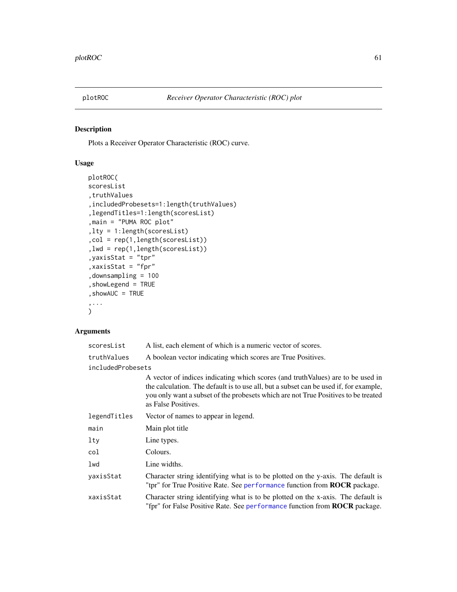<span id="page-60-0"></span>

# Description

Plots a Receiver Operator Characteristic (ROC) curve.

# Usage

```
plotROC(
scoresList
,truthValues
,includedProbesets=1:length(truthValues)
,legendTitles=1:length(scoresList)
,main = "PUMA ROC plot"
,lty = 1:length(scoresList)
,col = rep(1,length(scoresList))
,lwd = rep(1,length(scoresList))
,yaxisStat = "tpr"
,xaxisStat = "fpr"
,downsampling = 100
,showLegend = TRUE
,showAUC = TRUE
,...
\mathcal{L}
```
## Arguments

| scoresList        | A list, each element of which is a numeric vector of scores.                                                                                                                                                                                                                           |  |
|-------------------|----------------------------------------------------------------------------------------------------------------------------------------------------------------------------------------------------------------------------------------------------------------------------------------|--|
| truthValues       | A boolean vector indicating which scores are True Positives.                                                                                                                                                                                                                           |  |
| includedProbesets |                                                                                                                                                                                                                                                                                        |  |
|                   | A vector of indices indicating which scores (and truth Values) are to be used in<br>the calculation. The default is to use all, but a subset can be used if, for example,<br>you only want a subset of the probesets which are not True Positives to be treated<br>as False Positives. |  |
| legendTitles      | Vector of names to appear in legend.                                                                                                                                                                                                                                                   |  |
| main              | Main plot title                                                                                                                                                                                                                                                                        |  |
| lty               | Line types.                                                                                                                                                                                                                                                                            |  |
| col               | Colours.                                                                                                                                                                                                                                                                               |  |
| lwd               | Line widths.                                                                                                                                                                                                                                                                           |  |
| yaxisStat         | Character string identifying what is to be plotted on the y-axis. The default is<br>"tpr" for True Positive Rate. See performance function from <b>ROCR</b> package.                                                                                                                   |  |
| xaxisStat         | Character string identifying what is to be plotted on the x-axis. The default is<br>"fpr" for False Positive Rate. See performance function from ROCR package.                                                                                                                         |  |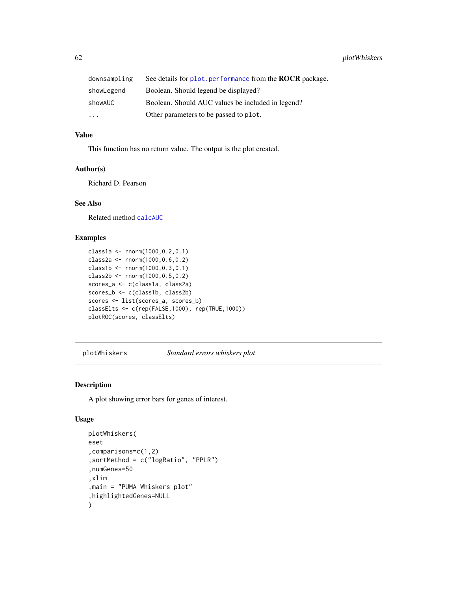| downsampling | See details for plot, performance from the <b>ROCR</b> package. |
|--------------|-----------------------------------------------------------------|
| showLegend   | Boolean. Should legend be displayed?                            |
| showAUC      | Boolean. Should AUC values be included in legend?               |
| $\ddotsc$    | Other parameters to be passed to plot.                          |

## Value

This function has no return value. The output is the plot created.

### Author(s)

Richard D. Pearson

# See Also

Related method [calcAUC](#page-5-0)

# Examples

```
class1a <- rnorm(1000,0.2,0.1)
class2a <- rnorm(1000,0.6,0.2)
class1b <- rnorm(1000,0.3,0.1)
class2b <- rnorm(1000,0.5,0.2)
scores_a <- c(class1a, class2a)
scores_b <- c(class1b, class2b)
scores <- list(scores_a, scores_b)
classElts <- c(rep(FALSE,1000), rep(TRUE,1000))
plotROC(scores, classElts)
```
plotWhiskers *Standard errors whiskers plot*

### Description

A plot showing error bars for genes of interest.

```
plotWhiskers(
eset
,comparisons=c(1,2)
,sortMethod = c("logRatio", "PPLR")
,numGenes=50
,xlim
,main = "PUMA Whiskers plot"
,highlightedGenes=NULL
)
```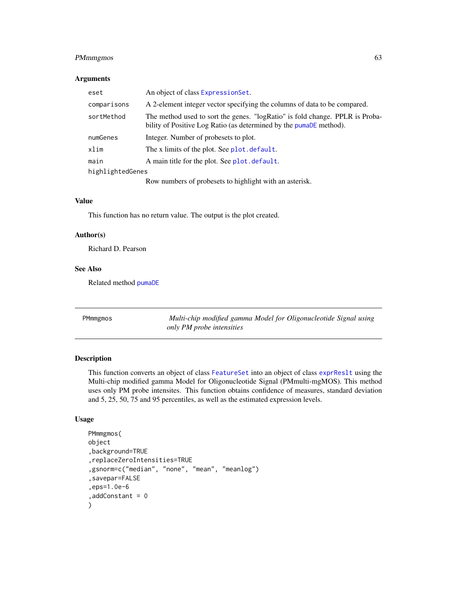# PMmmgmos 63

## Arguments

| eset             | An object of class Expression Set.                                                                                                                 |  |
|------------------|----------------------------------------------------------------------------------------------------------------------------------------------------|--|
| comparisons      | A 2-element integer vector specifying the columns of data to be compared.                                                                          |  |
| sortMethod       | The method used to sort the genes. "logRatio" is fold change. PPLR is Proba-<br>bility of Positive Log Ratio (as determined by the pumaDE method). |  |
| numGenes         | Integer. Number of probesets to plot.                                                                                                              |  |
| xlim             | The x limits of the plot. See plot. default.                                                                                                       |  |
| main             | A main title for the plot. See plot. default.                                                                                                      |  |
| highlightedGenes |                                                                                                                                                    |  |
|                  | Row numbers of probesets to highlight with an asterisk.                                                                                            |  |

## Value

This function has no return value. The output is the plot created.

### Author(s)

Richard D. Pearson

# See Also

Related method [pumaDE](#page-73-0)

PMmmgmos *Multi-chip modified gamma Model for Oligonucleotide Signal using only PM probe intensities*

## Description

This function converts an object of class [FeatureSet](#page-0-0) into an object of class [exprReslt](#page-30-1) using the Multi-chip modified gamma Model for Oligonucleotide Signal (PMmulti-mgMOS). This method uses only PM probe intensites. This function obtains confidence of measures, standard deviation and 5, 25, 50, 75 and 95 percentiles, as well as the estimated expression levels.

```
PMmmgmos(
object
,background=TRUE
,replaceZeroIntensities=TRUE
,gsnorm=c("median", "none", "mean", "meanlog")
,savepar=FALSE
,eps=1.0e-6
,addConstant = 0
)
```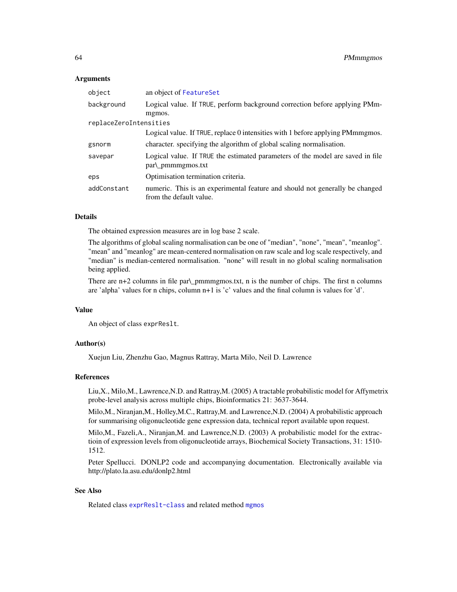### Arguments

| object                 | an object of FeatureSet                                                                                 |
|------------------------|---------------------------------------------------------------------------------------------------------|
| background             | Logical value. If TRUE, perform background correction before applying PMm-                              |
|                        | mgmos.                                                                                                  |
| replaceZeroIntensities |                                                                                                         |
|                        | Logical value. If TRUE, replace 0 intensities with 1 before applying PMmmgmos.                          |
| gsnorm                 | character, specifying the algorithm of global scaling normalisation.                                    |
| savepar                | Logical value. If TRUE the estimated parameters of the model are saved in file<br>$par\$ pmmmgmos.txt   |
| eps                    | Optimisation termination criteria.                                                                      |
| addConstant            | numeric. This is an experimental feature and should not generally be changed<br>from the default value. |

## Details

The obtained expression measures are in log base 2 scale.

The algorithms of global scaling normalisation can be one of "median", "none", "mean", "meanlog". "mean" and "meanlog" are mean-centered normalisation on raw scale and log scale respectively, and "median" is median-centered normalisation. "none" will result in no global scaling normalisation being applied.

There are n+2 columns in file par\\_pmmmgmos.txt, n is the number of chips. The first n columns are 'alpha' values for n chips, column n+1 is 'c' values and the final column is values for 'd'.

### Value

An object of class exprReslt.

## Author(s)

Xuejun Liu, Zhenzhu Gao, Magnus Rattray, Marta Milo, Neil D. Lawrence

### References

Liu,X., Milo,M., Lawrence,N.D. and Rattray,M. (2005) A tractable probabilistic model for Affymetrix probe-level analysis across multiple chips, Bioinformatics 21: 3637-3644.

Milo,M., Niranjan,M., Holley,M.C., Rattray,M. and Lawrence,N.D. (2004) A probabilistic approach for summarising oligonucleotide gene expression data, technical report available upon request.

Milo,M., Fazeli,A., Niranjan,M. and Lawrence,N.D. (2003) A probabilistic model for the extractioin of expression levels from oligonucleotide arrays, Biochemical Society Transactions, 31: 1510- 1512.

Peter Spellucci. DONLP2 code and accompanying documentation. Electronically available via http://plato.la.asu.edu/donlp2.html

#### See Also

Related class [exprReslt-class](#page-30-0) and related method [mgmos](#page-47-0)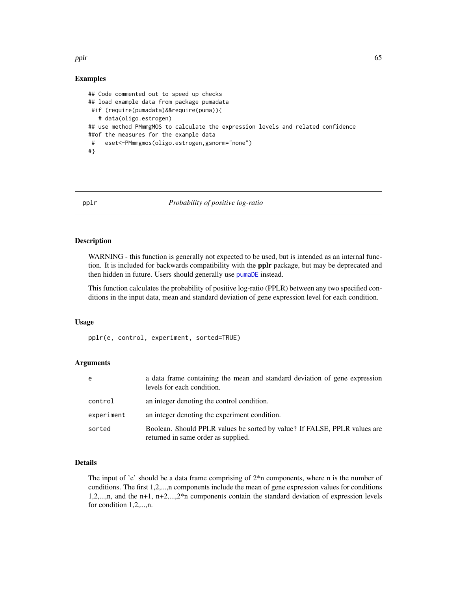#### pplr 65

## Examples

```
## Code commented out to speed up checks
## load example data from package pumadata
#if (require(pumadata)&&require(puma)){
   # data(oligo.estrogen)
## use method PMmmgMOS to calculate the expression levels and related confidence
##of the measures for the example data
 # eset<-PMmmgmos(oligo.estrogen,gsnorm="none")
#}
```
<span id="page-64-0"></span>pplr *Probability of positive log-ratio*

## Description

WARNING - this function is generally not expected to be used, but is intended as an internal function. It is included for backwards compatibility with the pplr package, but may be deprecated and then hidden in future. Users should generally use [pumaDE](#page-73-0) instead.

This function calculates the probability of positive log-ratio (PPLR) between any two specified conditions in the input data, mean and standard deviation of gene expression level for each condition.

## Usage

pplr(e, control, experiment, sorted=TRUE)

### **Arguments**

| e          | a data frame containing the mean and standard deviation of gene expression<br>levels for each condition.         |
|------------|------------------------------------------------------------------------------------------------------------------|
| control    | an integer denoting the control condition.                                                                       |
| experiment | an integer denoting the experiment condition.                                                                    |
| sorted     | Boolean. Should PPLR values be sorted by value? If FALSE, PPLR values are<br>returned in same order as supplied. |

## Details

The input of 'e' should be a data frame comprising of  $2<sup>*</sup>$ n components, where n is the number of conditions. The first 1,2,...,n components include the mean of gene expression values for conditions 1,2,...,n, and the n+1, n+2,...,2\*n components contain the standard deviation of expression levels for condition 1,2,...,n.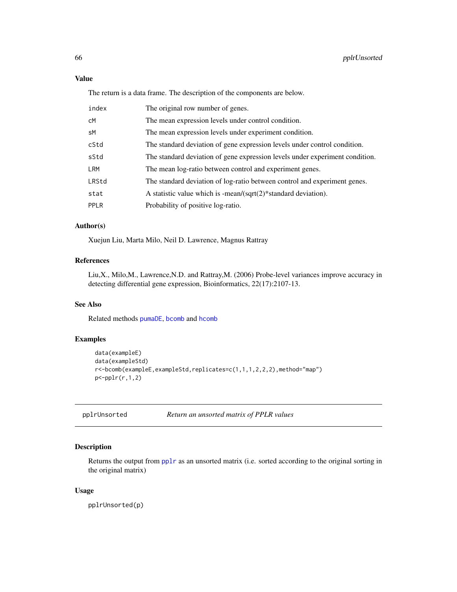# Value

The return is a data frame. The description of the components are below.

| index | The original row number of genes.                                            |
|-------|------------------------------------------------------------------------------|
| cМ    | The mean expression levels under control condition.                          |
| sM    | The mean expression levels under experiment condition.                       |
| cStd  | The standard deviation of gene expression levels under control condition.    |
| sStd  | The standard deviation of gene expression levels under experiment condition. |
| LRM   | The mean log-ratio between control and experiment genes.                     |
| LRStd | The standard deviation of log-ratio between control and experiment genes.    |
| stat  | A statistic value which is -mean/ $\sqrt{\sqrt{2}}$ standard deviation).     |
| PPLR  | Probability of positive log-ratio.                                           |
|       |                                                                              |

# Author(s)

Xuejun Liu, Marta Milo, Neil D. Lawrence, Magnus Rattray

# References

Liu,X., Milo,M., Lawrence,N.D. and Rattray,M. (2006) Probe-level variances improve accuracy in detecting differential gene expression, Bioinformatics, 22(17):2107-13.

## See Also

Related methods [pumaDE](#page-73-0), [bcomb](#page-4-0) and [hcomb](#page-36-0)

# Examples

```
data(exampleE)
data(exampleStd)
r<-bcomb(exampleE,exampleStd,replicates=c(1,1,1,2,2,2),method="map")
p<-pplr(r,1,2)
```
pplrUnsorted *Return an unsorted matrix of PPLR values*

## Description

Returns the output from [pplr](#page-64-0) as an unsorted matrix (i.e. sorted according to the original sorting in the original matrix)

### Usage

pplrUnsorted(p)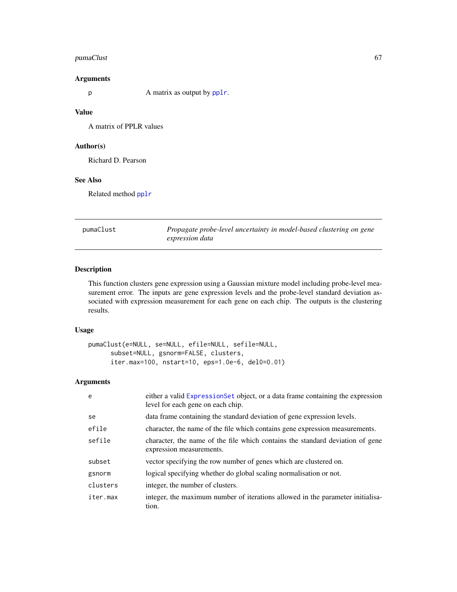# pumaClust 67

## Arguments

p A matrix as output by [pplr](#page-64-0).

## Value

A matrix of PPLR values

## Author(s)

Richard D. Pearson

# See Also

Related method [pplr](#page-64-0)

pumaClust *Propagate probe-level uncertainty in model-based clustering on gene expression data*

# Description

This function clusters gene expression using a Gaussian mixture model including probe-level measurement error. The inputs are gene expression levels and the probe-level standard deviation associated with expression measurement for each gene on each chip. The outputs is the clustering results.

# Usage

```
pumaClust(e=NULL, se=NULL, efile=NULL, sefile=NULL,
      subset=NULL, gsnorm=FALSE, clusters,
      iter.max=100, nstart=10, eps=1.0e-6, del0=0.01)
```
# Arguments

| e        | either a valid ExpressionSet object, or a data frame containing the expression<br>level for each gene on each chip. |
|----------|---------------------------------------------------------------------------------------------------------------------|
| se       | data frame containing the standard deviation of gene expression levels.                                             |
| efile    | character, the name of the file which contains gene expression measurements.                                        |
| sefile   | character, the name of the file which contains the standard deviation of gene<br>expression measurements.           |
| subset   | vector specifying the row number of genes which are clustered on.                                                   |
| gsnorm   | logical specifying whether do global scaling normalisation or not.                                                  |
| clusters | integer, the number of clusters.                                                                                    |
| iter.max | integer, the maximum number of iterations allowed in the parameter initialisa-<br>tion.                             |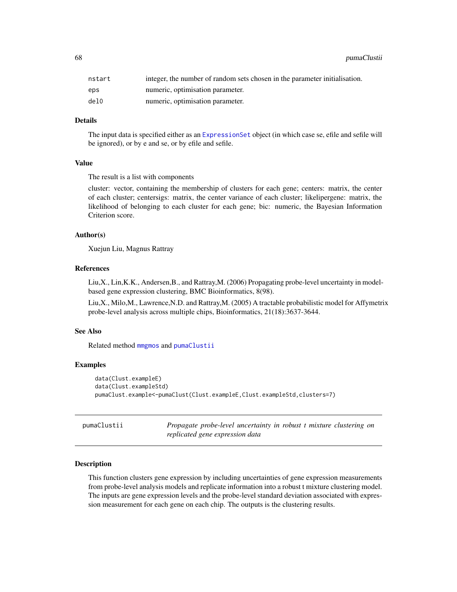68 pumaClustii

| nstart | integer, the number of random sets chosen in the parameter initialisation. |
|--------|----------------------------------------------------------------------------|
| eps    | numeric, optimisation parameter.                                           |
| del0   | numeric, optimisation parameter.                                           |

### Details

The input data is specified either as an [ExpressionSet](#page-0-0) object (in which case se, efile and sefile will be ignored), or by e and se, or by efile and sefile.

### Value

The result is a list with components

cluster: vector, containing the membership of clusters for each gene; centers: matrix, the center of each cluster; centersigs: matrix, the center variance of each cluster; likelipergene: matrix, the likelihood of belonging to each cluster for each gene; bic: numeric, the Bayesian Information Criterion score.

## Author(s)

Xuejun Liu, Magnus Rattray

### References

Liu,X., Lin,K.K., Andersen,B., and Rattray,M. (2006) Propagating probe-level uncertainty in modelbased gene expression clustering, BMC Bioinformatics, 8(98).

Liu,X., Milo,M., Lawrence,N.D. and Rattray,M. (2005) A tractable probabilistic model for Affymetrix probe-level analysis across multiple chips, Bioinformatics, 21(18):3637-3644.

#### See Also

Related method [mmgmos](#page-48-0) and [pumaClustii](#page-67-0)

#### Examples

```
data(Clust.exampleE)
data(Clust.exampleStd)
pumaClust.example<-pumaClust(Clust.exampleE,Clust.exampleStd,clusters=7)
```
<span id="page-67-0"></span>

| pumaClustii |                                 | Propagate probe-level uncertainty in robust t mixture clustering on |  |  |  |
|-------------|---------------------------------|---------------------------------------------------------------------|--|--|--|
|             | replicated gene expression data |                                                                     |  |  |  |

#### Description

This function clusters gene expression by including uncertainties of gene expression measurements from probe-level analysis models and replicate information into a robust t mixture clustering model. The inputs are gene expression levels and the probe-level standard deviation associated with expression measurement for each gene on each chip. The outputs is the clustering results.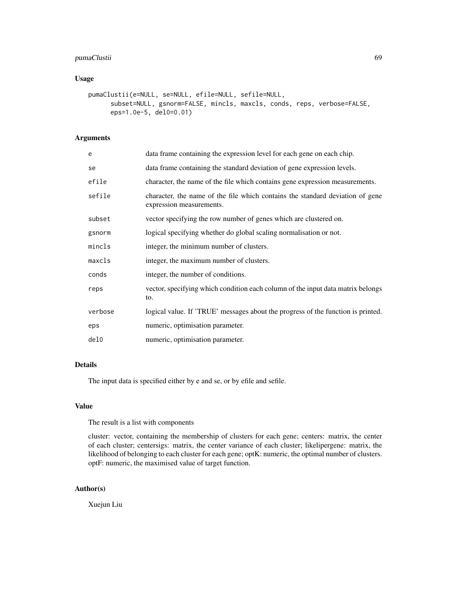# pumaClustii 69

# Usage

```
pumaClustii(e=NULL, se=NULL, efile=NULL, sefile=NULL,
     subset=NULL, gsnorm=FALSE, mincls, maxcls, conds, reps, verbose=FALSE,
     eps=1.0e-5, del0=0.01)
```
## Arguments

| e       | data frame containing the expression level for each gene on each chip.                                    |
|---------|-----------------------------------------------------------------------------------------------------------|
| se      | data frame containing the standard deviation of gene expression levels.                                   |
| efile   | character, the name of the file which contains gene expression measurements.                              |
| sefile  | character, the name of the file which contains the standard deviation of gene<br>expression measurements. |
| subset  | vector specifying the row number of genes which are clustered on.                                         |
| gsnorm  | logical specifying whether do global scaling normalisation or not.                                        |
| mincls  | integer, the minimum number of clusters.                                                                  |
| maxcls  | integer, the maximum number of clusters.                                                                  |
| conds   | integer, the number of conditions.                                                                        |
| reps    | vector, specifying which condition each column of the input data matrix belongs<br>to.                    |
| verbose | logical value. If 'TRUE' messages about the progress of the function is printed.                          |
| eps     | numeric, optimisation parameter.                                                                          |
| de10    | numeric, optimisation parameter.                                                                          |
|         |                                                                                                           |

### Details

The input data is specified either by e and se, or by efile and sefile.

## Value

The result is a list with components

cluster: vector, containing the membership of clusters for each gene; centers: matrix, the center of each cluster; centersigs: matrix, the center variance of each cluster; likelipergene: matrix, the likelihood of belonging to each cluster for each gene; optK: numeric, the optimal number of clusters. optF: numeric, the maximised value of target function.

# Author(s)

Xuejun Liu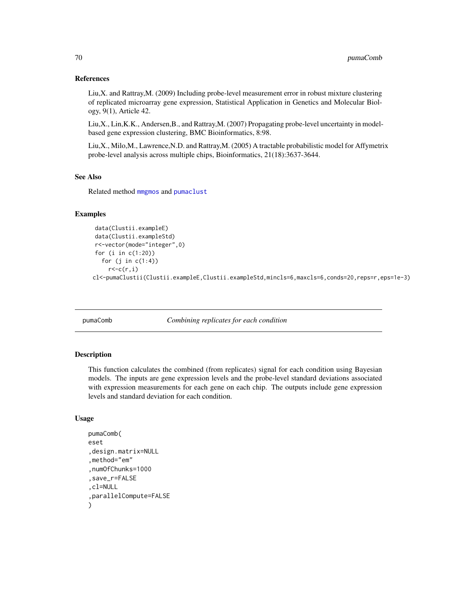### References

Liu,X. and Rattray,M. (2009) Including probe-level measurement error in robust mixture clustering of replicated microarray gene expression, Statistical Application in Genetics and Molecular Biology, 9(1), Article 42.

Liu,X., Lin,K.K., Andersen,B., and Rattray,M. (2007) Propagating probe-level uncertainty in modelbased gene expression clustering, BMC Bioinformatics, 8:98.

Liu,X., Milo,M., Lawrence,N.D. and Rattray,M. (2005) A tractable probabilistic model for Affymetrix probe-level analysis across multiple chips, Bioinformatics, 21(18):3637-3644.

# See Also

Related method [mmgmos](#page-48-0) and [pumaclust](#page-0-0)

# Examples

```
data(Clustii.exampleE)
data(Clustii.exampleStd)
r<-vector(mode="integer",0)
for (i in c(1:20))
  for (j in c(1:4))
    r < -c(r, i)cl<-pumaClustii(Clustii.exampleE,Clustii.exampleStd,mincls=6,maxcls=6,conds=20,reps=r,eps=1e-3)
```
<span id="page-69-0"></span>pumaComb *Combining replicates for each condition*

### **Description**

This function calculates the combined (from replicates) signal for each condition using Bayesian models. The inputs are gene expression levels and the probe-level standard deviations associated with expression measurements for each gene on each chip. The outputs include gene expression levels and standard deviation for each condition.

```
pumaComb(
eset
,design.matrix=NULL
,method="em"
,numOfChunks=1000
,save_r=FALSE
,cl=NULL
,parallelCompute=FALSE
)
```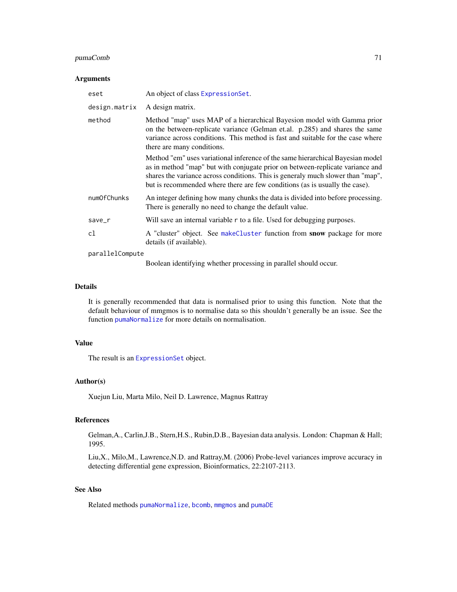## pumaComb 71

#### Arguments

| eset            | An object of class Expression Set.                                                                                                                                                                                                                                                                                                |
|-----------------|-----------------------------------------------------------------------------------------------------------------------------------------------------------------------------------------------------------------------------------------------------------------------------------------------------------------------------------|
| design.matrix   | A design matrix.                                                                                                                                                                                                                                                                                                                  |
| method          | Method "map" uses MAP of a hierarchical Bayesion model with Gamma prior<br>on the between-replicate variance (Gelman et.al. p.285) and shares the same<br>variance across conditions. This method is fast and suitable for the case where<br>there are many conditions.                                                           |
|                 | Method "em" uses variational inference of the same hierarchical Bayesian model<br>as in method "map" but with conjugate prior on between-replicate variance and<br>shares the variance across conditions. This is generaly much slower than "map",<br>but is recommended where there are few conditions (as is usually the case). |
| numOfChunks     | An integer defining how many chunks the data is divided into before processing.<br>There is generally no need to change the default value.                                                                                                                                                                                        |
| save_r          | Will save an internal variable r to a file. Used for debugging purposes.                                                                                                                                                                                                                                                          |
| cl              | A "cluster" object. See makeCluster function from snow package for more<br>details (if available).                                                                                                                                                                                                                                |
| parallelCompute |                                                                                                                                                                                                                                                                                                                                   |
|                 | Boolean identifying whether processing in parallel should occur.                                                                                                                                                                                                                                                                  |

#### Details

It is generally recommended that data is normalised prior to using this function. Note that the default behaviour of mmgmos is to normalise data so this shouldn't generally be an issue. See the function [pumaNormalize](#page-77-0) for more details on normalisation.

## Value

The result is an [ExpressionSet](#page-0-0) object.

## Author(s)

Xuejun Liu, Marta Milo, Neil D. Lawrence, Magnus Rattray

### References

Gelman,A., Carlin,J.B., Stern,H.S., Rubin,D.B., Bayesian data analysis. London: Chapman & Hall; 1995.

Liu,X., Milo,M., Lawrence,N.D. and Rattray,M. (2006) Probe-level variances improve accuracy in detecting differential gene expression, Bioinformatics, 22:2107-2113.

# See Also

Related methods [pumaNormalize](#page-77-0), [bcomb](#page-4-0), [mmgmos](#page-48-0) and [pumaDE](#page-73-0)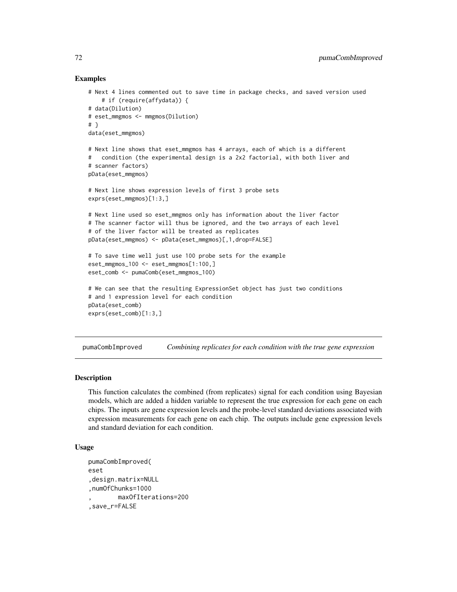## Examples

```
# Next 4 lines commented out to save time in package checks, and saved version used
    # if (require(affydata)) {
# data(Dilution)
# eset_mmgmos <- mmgmos(Dilution)
# }
data(eset_mmgmos)
# Next line shows that eset_mmgmos has 4 arrays, each of which is a different
# condition (the experimental design is a 2x2 factorial, with both liver and
# scanner factors)
pData(eset_mmgmos)
# Next line shows expression levels of first 3 probe sets
exprs(eset_mmgmos)[1:3,]
# Next line used so eset_mmgmos only has information about the liver factor
# The scanner factor will thus be ignored, and the two arrays of each level
# of the liver factor will be treated as replicates
pData(eset_mmgmos) <- pData(eset_mmgmos)[,1,drop=FALSE]
# To save time well just use 100 probe sets for the example
eset_mmgmos_100 <- eset_mmgmos[1:100,]
eset_comb <- pumaComb(eset_mmgmos_100)
# We can see that the resulting ExpressionSet object has just two conditions
# and 1 expression level for each condition
pData(eset_comb)
exprs(eset_comb)[1:3,]
```
<span id="page-71-0"></span>pumaCombImproved *Combining replicates for each condition with the true gene expression*

### Description

This function calculates the combined (from replicates) signal for each condition using Bayesian models, which are added a hidden variable to represent the true expression for each gene on each chips. The inputs are gene expression levels and the probe-level standard deviations associated with expression measurements for each gene on each chip. The outputs include gene expression levels and standard deviation for each condition.

```
pumaCombImproved(
eset
,design.matrix=NULL
,numOfChunks=1000
        , maxOfIterations=200
,save_r=FALSE
```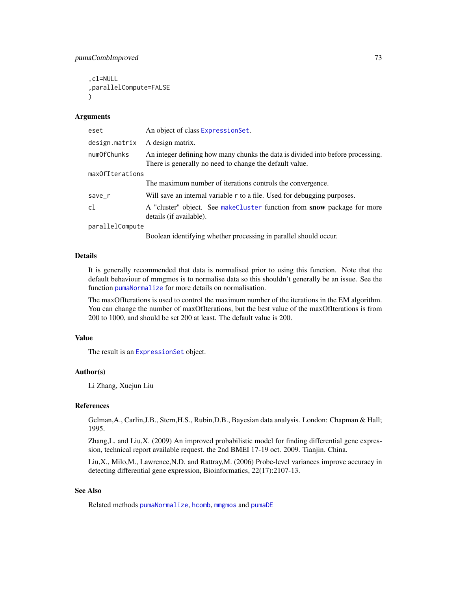```
,cl=NULL
,parallelCompute=FALSE
\lambda
```
#### Arguments

| eset            | An object of class Expression Set.                                                                                                                                                                                                                                                               |  |  |  |
|-----------------|--------------------------------------------------------------------------------------------------------------------------------------------------------------------------------------------------------------------------------------------------------------------------------------------------|--|--|--|
| design.matrix   | A design matrix.                                                                                                                                                                                                                                                                                 |  |  |  |
| numOfChunks     | An integer defining how many chunks the data is divided into before processing.<br>There is generally no need to change the default value.                                                                                                                                                       |  |  |  |
| maxOfIterations |                                                                                                                                                                                                                                                                                                  |  |  |  |
|                 | The maximum number of iterations controls the convergence.                                                                                                                                                                                                                                       |  |  |  |
| save_r          | Will save an internal variable r to a file. Used for debugging purposes.                                                                                                                                                                                                                         |  |  |  |
| c1              | A "cluster" object. See makeCluster function from snow package for more<br>details (if available).                                                                                                                                                                                               |  |  |  |
| parallelCompute |                                                                                                                                                                                                                                                                                                  |  |  |  |
|                 | $\mathbf{r}$ and $\mathbf{r}$ and $\mathbf{r}$ and $\mathbf{r}$ and $\mathbf{r}$ and $\mathbf{r}$ and $\mathbf{r}$ and $\mathbf{r}$ and $\mathbf{r}$ and $\mathbf{r}$ and $\mathbf{r}$ and $\mathbf{r}$ and $\mathbf{r}$ and $\mathbf{r}$ and $\mathbf{r}$ and $\mathbf{r}$ and $\mathbf{r}$ and |  |  |  |

Boolean identifying whether processing in parallel should occur.

## Details

It is generally recommended that data is normalised prior to using this function. Note that the default behaviour of mmgmos is to normalise data so this shouldn't generally be an issue. See the function [pumaNormalize](#page-77-0) for more details on normalisation.

The maxOfIterations is used to control the maximum number of the iterations in the EM algorithm. You can change the number of maxOfIterations, but the best value of the maxOfIterations is from 200 to 1000, and should be set 200 at least. The default value is 200.

## Value

The result is an [ExpressionSet](#page-0-0) object.

#### Author(s)

Li Zhang, Xuejun Liu

## References

Gelman,A., Carlin,J.B., Stern,H.S., Rubin,D.B., Bayesian data analysis. London: Chapman & Hall; 1995.

Zhang,L. and Liu,X. (2009) An improved probabilistic model for finding differential gene expression, technical report available request. the 2nd BMEI 17-19 oct. 2009. Tianjin. China.

Liu,X., Milo,M., Lawrence,N.D. and Rattray,M. (2006) Probe-level variances improve accuracy in detecting differential gene expression, Bioinformatics, 22(17):2107-13.

## See Also

Related methods [pumaNormalize](#page-77-0), [hcomb](#page-36-0), [mmgmos](#page-48-0) and [pumaDE](#page-73-0)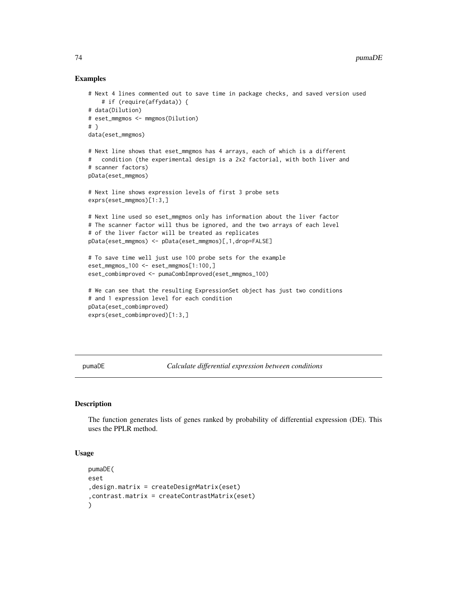## Examples

```
# Next 4 lines commented out to save time in package checks, and saved version used
    # if (require(affydata)) {
# data(Dilution)
# eset_mmgmos <- mmgmos(Dilution)
# }
data(eset_mmgmos)
# Next line shows that eset_mmgmos has 4 arrays, each of which is a different
# condition (the experimental design is a 2x2 factorial, with both liver and
# scanner factors)
pData(eset_mmgmos)
# Next line shows expression levels of first 3 probe sets
exprs(eset_mmgmos)[1:3,]
# Next line used so eset_mmgmos only has information about the liver factor
# The scanner factor will thus be ignored, and the two arrays of each level
# of the liver factor will be treated as replicates
pData(eset_mmgmos) <- pData(eset_mmgmos)[,1,drop=FALSE]
# To save time well just use 100 probe sets for the example
eset_mmgmos_100 <- eset_mmgmos[1:100,]
eset_combimproved <- pumaCombImproved(eset_mmgmos_100)
# We can see that the resulting ExpressionSet object has just two conditions
# and 1 expression level for each condition
pData(eset_combimproved)
exprs(eset_combimproved)[1:3,]
```
<span id="page-73-0"></span>pumaDE *Calculate differential expression between conditions*

## **Description**

The function generates lists of genes ranked by probability of differential expression (DE). This uses the PPLR method.

#### Usage

```
pumaDE(
eset
,design.matrix = createDesignMatrix(eset)
,contrast.matrix = createContrastMatrix(eset)
\lambda
```
<span id="page-73-1"></span>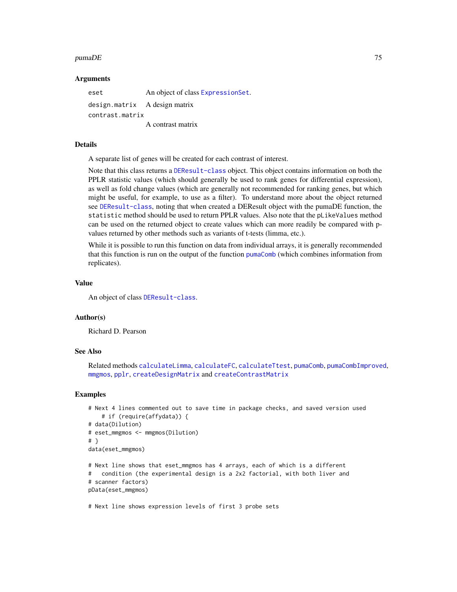#### $p$ uma $DE$  75

#### Arguments

eset An object of class [ExpressionSet](#page-0-0). design.matrix A design matrix contrast.matrix A contrast matrix

## Details

A separate list of genes will be created for each contrast of interest.

Note that this class returns a [DEResult-class](#page-25-0) object. This object contains information on both the PPLR statistic values (which should generally be used to rank genes for differential expression), as well as fold change values (which are generally not recommended for ranking genes, but which might be useful, for example, to use as a filter). To understand more about the object returned see [DEResult-class](#page-25-0), noting that when created a DEResult object with the pumaDE function, the statistic method should be used to return PPLR values. Also note that the pLikeValues method can be used on the returned object to create values which can more readily be compared with pvalues returned by other methods such as variants of t-tests (limma, etc.).

While it is possible to run this function on data from individual arrays, it is generally recommended that this function is run on the output of the function [pumaComb](#page-69-0) (which combines information from replicates).

## Value

An object of class [DEResult-class](#page-25-0).

#### Author(s)

Richard D. Pearson

#### See Also

Related methods [calculateLimma](#page-7-0), [calculateFC](#page-6-0), [calculateTtest](#page-8-0), [pumaComb](#page-69-0), [pumaCombImproved](#page-71-0), [mmgmos](#page-48-0), [pplr](#page-64-0), [createDesignMatrix](#page-20-0) and [createContrastMatrix](#page-16-0)

## Examples

```
# Next 4 lines commented out to save time in package checks, and saved version used
    # if (require(affydata)) {
# data(Dilution)
# eset_mmgmos <- mmgmos(Dilution)
# }
data(eset_mmgmos)
# Next line shows that eset_mmgmos has 4 arrays, each of which is a different
# condition (the experimental design is a 2x2 factorial, with both liver and
# scanner factors)
pData(eset_mmgmos)
```
# Next line shows expression levels of first 3 probe sets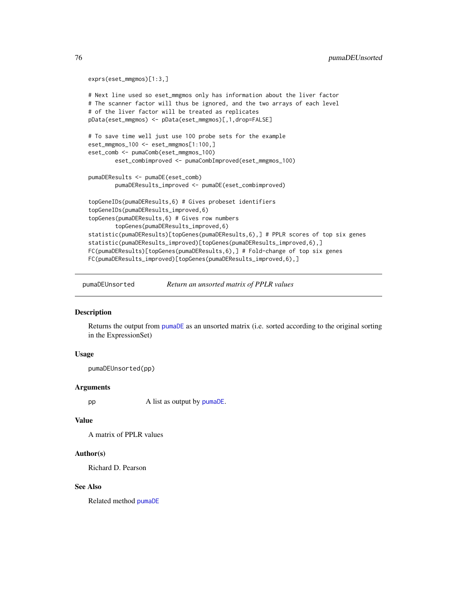```
exprs(eset_mmgmos)[1:3,]
# Next line used so eset_mmgmos only has information about the liver factor
# The scanner factor will thus be ignored, and the two arrays of each level
# of the liver factor will be treated as replicates
pData(eset_mmgmos) <- pData(eset_mmgmos)[,1,drop=FALSE]
# To save time well just use 100 probe sets for the example
eset_mmgmos_100 <- eset_mmgmos[1:100,]
eset_comb <- pumaComb(eset_mmgmos_100)
       eset_combimproved <- pumaCombImproved(eset_mmgmos_100)
pumaDEResults <- pumaDE(eset_comb)
       pumaDEResults_improved <- pumaDE(eset_combimproved)
topGeneIDs(pumaDEResults,6) # Gives probeset identifiers
topGeneIDs(pumaDEResults_improved,6)
topGenes(pumaDEResults,6) # Gives row numbers
        topGenes(pumaDEResults_improved,6)
statistic(pumaDEResults)[topGenes(pumaDEResults,6),] # PPLR scores of top six genes
statistic(pumaDEResults_improved)[topGenes(pumaDEResults_improved,6),]
FC(pumaDEResults)[topGenes(pumaDEResults,6),] # Fold-change of top six genes
FC(pumaDEResults_improved)[topGenes(pumaDEResults_improved,6),]
```
pumaDEUnsorted *Return an unsorted matrix of PPLR values*

## **Description**

Returns the output from [pumaDE](#page-73-0) as an unsorted matrix (i.e. sorted according to the original sorting in the ExpressionSet)

## Usage

pumaDEUnsorted(pp)

#### **Arguments**

pp A list as output by [pumaDE](#page-73-0).

#### Value

A matrix of PPLR values

#### Author(s)

Richard D. Pearson

#### See Also

Related method [pumaDE](#page-73-0)

<span id="page-75-0"></span>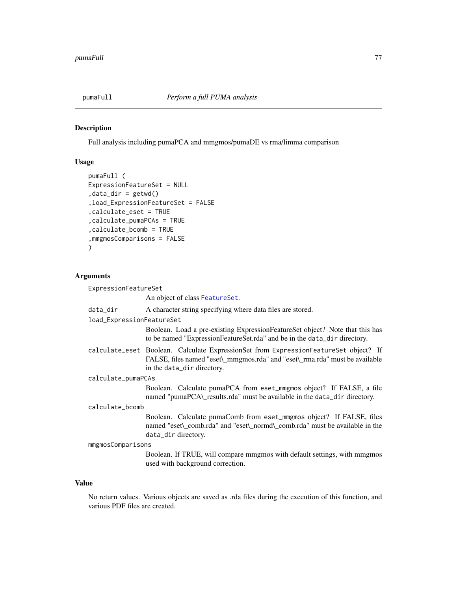<span id="page-76-0"></span>

## Description

Full analysis including pumaPCA and mmgmos/pumaDE vs rma/limma comparison

## Usage

```
pumaFull (
ExpressionFeatureSet = NULL
,data_dir = getwd()
,load_ExpressionFeatureSet = FALSE
,calculate_eset = TRUE
,calculate_pumaPCAs = TRUE
,calculate_bcomb = TRUE
,mmgmosComparisons = FALSE
\mathcal{L}
```
## Arguments

ExpressionFeatureSet

An object of class [FeatureSet](#page-0-0).

| data_dir                  | A character string specifying where data files are stored.                                                                                                                                        |  |  |  |
|---------------------------|---------------------------------------------------------------------------------------------------------------------------------------------------------------------------------------------------|--|--|--|
| load_ExpressionFeatureSet |                                                                                                                                                                                                   |  |  |  |
|                           | Boolean. Load a pre-existing ExpressionFeatureSet object? Note that this has<br>to be named "ExpressionFeatureSet.rda" and be in the data_dir directory.                                          |  |  |  |
|                           | calculate_eset Boolean. Calculate ExpressionSet from ExpressionFeatureSet object? If<br>FALSE, files named "eset\_mmgmos.rda" and "eset\_rma.rda" must be available<br>in the data_dir directory. |  |  |  |
| calculate_pumaPCAs        |                                                                                                                                                                                                   |  |  |  |
|                           | Boolean. Calculate pumaPCA from eset_mmgmos object? If FALSE, a file<br>named "pumaPCA\_results.rda" must be available in the data_dir directory.                                                 |  |  |  |
| calculate_bcomb           |                                                                                                                                                                                                   |  |  |  |
|                           | Boolean. Calculate pumaComb from eset_mmgmos object? If FALSE, files<br>named "eset\_comb.rda" and "eset\_normd\_comb.rda" must be available in the<br>data_dir directory.                        |  |  |  |
| mmgmosComparisons         |                                                                                                                                                                                                   |  |  |  |
|                           | Boolean. If TRUE, will compare mmgmos with default settings, with mmgmos<br>used with background correction.                                                                                      |  |  |  |

#### Value

No return values. Various objects are saved as .rda files during the execution of this function, and various PDF files are created.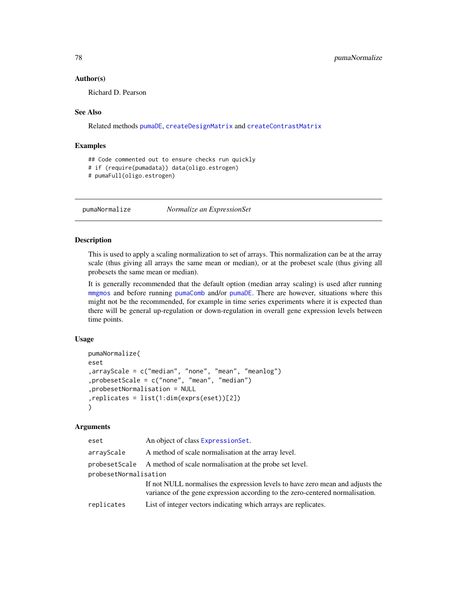#### Author(s)

Richard D. Pearson

#### See Also

Related methods [pumaDE](#page-73-0), [createDesignMatrix](#page-20-0) and [createContrastMatrix](#page-16-0)

## Examples

```
## Code commented out to ensure checks run quickly
```
# if (require(pumadata)) data(oligo.estrogen)

```
# pumaFull(oligo.estrogen)
```
<span id="page-77-0"></span>pumaNormalize *Normalize an ExpressionSet*

## Description

This is used to apply a scaling normalization to set of arrays. This normalization can be at the array scale (thus giving all arrays the same mean or median), or at the probeset scale (thus giving all probesets the same mean or median).

It is generally recommended that the default option (median array scaling) is used after running [mmgmos](#page-48-0) and before running [pumaComb](#page-69-0) and/or [pumaDE](#page-73-0). There are however, situations where this might not be the recommended, for example in time series experiments where it is expected than there will be general up-regulation or down-regulation in overall gene expression levels between time points.

#### Usage

```
pumaNormalize(
eset
,arrayScale = c("median", "none", "mean", "meanlog")
,probesetScale = c("none", "mean", "median")
,probesetNormalisation = NULL
,replicates = list(1:dim(exprs(eset))[2])
)
```
#### **Arguments**

| eset                  | An object of class ExpressionSet.                                                                                                                               |  |  |  |
|-----------------------|-----------------------------------------------------------------------------------------------------------------------------------------------------------------|--|--|--|
| arrayScale            | A method of scale normalisation at the array level.                                                                                                             |  |  |  |
|                       | probesetScale A method of scale normalisation at the probe set level.                                                                                           |  |  |  |
| probesetNormalisation |                                                                                                                                                                 |  |  |  |
|                       | If not NULL normalises the expression levels to have zero mean and adjusts the<br>variance of the gene expression according to the zero-centered normalisation. |  |  |  |
| replicates            | List of integer vectors indicating which arrays are replicates.                                                                                                 |  |  |  |

<span id="page-77-1"></span>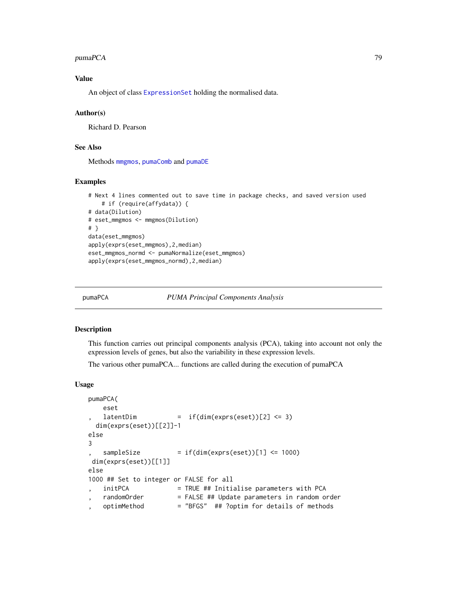#### <span id="page-78-1"></span>pumaPCA 79

## Value

An object of class [ExpressionSet](#page-0-0) holding the normalised data.

#### Author(s)

Richard D. Pearson

## See Also

Methods [mmgmos](#page-48-0), [pumaComb](#page-69-0) and [pumaDE](#page-73-0)

## Examples

```
# Next 4 lines commented out to save time in package checks, and saved version used
    # if (require(affydata)) {
# data(Dilution)
# eset_mmgmos <- mmgmos(Dilution)
# }
data(eset_mmgmos)
apply(exprs(eset_mmgmos),2,median)
eset_mmgmos_normd <- pumaNormalize(eset_mmgmos)
apply(exprs(eset_mmgmos_normd),2,median)
```
<span id="page-78-0"></span>

pumaPCA *PUMA Principal Components Analysis*

#### Description

This function carries out principal components analysis (PCA), taking into account not only the expression levels of genes, but also the variability in these expression levels.

The various other pumaPCA... functions are called during the execution of pumaPCA

## Usage

```
pumaPCA(
   eset
   latchDim = if(dim(exps(eset))[2] \leq 3)dim(exprs(eset))[[2]]-1
else
3
   sampleSize = if(dim(exps(eset))[1] \le 1000)dim(exprs(eset))[[1]]
else
1000 ## Set to integer or FALSE for all
   initPCA = TRUE ## Initialise parameters with PCA
   randomOrder = FALSE ## Update parameters in random order
   , optimMethod = "BFGS" ## ?optim for details of methods
```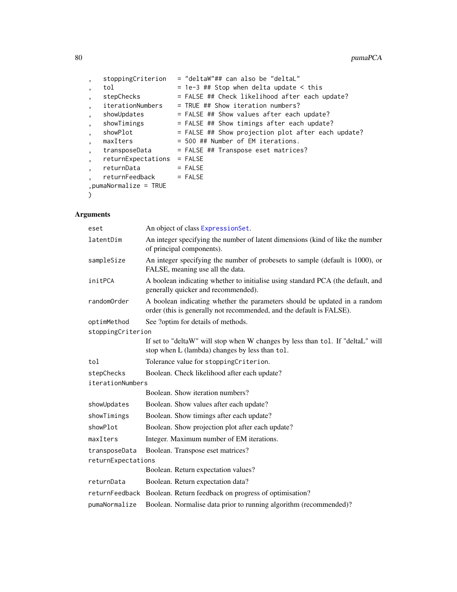|                          | stoppingCriterion      | = "deltaW"## can also be "deltaL"                  |
|--------------------------|------------------------|----------------------------------------------------|
| $\cdot$                  | tol                    | $= 1e-3$ ## Stop when delta update < this          |
| $\overline{\phantom{a}}$ | stepChecks             | = FALSE ## Check likelihood after each update?     |
| $\overline{\phantom{a}}$ | iterationNumbers       | $=$ TRUE ## Show iteration numbers?                |
| $\cdot$                  | showUpdates            | = FALSE ## Show values after each update?          |
| $\overline{\phantom{a}}$ | showTimings            | = FALSE ## Show timings after each update?         |
| $\overline{\phantom{a}}$ | showPlot               | = FALSE ## Show projection plot after each update? |
| $\cdot$                  | maxIters               | = 500 ## Number of EM iterations.                  |
| $\cdot$                  | transposeData          | = FALSE ## Transpose eset matrices?                |
|                          | returnExpectations     | $=$ FALSE                                          |
|                          | returnData             | $=$ FALSE                                          |
|                          | returnFeedback         | $=$ FALSE                                          |
|                          | $pumahormalize = TRUE$ |                                                    |
|                          |                        |                                                    |

## Arguments

| eset               | An object of class ExpressionSet.                                                                                                                 |
|--------------------|---------------------------------------------------------------------------------------------------------------------------------------------------|
| latentDim          | An integer specifying the number of latent dimensions (kind of like the number<br>of principal components).                                       |
| sampleSize         | An integer specifying the number of probesets to sample (default is 1000), or<br>FALSE, meaning use all the data.                                 |
| initPCA            | A boolean indicating whether to initialise using standard PCA (the default, and<br>generally quicker and recommended).                            |
| randomOrder        | A boolean indicating whether the parameters should be updated in a random<br>order (this is generally not recommended, and the default is FALSE). |
| optimMethod        | See ?optim for details of methods.                                                                                                                |
| stoppingCriterion  |                                                                                                                                                   |
|                    | If set to "deltaW" will stop when W changes by less than tol. If "deltaL" will<br>stop when L (lambda) changes by less than tol.                  |
| tol                | Tolerance value for stopping Criterion.                                                                                                           |
| stepChecks         | Boolean. Check likelihood after each update?                                                                                                      |
| iterationNumbers   |                                                                                                                                                   |
|                    | Boolean. Show iteration numbers?                                                                                                                  |
| showUpdates        | Boolean. Show values after each update?                                                                                                           |
| showTimings        | Boolean. Show timings after each update?                                                                                                          |
| showPlot           | Boolean. Show projection plot after each update?                                                                                                  |
| maxIters           | Integer. Maximum number of EM iterations.                                                                                                         |
| transposeData      | Boolean. Transpose eset matrices?                                                                                                                 |
| returnExpectations |                                                                                                                                                   |
|                    | Boolean. Return expectation values?                                                                                                               |
| returnData         | Boolean. Return expectation data?                                                                                                                 |
|                    | returnFeedback Boolean. Return feedback on progress of optimisation?                                                                              |
| pumaNormalize      | Boolean. Normalise data prior to running algorithm (recommended)?                                                                                 |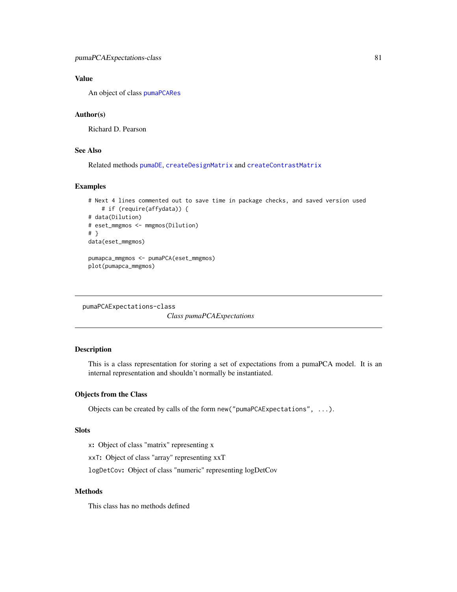## <span id="page-80-0"></span>Value

An object of class [pumaPCARes](#page-82-0)

## Author(s)

Richard D. Pearson

## See Also

Related methods [pumaDE](#page-73-0), [createDesignMatrix](#page-20-0) and [createContrastMatrix](#page-16-0)

## Examples

```
# Next 4 lines commented out to save time in package checks, and saved version used
   # if (require(affydata)) {
# data(Dilution)
# eset_mmgmos <- mmgmos(Dilution)
# }
data(eset_mmgmos)
pumapca_mmgmos <- pumaPCA(eset_mmgmos)
plot(pumapca_mmgmos)
```

```
pumaPCAExpectations-class
```
*Class pumaPCAExpectations*

## Description

This is a class representation for storing a set of expectations from a pumaPCA model. It is an internal representation and shouldn't normally be instantiated.

## Objects from the Class

Objects can be created by calls of the form new("pumaPCAExpectations", ...).

#### Slots

x: Object of class "matrix" representing x

xxT: Object of class "array" representing xxT

logDetCov: Object of class "numeric" representing logDetCov

#### Methods

This class has no methods defined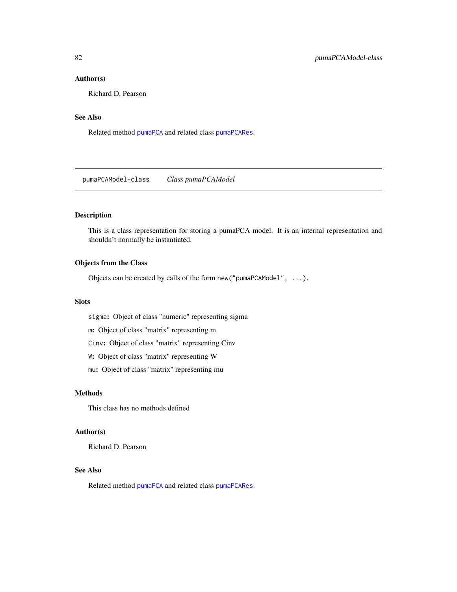## <span id="page-81-0"></span>Author(s)

Richard D. Pearson

## See Also

Related method [pumaPCA](#page-78-0) and related class [pumaPCARes](#page-82-0).

pumaPCAModel-class *Class pumaPCAModel*

## Description

This is a class representation for storing a pumaPCA model. It is an internal representation and shouldn't normally be instantiated.

## Objects from the Class

Objects can be created by calls of the form new("pumaPCAModel", ...).

## **Slots**

sigma: Object of class "numeric" representing sigma

m: Object of class "matrix" representing m

Cinv: Object of class "matrix" representing Cinv

W: Object of class "matrix" representing W

mu: Object of class "matrix" representing mu

## Methods

This class has no methods defined

## Author(s)

Richard D. Pearson

## See Also

Related method [pumaPCA](#page-78-0) and related class [pumaPCARes](#page-82-0).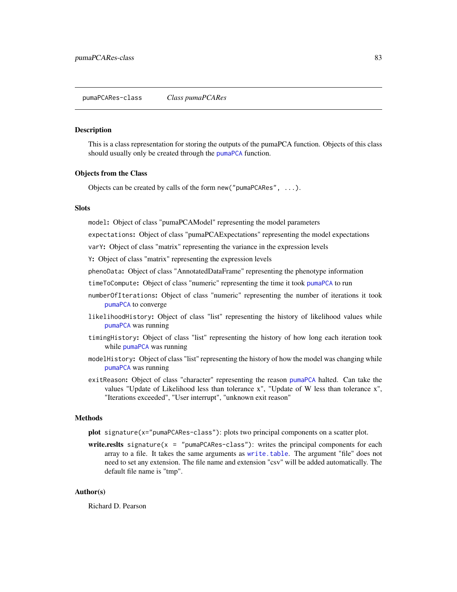#### <span id="page-82-1"></span><span id="page-82-0"></span>**Description**

This is a class representation for storing the outputs of the pumaPCA function. Objects of this class should usually only be created through the [pumaPCA](#page-78-0) function.

#### Objects from the Class

Objects can be created by calls of the form new("pumaPCARes", ...).

## **Slots**

model: Object of class "pumaPCAModel" representing the model parameters

expectations: Object of class "pumaPCAExpectations" representing the model expectations

varY: Object of class "matrix" representing the variance in the expression levels

Y: Object of class "matrix" representing the expression levels

phenoData: Object of class "AnnotatedDataFrame" representing the phenotype information

timeToCompute: Object of class "numeric" representing the time it took [pumaPCA](#page-78-0) to run

- numberOfIterations: Object of class "numeric" representing the number of iterations it took [pumaPCA](#page-78-0) to converge
- likelihoodHistory: Object of class "list" representing the history of likelihood values while [pumaPCA](#page-78-0) was running
- timingHistory: Object of class "list" representing the history of how long each iteration took while [pumaPCA](#page-78-0) was running
- modelHistory: Object of class "list" representing the history of how the model was changing while [pumaPCA](#page-78-0) was running
- exitReason: Object of class "character" representing the reason [pumaPCA](#page-78-0) halted. Can take the values "Update of Likelihood less than tolerance x", "Update of W less than tolerance x", "Iterations exceeded", "User interrupt", "unknown exit reason"

#### Methods

- plot signature(x="pumaPCARes-class"): plots two principal components on a scatter plot.
- write.reslts signature( $x =$  "pumaPCARes-class"): writes the principal components for each array to a file. It takes the same arguments as [write.table](#page-0-0). The argument "file" does not need to set any extension. The file name and extension "csv" will be added automatically. The default file name is "tmp".

## Author(s)

Richard D. Pearson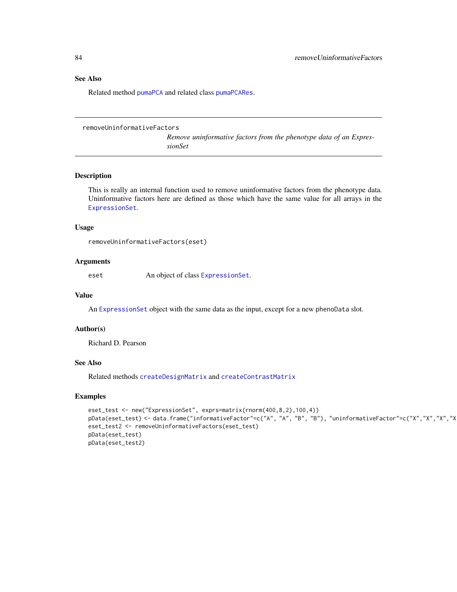## <span id="page-83-0"></span>See Also

Related method [pumaPCA](#page-78-0) and related class [pumaPCARes](#page-82-0).

```
removeUninformativeFactors
```
*Remove uninformative factors from the phenotype data of an ExpressionSet*

## Description

This is really an internal function used to remove uninformative factors from the phenotype data. Uninformative factors here are defined as those which have the same value for all arrays in the [ExpressionSet](#page-0-0).

## Usage

```
removeUninformativeFactors(eset)
```
## Arguments

eset An object of class [ExpressionSet](#page-0-0).

## Value

An [ExpressionSet](#page-0-0) object with the same data as the input, except for a new phenoData slot.

#### Author(s)

Richard D. Pearson

## See Also

Related methods [createDesignMatrix](#page-20-0) and [createContrastMatrix](#page-16-0)

#### Examples

```
eset_test <- new("ExpressionSet", exprs=matrix(rnorm(400,8,2),100,4))
pData(eset_test) <- data.frame("informativeFactor"=c("A", "A", "B", "B"), "uninformativeFactor"=c("X","X","X","X","X
eset_test2 <- removeUninformativeFactors(eset_test)
pData(eset_test)
pData(eset_test2)
```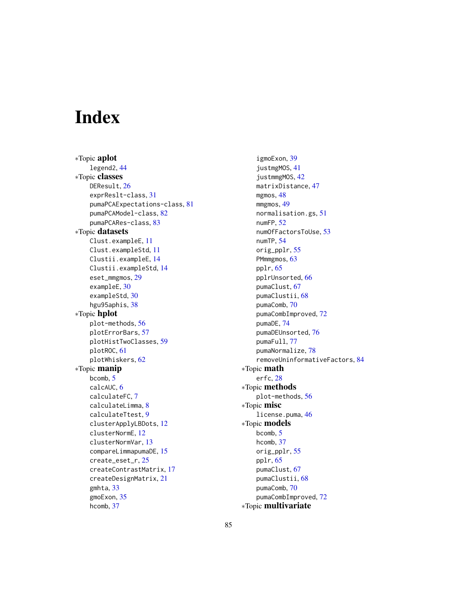# **Index**

∗Topic aplot legend2, [44](#page-43-0) ∗Topic classes DEResult, [26](#page-25-1) exprReslt-class, [31](#page-30-0) pumaPCAExpectations-class, [81](#page-80-0) pumaPCAModel-class, [82](#page-81-0) pumaPCARes-class, [83](#page-82-1) ∗Topic datasets Clust.exampleE, [11](#page-10-0) Clust.exampleStd, [11](#page-10-0) Clustii.exampleE, [14](#page-13-0) Clustii.exampleStd, [14](#page-13-0) eset\_mmgmos, [29](#page-28-0) exampleE, [30](#page-29-0) exampleStd, [30](#page-29-0) hgu95aphis, [38](#page-37-0) ∗Topic hplot plot-methods, [56](#page-55-0) plotErrorBars, [57](#page-56-0) plotHistTwoClasses, [59](#page-58-0) plotROC, [61](#page-60-0) plotWhiskers, [62](#page-61-0) ∗Topic manip bcomb, [5](#page-4-0) calcAUC, [6](#page-5-0) calculateFC, [7](#page-6-1) calculateLimma, [8](#page-7-1) calculateTtest, [9](#page-8-1) clusterApplyLBDots, [12](#page-11-0) clusterNormE, [12](#page-11-0) clusterNormVar, [13](#page-12-0) compareLimmapumaDE, [15](#page-14-0) create\_eset\_r, [25](#page-24-0) createContrastMatrix, [17](#page-16-1) createDesignMatrix, [21](#page-20-1) gmhta, [33](#page-32-0) gmoExon, [35](#page-34-0) hcomb, [37](#page-36-1)

igmoExon, [39](#page-38-0) justmgMOS, [41](#page-40-0) justmmgMOS, [42](#page-41-0) matrixDistance, [47](#page-46-0) mgmos, [48](#page-47-0) mmgmos, [49](#page-48-1) normalisation.gs, [51](#page-50-0) numFP, [52](#page-51-0) numOfFactorsToUse, [53](#page-52-0) numTP, [54](#page-53-0) orig\_pplr, [55](#page-54-0) PMmmgmos, [63](#page-62-0) pplr, [65](#page-64-1) pplrUnsorted, [66](#page-65-0) pumaClust, [67](#page-66-0) pumaClustii, [68](#page-67-0) pumaComb, [70](#page-69-1) pumaCombImproved, [72](#page-71-1) pumaDE, [74](#page-73-1) pumaDEUnsorted, [76](#page-75-0) pumaFull, [77](#page-76-0) pumaNormalize, [78](#page-77-1) removeUninformativeFactors, [84](#page-83-0) ∗Topic math erfc, [28](#page-27-0) ∗Topic methods plot-methods, [56](#page-55-0) ∗Topic misc license.puma, [46](#page-45-0) ∗Topic models bcomb, [5](#page-4-0) hcomb, [37](#page-36-1) orig\_pplr, [55](#page-54-0) pplr, [65](#page-64-1) pumaClust, [67](#page-66-0) pumaClustii, [68](#page-67-0) pumaComb, [70](#page-69-1) pumaCombImproved, [72](#page-71-1) ∗Topic multivariate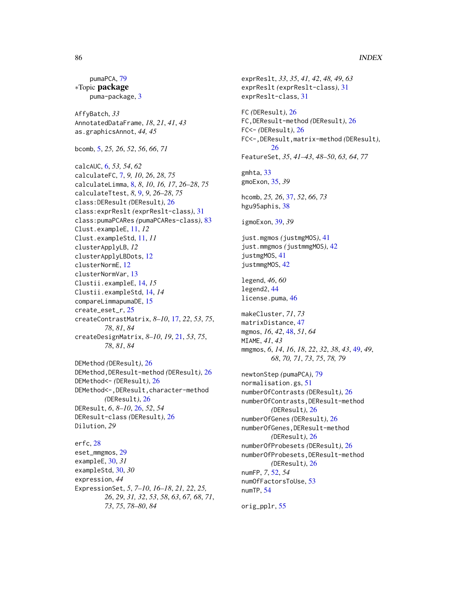## 86 INDEX

pumaPCA, [79](#page-78-1) ∗Topic package puma-package, [3](#page-2-0) AffyBatch, *33* AnnotatedDataFrame, *18*, *21*, *41*, *43* as.graphicsAnnot, *44, 45* bcomb, [5,](#page-4-0) *25, 26*, *52*, *56*, *66*, *71* calcAUC, [6,](#page-5-0) *53, 54*, *62* calculateFC, [7,](#page-6-1) *9, 10*, *26*, *28*, *75* calculateLimma, [8,](#page-7-1) *8*, *10*, *16, 17*, *26–28*, *75* calculateTtest, *8*, [9,](#page-8-1) *9*, *26–28*, *75* class:DEResult *(*DEResult*)*, [26](#page-25-1) class:exprReslt *(*exprReslt-class*)*, [31](#page-30-0) class:pumaPCARes *(*pumaPCARes-class*)*, [83](#page-82-1) Clust.exampleE, [11,](#page-10-0) *12* Clust.exampleStd, [11,](#page-10-0) *11* clusterApplyLB, *12* clusterApplyLBDots, [12](#page-11-0) clusterNormE, [12](#page-11-0) clusterNormVar, [13](#page-12-0) Clustii.exampleE, [14,](#page-13-0) *15* Clustii.exampleStd, [14,](#page-13-0) *14* compareLimmapumaDE, [15](#page-14-0) create\_eset\_r, [25](#page-24-0) createContrastMatrix, *8–10*, [17,](#page-16-1) *22*, *53*, *75*, *78*, *81*, *84* createDesignMatrix, *8–10*, *19*, [21,](#page-20-1) *53*, *75*, *78*, *81*, *84* DEMethod *(*DEResult*)*, [26](#page-25-1) DEMethod,DEResult-method *(*DEResult*)*, [26](#page-25-1) DEMethod<- *(*DEResult*)*, [26](#page-25-1) DEMethod<-,DEResult,character-method *(*DEResult*)*, [26](#page-25-1) DEResult, *6*, *8–10*, [26,](#page-25-1) *52*, *54* DEResult-class *(*DEResult*)*, [26](#page-25-1) Dilution, *29*

erfc, [28](#page-27-0) eset\_mmgmos, [29](#page-28-0) exampleE, [30,](#page-29-0) *31* exampleStd, [30,](#page-29-0) *30* expression, *44* ExpressionSet, *5*, *7–10*, *16–18*, *21, 22*, *25, 26*, *29*, *31, 32*, *53*, *58*, *63*, *67, 68*, *71*, *73*, *75*, *78–80*, *84*

exprReslt, *33*, *35*, *41, 42*, *48, 49*, *63* exprReslt *(*exprReslt-class*)*, [31](#page-30-0) exprReslt-class, [31](#page-30-0) FC *(*DEResult*)*, [26](#page-25-1) FC,DEResult-method *(*DEResult*)*, [26](#page-25-1) FC<- *(*DEResult*)*, [26](#page-25-1) FC<-,DEResult,matrix-method *(*DEResult*)*, [26](#page-25-1) FeatureSet, *35*, *41–43*, *48–50*, *63, 64*, *77* gmhta, [33](#page-32-0) gmoExon, [35,](#page-34-0) *39* hcomb, *25, 26*, [37,](#page-36-1) *52*, *66*, *73* hgu95aphis, [38](#page-37-0) igmoExon, [39,](#page-38-0) *39* just.mgmos *(*justmgMOS*)*, [41](#page-40-0) just.mmgmos *(*justmmgMOS*)*, [42](#page-41-0) justmgMOS, [41](#page-40-0) justmmgMOS, [42](#page-41-0) legend, *46*, *60* legend2, [44](#page-43-0) license.puma, [46](#page-45-0) makeCluster, *71*, *73* matrixDistance, [47](#page-46-0) mgmos, *16*, *42*, [48,](#page-47-0) *51*, *64* MIAME, *41*, *43* mmgmos, *6*, *14*, *16*, *18*, *22*, *32*, *38*, *43*, [49,](#page-48-1) *49*, *68*, *70, 71*, *73*, *75*, *78, 79* newtonStep *(*pumaPCA*)*, [79](#page-78-1) normalisation.gs, [51](#page-50-0) numberOfContrasts *(*DEResult*)*, [26](#page-25-1) numberOfContrasts,DEResult-method *(*DEResult*)*, [26](#page-25-1) numberOfGenes *(*DEResult*)*, [26](#page-25-1) numberOfGenes,DEResult-method *(*DEResult*)*, [26](#page-25-1) numberOfProbesets *(*DEResult*)*, [26](#page-25-1) numberOfProbesets,DEResult-method *(*DEResult*)*, [26](#page-25-1) numFP, *7*, [52,](#page-51-0) *54* numOfFactorsToUse, [53](#page-52-0) numTP, [54](#page-53-0)

orig\_pplr, [55](#page-54-0)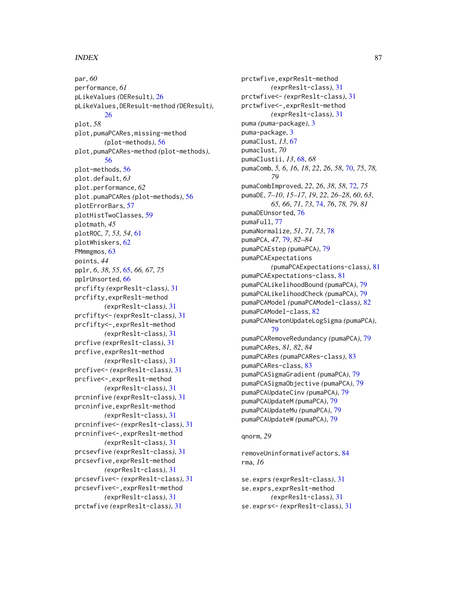## INDEX  $87$

par, *60* performance, *61* pLikeValues *(*DEResult*)*, [26](#page-25-1) pLikeValues,DEResult-method *(*DEResult*)*, [26](#page-25-1) plot, *58* plot,pumaPCARes,missing-method *(*plot-methods*)*, [56](#page-55-0) plot,pumaPCARes-method *(*plot-methods*)*, [56](#page-55-0) plot-methods, [56](#page-55-0) plot.default, *63* plot.performance, *62* plot.pumaPCARes *(*plot-methods*)*, [56](#page-55-0) plotErrorBars, [57](#page-56-0) plotHistTwoClasses, [59](#page-58-0) plotmath, *45* plotROC, *7*, *53, 54*, [61](#page-60-0) plotWhiskers, [62](#page-61-0) PMmmgmos, [63](#page-62-0) points, *44* pplr, *6*, *38*, *55*, [65,](#page-64-1) *66, 67*, *75* pplrUnsorted, [66](#page-65-0) prcfifty *(*exprReslt-class*)*, [31](#page-30-0) prcfifty,exprReslt-method *(*exprReslt-class*)*, [31](#page-30-0) prcfifty<- *(*exprReslt-class*)*, [31](#page-30-0) prcfifty<-,exprReslt-method *(*exprReslt-class*)*, [31](#page-30-0) prcfive *(*exprReslt-class*)*, [31](#page-30-0) prcfive,exprReslt-method *(*exprReslt-class*)*, [31](#page-30-0) prcfive<- *(*exprReslt-class*)*, [31](#page-30-0) prcfive<-,exprReslt-method *(*exprReslt-class*)*, [31](#page-30-0) prcninfive *(*exprReslt-class*)*, [31](#page-30-0) prcninfive,exprReslt-method *(*exprReslt-class*)*, [31](#page-30-0) prcninfive<- *(*exprReslt-class*)*, [31](#page-30-0) prcninfive<-,exprReslt-method *(*exprReslt-class*)*, [31](#page-30-0) prcsevfive *(*exprReslt-class*)*, [31](#page-30-0) prcsevfive,exprReslt-method *(*exprReslt-class*)*, [31](#page-30-0) prcsevfive<- *(*exprReslt-class*)*, [31](#page-30-0) prcsevfive<-,exprReslt-method *(*exprReslt-class*)*, [31](#page-30-0) prctwfive *(*exprReslt-class*)*, [31](#page-30-0)

prctwfive,exprReslt-method *(*exprReslt-class*)*, [31](#page-30-0) prctwfive<- *(*exprReslt-class*)*, [31](#page-30-0) prctwfive<-,exprReslt-method *(*exprReslt-class*)*, [31](#page-30-0) puma *(*puma-package*)*, [3](#page-2-0) puma-package, [3](#page-2-0) pumaClust, *13*, [67](#page-66-0) pumaclust, *70* pumaClustii, *13*, [68,](#page-67-0) *68* pumaComb, *5, 6*, *16*, *18*, *22*, *26*, *58*, [70,](#page-69-1) *75*, *78, 79* pumaCombImproved, *22*, *26*, *38*, *58*, [72,](#page-71-1) *75* pumaDE, *7–10*, *15–17*, *19*, *22*, *26–28*, *60*, *63*, *65, 66*, *71*, *73*, [74,](#page-73-1) *76*, *78, 79*, *81* pumaDEUnsorted, [76](#page-75-0) pumaFull, [77](#page-76-0) pumaNormalize, *51*, *71*, *73*, [78](#page-77-1) pumaPCA, *47*, [79,](#page-78-1) *82–84* pumaPCAEstep *(*pumaPCA*)*, [79](#page-78-1) pumaPCAExpectations *(*pumaPCAExpectations-class*)*, [81](#page-80-0) pumaPCAExpectations-class, [81](#page-80-0) pumaPCALikelihoodBound *(*pumaPCA*)*, [79](#page-78-1) pumaPCALikelihoodCheck *(*pumaPCA*)*, [79](#page-78-1) pumaPCAModel *(*pumaPCAModel-class*)*, [82](#page-81-0) pumaPCAModel-class, [82](#page-81-0) pumaPCANewtonUpdateLogSigma *(*pumaPCA*)*, [79](#page-78-1) pumaPCARemoveRedundancy *(*pumaPCA*)*, [79](#page-78-1) pumaPCARes, *81, 82*, *84* pumaPCARes *(*pumaPCARes-class*)*, [83](#page-82-1) pumaPCARes-class, [83](#page-82-1) pumaPCASigmaGradient *(*pumaPCA*)*, [79](#page-78-1) pumaPCASigmaObjective *(*pumaPCA*)*, [79](#page-78-1) pumaPCAUpdateCinv *(*pumaPCA*)*, [79](#page-78-1) pumaPCAUpdateM *(*pumaPCA*)*, [79](#page-78-1) pumaPCAUpdateMu *(*pumaPCA*)*, [79](#page-78-1) pumaPCAUpdateW *(*pumaPCA*)*, [79](#page-78-1)

## qnorm, *29*

removeUninformativeFactors, [84](#page-83-0) rma, *16*

se.exprs *(*exprReslt-class*)*, [31](#page-30-0) se.exprs,exprReslt-method *(*exprReslt-class*)*, [31](#page-30-0) se.exprs<- *(*exprReslt-class*)*, [31](#page-30-0)